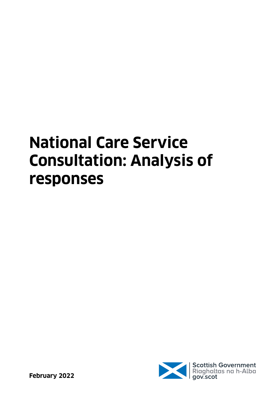# **National Care Service Consultation: Analysis of responses**

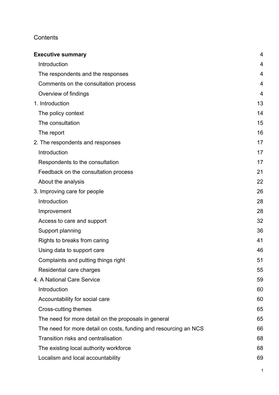# **Contents**

| <b>Executive summary</b>                                         | $\overline{4}$ |
|------------------------------------------------------------------|----------------|
| Introduction                                                     | 4              |
| The respondents and the responses                                | 4              |
| Comments on the consultation process                             | 4              |
| Overview of findings                                             | $\overline{4}$ |
| 1. Introduction                                                  | 13             |
| The policy context                                               | 14             |
| The consultation                                                 | 15             |
| The report                                                       | 16             |
| 2. The respondents and responses                                 | 17             |
| Introduction                                                     | 17             |
| Respondents to the consultation                                  | 17             |
| Feedback on the consultation process                             | 21             |
| About the analysis                                               | 22             |
| 3. Improving care for people                                     | 26             |
| Introduction                                                     | 28             |
| Improvement                                                      | 28             |
| Access to care and support                                       | 32             |
| Support planning                                                 | 36             |
| Rights to breaks from caring                                     | 41             |
| Using data to support care                                       | 46             |
| Complaints and putting things right                              | 51             |
| Residential care charges                                         | 55             |
| 4. A National Care Service                                       | 59             |
| Introduction                                                     | 60             |
| Accountability for social care                                   | 60             |
| Cross-cutting themes                                             | 65             |
| The need for more detail on the proposals in general             | 65             |
| The need for more detail on costs, funding and resourcing an NCS | 66             |
| Transition risks and centralisation                              | 68             |
| The existing local authority workforce                           | 68             |
| Localism and local accountability                                | 69             |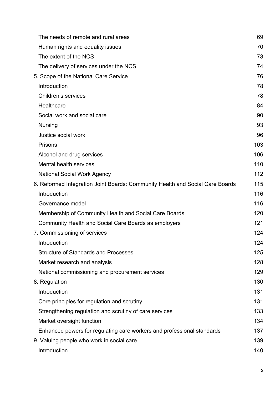| The needs of remote and rural areas                                           | 69  |
|-------------------------------------------------------------------------------|-----|
| Human rights and equality issues                                              | 70  |
| The extent of the NCS                                                         | 73  |
| The delivery of services under the NCS                                        | 74  |
| 5. Scope of the National Care Service                                         | 76  |
| Introduction                                                                  | 78  |
| Children's services                                                           | 78  |
| Healthcare                                                                    | 84  |
| Social work and social care                                                   | 90  |
| <b>Nursing</b>                                                                | 93  |
| Justice social work                                                           | 96  |
| Prisons                                                                       | 103 |
| Alcohol and drug services                                                     | 106 |
| Mental health services                                                        | 110 |
| <b>National Social Work Agency</b>                                            | 112 |
| 6. Reformed Integration Joint Boards: Community Health and Social Care Boards | 115 |
| Introduction                                                                  | 116 |
| Governance model                                                              | 116 |
| Membership of Community Health and Social Care Boards                         | 120 |
| Community Health and Social Care Boards as employers                          | 121 |
| 7. Commissioning of services                                                  | 124 |
| Introduction                                                                  | 124 |
| <b>Structure of Standards and Processes</b>                                   | 125 |
| Market research and analysis                                                  | 128 |
| National commissioning and procurement services                               | 129 |
| 8. Regulation                                                                 | 130 |
| Introduction                                                                  | 131 |
| Core principles for regulation and scrutiny                                   | 131 |
| Strengthening regulation and scrutiny of care services                        | 133 |
| Market oversight function                                                     | 134 |
| Enhanced powers for regulating care workers and professional standards        | 137 |
| 9. Valuing people who work in social care                                     | 139 |
| Introduction                                                                  | 140 |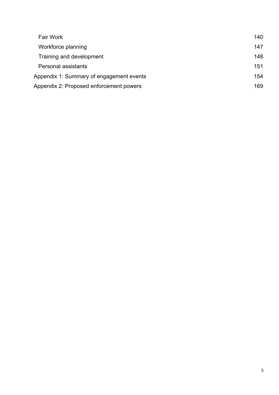| <b>Fair Work</b>                         | 140 |
|------------------------------------------|-----|
| Workforce planning                       | 147 |
| Training and development                 | 148 |
| Personal assistants                      | 151 |
| Appendix 1: Summary of engagement events | 154 |
| Appendix 2: Proposed enforcement powers  | 169 |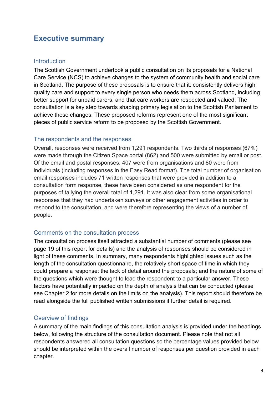# <span id="page-4-0"></span>**Executive summary**

#### <span id="page-4-1"></span>**Introduction**

The Scottish Government undertook a public consultation on its proposals for a National Care Service (NCS) to achieve changes to the system of community health and social care in Scotland. The purpose of these proposals is to ensure that it: consistently delivers high quality care and support to every single person who needs them across Scotland, including better support for unpaid carers; and that care workers are respected and valued. The consultation is a key step towards shaping primary legislation to the Scottish Parliament to achieve these changes. These proposed reforms represent one of the most significant pieces of public service reform to be proposed by the Scottish Government.

#### <span id="page-4-2"></span>The respondents and the responses

Overall, responses were received from 1,291 respondents. Two thirds of responses (67%) were made through the Citizen Space portal (862) and 500 were submitted by email or post. Of the email and postal responses, 407 were from organisations and 80 were from individuals (including responses in the Easy Read format). The total number of organisation email responses includes 71 written responses that were provided in addition to a consultation form response, these have been considered as one respondent for the purposes of tallying the overall total of 1,291. It was also clear from some organisational responses that they had undertaken surveys or other engagement activities in order to respond to the consultation, and were therefore representing the views of a number of people.

# <span id="page-4-3"></span>Comments on the consultation process

The consultation process itself attracted a substantial number of comments (please see page 19 of this report for details) and the analysis of responses should be considered in light of these comments. In summary, many respondents highlighted issues such as the length of the consultation questionnaire, the relatively short space of time in which they could prepare a response; the lack of detail around the proposals; and the nature of some of the questions which were thought to lead the respondent to a particular answer. These factors have potentially impacted on the depth of analysis that can be conducted (please see Chapter 2 for more details on the limits on the analysis). This report should therefore be read alongside the full published written submissions if further detail is required.

# <span id="page-4-4"></span>Overview of findings

A summary of the main findings of this consultation analysis is provided under the headings below, following the structure of the consultation document. Please note that not all respondents answered all consultation questions so the percentage values provided below should be interpreted within the overall number of responses per question provided in each chapter.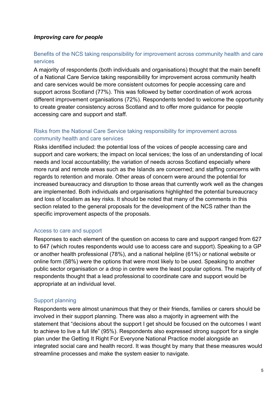#### *Improving care for people*

#### Benefits of the NCS taking responsibility for improvement across community health and care services

A majority of respondents (both individuals and organisations) thought that the main benefit of a National Care Service taking responsibility for improvement across community health and care services would be more consistent outcomes for people accessing care and support across Scotland (77%). This was followed by better coordination of work across different improvement organisations (72%). Respondents tended to welcome the opportunity to create greater consistency across Scotland and to offer more guidance for people accessing care and support and staff.

# Risks from the National Care Service taking responsibility for improvement across community health and care services

Risks identified included: the potential loss of the voices of people accessing care and support and care workers; the impact on local services; the loss of an understanding of local needs and local accountability; the variation of needs across Scotland especially where more rural and remote areas such as the Islands are concerned; and staffing concerns with regards to retention and morale. Other areas of concern were around the potential for increased bureaucracy and disruption to those areas that currently work well as the changes are implemented. Both individuals and organisations highlighted the potential bureaucracy and loss of localism as key risks. It should be noted that many of the comments in this section related to the general proposals for the development of the NCS rather than the specific improvement aspects of the proposals.

#### Access to care and support

Responses to each element of the question on access to care and support ranged from 627 to 647 (which routes respondents would use to access care and support). Speaking to a GP or another health professional (78%), and a national helpline (61%) or national website or online form (58%) were the options that were most likely to be used. Speaking to another public sector organisation or a drop in centre were the least popular options. The majority of respondents thought that a lead professional to coordinate care and support would be appropriate at an individual level.

#### Support planning

Respondents were almost unanimous that they or their friends, families or carers should be involved in their support planning. There was also a majority in agreement with the statement that "decisions about the support I get should be focused on the outcomes I want to achieve to live a full life" (95%). Respondents also expressed strong support for a single plan under the Getting It Right For Everyone National Practice model alongside an integrated social care and health record. It was thought by many that these measures would streamline processes and make the system easier to navigate.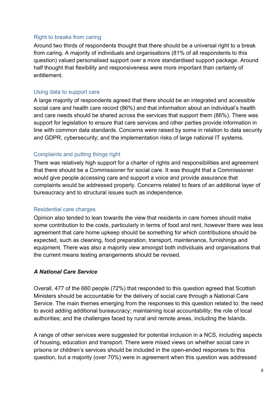#### Right to breaks from caring

Around two thirds of respondents thought that there should be a universal right to a break from caring. A majority of individuals and organisations (81% of all respondents to this question) valued personalised support over a more standardised support package. Around half thought that flexibility and responsiveness were more important than certainty of entitlement.

#### Using data to support care

A large majority of respondents agreed that there should be an integrated and accessible social care and health care record (86%) and that information about an individual's health and care needs should be shared across the services that support them (86%). There was support for legislation to ensure that care services and other parties provide information in line with common data standards. Concerns were raised by some in relation to data security and GDPR, cybersecurity; and the implementation risks of large national IT systems.

#### Complaints and putting things right

There was relatively high support for a charter of rights and responsibilities and agreement that there should be a Commissioner for social care. It was thought that a Commissioner would give people accessing care and support a voice and provide assurance that complaints would be addressed properly. Concerns related to fears of an additional layer of bureaucracy and to structural issues such as independence.

#### Residential care charges

Opinion also tended to lean towards the view that residents in care homes should make some contribution to the costs, particularly in terms of food and rent, however there was less agreement that care home upkeep should be something for which contributions should be expected, such as cleaning, food preparation, transport, maintenance, furnishings and equipment. There was also a majority view amongst both individuals and organisations that the current means testing arrangements should be revised.

#### *A National Care Service*

Overall, 477 of the 660 people (72%) that responded to this question agreed that Scottish Ministers should be accountable for the delivery of social care through a National Care Service. The main themes emerging from the responses to this question related to: the need to avoid adding additional bureaucracy; maintaining local accountability; the role of local authorities; and the challenges faced by rural and remote areas, including the Islands.

A range of other services were suggested for potential inclusion in a NCS, including aspects of housing, education and transport. There were mixed views on whether social care in prisons or children's services should be included in the open-ended responses to this question, but a majority (over 70%) were in agreement when this question was addressed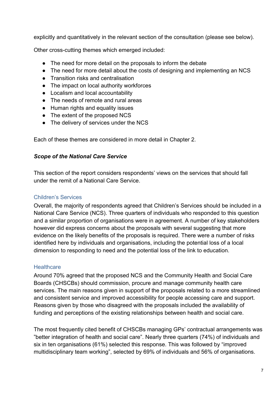explicitly and quantitatively in the relevant section of the consultation (please see below).

Other cross-cutting themes which emerged included:

- The need for more detail on the proposals to inform the debate
- The need for more detail about the costs of designing and implementing an NCS
- Transition risks and centralisation
- The impact on local authority workforces
- Localism and local accountability
- The needs of remote and rural areas
- Human rights and equality issues
- The extent of the proposed NCS
- The delivery of services under the NCS

Each of these themes are considered in more detail in Chapter 2.

#### *Scope of the National Care Service*

This section of the report considers respondents' views on the services that should fall under the remit of a National Care Service.

#### Children's Services

Overall, the majority of respondents agreed that Children's Services should be included in a National Care Service (NCS). Three quarters of individuals who responded to this question and a similar proportion of organisations were in agreement. A number of key stakeholders however did express concerns about the proposals with several suggesting that more evidence on the likely benefits of the proposals is required. There were a number of risks identified here by individuals and organisations, including the potential loss of a local dimension to responding to need and the potential loss of the link to education.

#### **Healthcare**

Around 70% agreed that the proposed NCS and the Community Health and Social Care Boards (CHSCBs) should commission, procure and manage community health care services. The main reasons given in support of the proposals related to a more streamlined and consistent service and improved accessibility for people accessing care and support. Reasons given by those who disagreed with the proposals included the availability of funding and perceptions of the existing relationships between health and social care.

The most frequently cited benefit of CHSCBs managing GPs' contractual arrangements was "better integration of health and social care". Nearly three quarters (74%) of individuals and six in ten organisations (61%) selected this response. This was followed by "improved multidisciplinary team working", selected by 69% of individuals and 56% of organisations.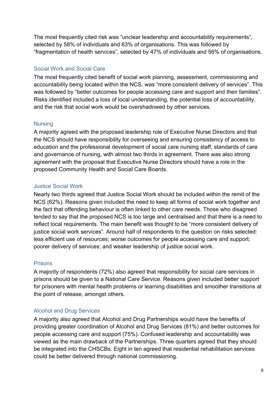The most frequently cited risk was "unclear leadership and accountability requirements", selected by 58% of individuals and 63% of organisations. This was followed by "fragmentation of health services", selected by 47% of individuals and 56% of organisations.

# Social Work and Social Care

The most frequently cited benefit of social work planning, assessment, commissioning and accountability being located within the NCS, was "more consistent delivery of services". This was followed by "better outcomes for people accessing care and support and their families". Risks identified included a loss of local understanding, the potential loss of accountability, and the risk that social work would be overshadowed by other services.

#### **Nursing**

A majority agreed with the proposed leadership role of Executive Nurse Directors and that the NCS should have responsibility for overseeing and ensuring consistency of access to education and the professional development of social care nursing staff, standards of care and governance of nursing, with almost two thirds in agreement. There was also strong agreement with the proposal that Executive Nurse Directors should have a role in the proposed Community Health and Social Care Boards.

#### Justice Social Work

Nearly two thirds agreed that Justice Social Work should be included within the remit of the NCS (62%). Reasons given included the need to keep all forms of social work together and the fact that offending behaviour is often linked to other care needs. Those who disagreed tended to say that the proposed NCS is too large and centralised and that there is a need to reflect local requirements. The main benefit was thought to be "more consistent delivery of justice social work services". Around half of respondents to the question on risks selected: less efficient use of resources; worse outcomes for people accessing care and support; poorer delivery of services; and weaker leadership of justice social work.

#### Prisons

A majority of respondents (72%) also agreed that responsibility for social care services in prisons should be given to a National Care Service. Reasons given included better support for prisoners with mental health problems or learning disabilities and smoother transitions at the point of release, amongst others.

#### Alcohol and Drug Services

A majority also agreed that Alcohol and Drug Partnerships would have the benefits of providing greater coordination of Alcohol and Drug Services (81%) and better outcomes for people accessing care and support (75%). Confused leadership and accountability was viewed as the main drawback of the Partnerships. Three quarters agreed that they should be integrated into the CHSCBs. Eight in ten agreed that residential rehabilitation services could be better delivered through national commissioning.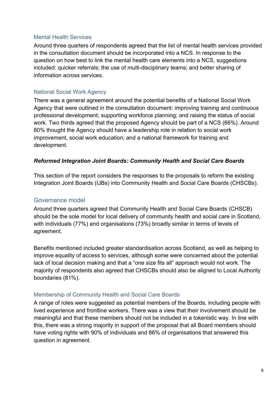#### Mental Health Services

Around three quarters of respondents agreed that the list of mental health services provided in the consultation document should be incorporated into a NCS. In response to the question on how best to link the mental health care elements into a NCS, suggestions included: quicker referrals; the use of multi-disciplinary teams; and better sharing of information across services.

#### National Social Work Agency

There was a general agreement around the potential benefits of a National Social Work Agency that were outlined in the consultation document: improving training and continuous professional development; supporting workforce planning; and raising the status of social work. Two thirds agreed that the proposed Agency should be part of a NCS (66%). Around 80% thought the Agency should have a leadership role in relation to social work improvement, social work education; and a national framework for training and development.

#### *Reformed Integration Joint Boards: Community Health and Social Care Boards*

This section of the report considers the responses to the proposals to reform the existing Integration Joint Boards (IJBs) into Community Health and Social Care Boards (CHSCBs).

# Governance model

Around three quarters agreed that Community Health and Social Care Boards (CHSCB) should be the sole model for local delivery of community health and social care in Scotland, with individuals (77%) and organisations (73%) broadly similar in terms of levels of agreement.

Benefits mentioned included greater standardisation across Scotland, as well as helping to improve equality of access to services, although some were concerned about the potential lack of local decision making and that a "one size fits all" approach would not work. The majority of respondents also agreed that CHSCBs should also be aligned to Local Authority boundaries (81%).

#### Membership of Community Health and Social Care Boards

A range of roles were suggested as potential members of the Boards, including people with lived experience and frontline workers. There was a view that their involvement should be meaningful and that these members should not be included in a tokenistic way. In line with this, there was a strong majority in support of the proposal that all Board members should have voting rights with 90% of individuals and 86% of organisations that answered this question in agreement.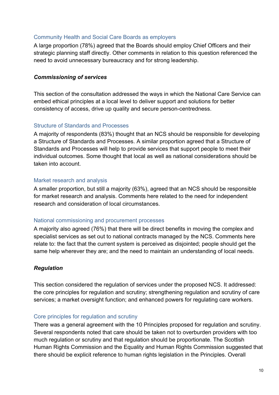#### Community Health and Social Care Boards as employers

A large proportion (78%) agreed that the Boards should employ Chief Officers and their strategic planning staff directly. Other comments in relation to this question referenced the need to avoid unnecessary bureaucracy and for strong leadership.

#### *Commissioning of services*

This section of the consultation addressed the ways in which the National Care Service can embed ethical principles at a local level to deliver support and solutions for better consistency of access, drive up quality and secure person-centredness.

#### Structure of Standards and Processes

A majority of respondents (83%) thought that an NCS should be responsible for developing a Structure of Standards and Processes. A similar proportion agreed that a Structure of Standards and Processes will help to provide services that support people to meet their individual outcomes. Some thought that local as well as national considerations should be taken into account.

#### Market research and analysis

A smaller proportion, but still a majority (63%), agreed that an NCS should be responsible for market research and analysis. Comments here related to the need for independent research and consideration of local circumstances.

#### National commissioning and procurement processes

A majority also agreed (76%) that there will be direct benefits in moving the complex and specialist services as set out to national contracts managed by the NCS. Comments here relate to: the fact that the current system is perceived as disjointed; people should get the same help wherever they are; and the need to maintain an understanding of local needs.

#### *Regulation*

This section considered the regulation of services under the proposed NCS. It addressed: the core principles for regulation and scrutiny; strengthening regulation and scrutiny of care services; a market oversight function; and enhanced powers for regulating care workers.

#### Core principles for regulation and scrutiny

There was a general agreement with the 10 Principles proposed for regulation and scrutiny. Several respondents noted that care should be taken not to overburden providers with too much regulation or scrutiny and that regulation should be proportionate. The Scottish Human Rights Commission and the Equality and Human Rights Commission suggested that there should be explicit reference to human rights legislation in the Principles. Overall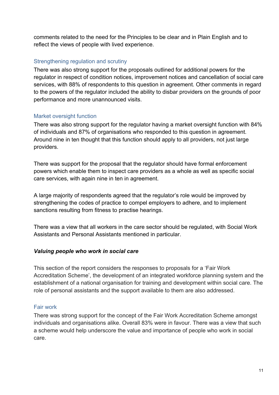comments related to the need for the Principles to be clear and in Plain English and to reflect the views of people with lived experience.

#### Strengthening regulation and scrutiny

There was also strong support for the proposals outlined for additional powers for the regulator in respect of condition notices, improvement notices and cancellation of social care services, with 88% of respondents to this question in agreement. Other comments in regard to the powers of the regulator included the ability to disbar providers on the grounds of poor performance and more unannounced visits.

#### Market oversight function

There was also strong support for the regulator having a market oversight function with 84% of individuals and 87% of organisations who responded to this question in agreement. Around nine in ten thought that this function should apply to all providers, not just large providers.

There was support for the proposal that the regulator should have formal enforcement powers which enable them to inspect care providers as a whole as well as specific social care services, with again nine in ten in agreement.

A large majority of respondents agreed that the regulator's role would be improved by strengthening the codes of practice to compel employers to adhere, and to implement sanctions resulting from fitness to practise hearings.

There was a view that all workers in the care sector should be regulated, with Social Work Assistants and Personal Assistants mentioned in particular.

#### *Valuing people who work in social care*

This section of the report considers the responses to proposals for a 'Fair Work Accreditation Scheme', the development of an integrated workforce planning system and the establishment of a national organisation for training and development within social care. The role of personal assistants and the support available to them are also addressed.

#### Fair work

There was strong support for the concept of the Fair Work Accreditation Scheme amongst individuals and organisations alike. Overall 83% were in favour. There was a view that such a scheme would help underscore the value and importance of people who work in social care.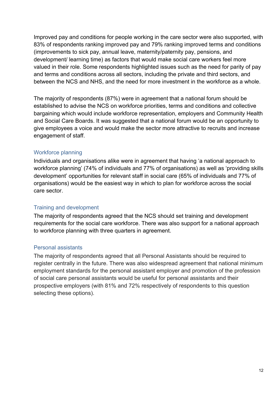Improved pay and conditions for people working in the care sector were also supported, with 83% of respondents ranking improved pay and 79% ranking improved terms and conditions (improvements to sick pay, annual leave, maternity/paternity pay, pensions, and development/ learning time) as factors that would make social care workers feel more valued in their role. Some respondents highlighted issues such as the need for parity of pay and terms and conditions across all sectors, including the private and third sectors, and between the NCS and NHS, and the need for more investment in the workforce as a whole.

The majority of respondents (87%) were in agreement that a national forum should be established to advise the NCS on workforce priorities, terms and conditions and collective bargaining which would include workforce representation, employers and Community Health and Social Care Boards. It was suggested that a national forum would be an opportunity to give employees a voice and would make the sector more attractive to recruits and increase engagement of staff.

#### Workforce planning

Individuals and organisations alike were in agreement that having 'a national approach to workforce planning' (74% of individuals and 77% of organisations) as well as 'providing skills development' opportunities for relevant staff in social care (65% of individuals and 77% of organisations) would be the easiest way in which to plan for workforce across the social care sector.

#### Training and development

The majority of respondents agreed that the NCS should set training and development requirements for the social care workforce. There was also support for a national approach to workforce planning with three quarters in agreement.

#### Personal assistants

The majority of respondents agreed that all Personal Assistants should be required to register centrally in the future. There was also widespread agreement that national minimum employment standards for the personal assistant employer and promotion of the profession of social care personal assistants would be useful for personal assistants and their prospective employers (with 81% and 72% respectively of respondents to this question selecting these options).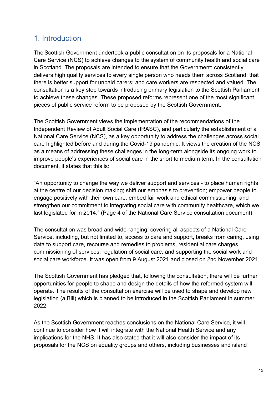# <span id="page-13-0"></span>1. Introduction

The Scottish Government undertook a public consultation on its proposals for a National Care Service (NCS) to achieve changes to the system of community health and social care in Scotland. The proposals are intended to ensure that the Government: consistently delivers high quality services to every single person who needs them across Scotland; that there is better support for unpaid carers; and care workers are respected and valued. The consultation is a key step towards introducing primary legislation to the Scottish Parliament to achieve these changes. These proposed reforms represent one of the most significant pieces of public service reform to be proposed by the Scottish Government.

The Scottish Government views the implementation of the recommendations of the Independent Review of Adult Social Care (IRASC), and particularly the establishment of a National Care Service (NCS), as a key opportunity to address the challenges across social care highlighted before and during the Covid-19 pandemic. It views the creation of the NCS as a means of addressing these challenges in the long-term alongside its ongoing work to improve people's experiences of social care in the short to medium term. In the consultation document, it states that this is:

"An opportunity to change the way we deliver support and services - to place human rights at the centre of our decision making; shift our emphasis to prevention; empower people to engage positively with their own care; embed fair work and ethical commissioning; and strengthen our commitment to integrating social care with community healthcare, which we last legislated for in 2014." (Page 4 of the National Care Service consultation document)

The consultation was broad and wide-ranging: covering all aspects of a National Care Service, including, but not limited to, access to care and support, breaks from caring, using data to support care, recourse and remedies to problems, residential care charges, commissioning of services, regulation of social care, and supporting the social work and social care workforce. It was open from 9 August 2021 and closed on 2nd November 2021.

The Scottish Government has pledged that, following the consultation, there will be further opportunities for people to shape and design the details of how the reformed system will operate. The results of the consultation exercise will be used to shape and develop new legislation (a Bill) which is planned to be introduced in the Scottish Parliament in summer 2022.

As the Scottish Government reaches conclusions on the National Care Service, it will continue to consider how it will integrate with the National Health Service and any implications for the NHS. It has also stated that it will also consider the impact of its proposals for the NCS on equality groups and others, including businesses and island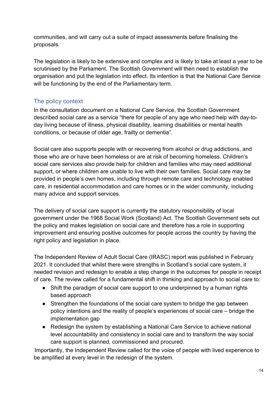communities, and will carry out a suite of impact assessments before finalising the proposals.

The legislation is likely to be extensive and complex and is likely to take at least a year to be scrutinised by the Parliament. The Scottish Government will then need to establish the organisation and put the legislation into effect. Its intention is that the National Care Service will be functioning by the end of the Parliamentary term.

# <span id="page-14-0"></span>The policy context

In the consultation document on a National Care Service, the Scottish Government described social care as a service "there for people of any age who need help with day-today living because of illness, physical disability, learning disabilities or mental health conditions, or because of older age, frailty or dementia".

Social care also supports people with or recovering from alcohol or drug addictions, and those who are or have been homeless or are at risk of becoming homeless. Children's social care services also provide help for children and families who may need additional support, or where children are unable to live with their own families. Social care may be provided in people's own homes, including through remote care and technology enabled care, in residential accommodation and care homes or in the wider community, including many advice and support services.

The delivery of social care support is currently the statutory responsibility of local government under the 1968 Social Work (Scotland) Act. The Scottish Government sets out the policy and makes legislation on social care and therefore has a role in supporting improvement and ensuring positive outcomes for people across the country by having the right policy and legislation in place.

The Independent Review of Adult Social Care (IRASC) report was published in February 2021. It concluded that whilst there were strengths in Scotland's social care system, it needed revision and redesign to enable a step change in the outcomes for people in receipt of care. The review called for a fundamental shift in thinking and approach to social care to:

- Shift the paradigm of social care support to one underpinned by a human rights based approach
- Strengthen the foundations of the social care system to bridge the gap between policy intentions and the reality of people's experiences of social care – bridge the implementation gap
- Redesign the system by establishing a National Care Service to achieve national level accountability and consistency in social care and to transform the way social care support is planned, commissioned and procured.

Importantly, the Independent Review called for the voice of people with lived experience to be amplified at every level in the redesign of the system.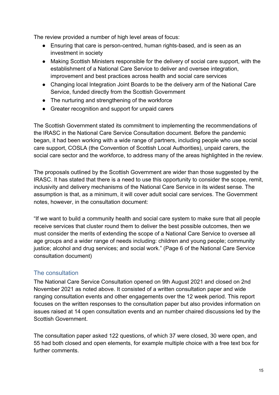The review provided a number of high level areas of focus:

- Ensuring that care is person-centred, human rights-based, and is seen as an investment in society
- Making Scottish Ministers responsible for the delivery of social care support, with the establishment of a National Care Service to deliver and oversee integration, improvement and best practices across health and social care services
- Changing local Integration Joint Boards to be the delivery arm of the National Care Service, funded directly from the Scottish Government
- The nurturing and strengthening of the workforce
- Greater recognition and support for unpaid carers

The Scottish Government stated its commitment to implementing the recommendations of the IRASC in the National Care Service Consultation document. Before the pandemic began, it had been working with a wide range of partners, including people who use social care support, COSLA (the Convention of Scottish Local Authorities), unpaid carers, the social care sector and the workforce, to address many of the areas highlighted in the review.

The proposals outlined by the Scottish Government are wider than those suggested by the IRASC. It has stated that there is a need to use this opportunity to consider the scope, remit, inclusivity and delivery mechanisms of the National Care Service in its widest sense. The assumption is that, as a minimum, it will cover adult social care services. The Government notes, however, in the consultation document:

"If we want to build a community health and social care system to make sure that all people receive services that cluster round them to deliver the best possible outcomes, then we must consider the merits of extending the scope of a National Care Service to oversee all age groups and a wider range of needs including: children and young people; community justice; alcohol and drug services; and social work." (Page 6 of the National Care Service consultation document)

# <span id="page-15-0"></span>The consultation

The National Care Service Consultation opened on 9th August 2021 and closed on 2nd November 2021 as noted above. It consisted of a written consultation paper and wide ranging consultation events and other engagements over the 12 week period. This report focuses on the written responses to the consultation paper but also provides information on issues raised at 14 open consultation events and an number chaired discussions led by the Scottish Government.

The consultation paper asked 122 questions, of which 37 were closed, 30 were open, and 55 had both closed and open elements, for example multiple choice with a free text box for further comments.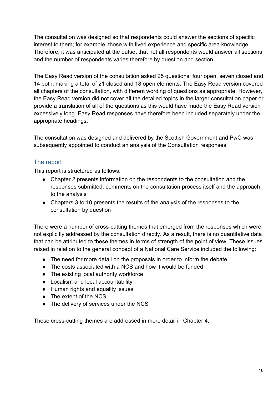The consultation was designed so that respondents could answer the sections of specific interest to them; for example, those with lived experience and specific area knowledge. Therefore, it was anticipated at the outset that not all respondents would answer all sections and the number of respondents varies therefore by question and section.

The Easy Read version of the consultation asked 25 questions, four open, seven closed and 14 both, making a total of 21 closed and 18 open elements. The Easy Read version covered all chapters of the consultation, with different wording of questions as appropriate. However, the Easy Read version did not cover all the detailed topics in the larger consultation paper or provide a translation of all of the questions as this would have made the Easy Read version excessively long. Easy Read responses have therefore been included separately under the appropriate headings.

The consultation was designed and delivered by the Scottish Government and PwC was subsequently appointed to conduct an analysis of the Consultation responses.

# <span id="page-16-0"></span>The report

This report is structured as follows:

- Chapter 2 presents information on the respondents to the consultation and the responses submitted, comments on the consultation process itself and the approach to the analysis
- Chapters 3 to 10 presents the results of the analysis of the responses to the consultation by question

There were a number of cross-cutting themes that emerged from the responses which were not explicitly addressed by the consultation directly. As a result, there is no quantitative data that can be attributed to these themes in terms of strength of the point of view. These issues raised in relation to the general concept of a National Care Service included the following:

- The need for more detail on the proposals in order to inform the debate
- The costs associated with a NCS and how it would be funded
- The existing local authority workforce
- Localism and local accountability
- Human rights and equality issues
- The extent of the NCS
- The delivery of services under the NCS

These cross-cutting themes are addressed in more detail in Chapter 4.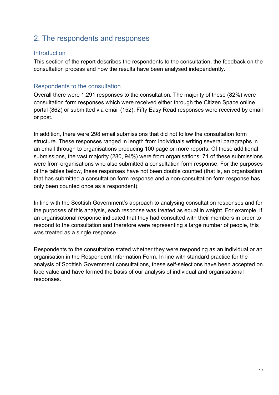# <span id="page-17-0"></span>2. The respondents and responses

#### <span id="page-17-1"></span>**Introduction**

This section of the report describes the respondents to the consultation, the feedback on the consultation process and how the results have been analysed independently.

# <span id="page-17-2"></span>Respondents to the consultation

Overall there were 1,291 responses to the consultation. The majority of these (82%) were consultation form responses which were received either through the Citizen Space online portal (862) or submitted via email (152). Fifty Easy Read responses were received by email or post.

In addition, there were 298 email submissions that did not follow the consultation form structure. These responses ranged in length from individuals writing several paragraphs in an email through to organisations producing 100 page or more reports. Of these additional submissions, the vast majority (280, 94%) were from organisations: 71 of these submissions were from organisations who also submitted a consultation form response. For the purposes of the tables below, these responses have not been double counted (that is, an organisation that has submitted a consultation form response and a non-consultation form response has only been counted once as a respondent).

In line with the Scottish Government's approach to analysing consultation responses and for the purposes of this analysis, each response was treated as equal in weight. For example, if an organisational response indicated that they had consulted with their members in order to respond to the consultation and therefore were representing a large number of people, this was treated as a single response.

Respondents to the consultation stated whether they were responding as an individual or an organisation in the Respondent Information Form. In line with standard practice for the analysis of Scottish Government consultations, these self-selections have been accepted on face value and have formed the basis of our analysis of individual and organisational responses.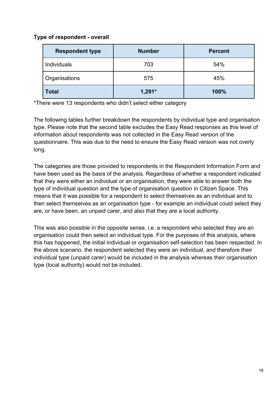#### **Type of respondent - overall**

| <b>Respondent type</b> | <b>Number</b> | <b>Percent</b> |
|------------------------|---------------|----------------|
| Individuals            | 703           | 54%            |
| Organisations          | 575           | 45%            |
| <b>Total</b>           | $1,291*$      | 100%           |

\*There were 13 respondents who didn't select either category

The following tables further breakdown the respondents by individual type and organisation type. Please note that the second table excludes the Easy Read responses as this level of information about respondents was not collected in the Easy Read version of the questionnaire. This was due to the need to ensure the Easy Read version was not overly long.

The categories are those provided to respondents in the Respondent Information Form and have been used as the basis of the analysis. Regardless of whether a respondent indicated that they were either an individual or an organisation, they were able to answer both the type of individual question and the type of organisation question in Citizen Space. This means that it was possible for a respondent to select themselves as an individual and to then select themselves as an organisation type - for example an individual could select they are, or have been, an unpaid carer, and also that they are a local authority.

This was also possible in the opposite sense, i.e. a respondent who selected they are an organisation could then select an individual type. For the purposes of this analysis, where this has happened, the initial individual or organisation self-selection has been respected. In the above scenario, the respondent selected they were an individual, and therefore their individual type (unpaid carer) would be included in the analysis whereas their organisation type (local authority) would not be included.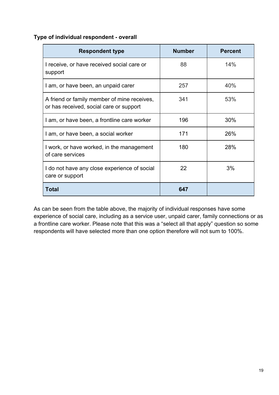#### **Type of individual respondent - overall**

| <b>Respondent type</b>                                                                 | <b>Number</b> | <b>Percent</b> |
|----------------------------------------------------------------------------------------|---------------|----------------|
| I receive, or have received social care or<br>support                                  | 88            | 14%            |
| I am, or have been, an unpaid carer                                                    | 257           | 40%            |
| A friend or family member of mine receives,<br>or has received, social care or support | 341           | 53%            |
| I am, or have been, a frontline care worker                                            | 196           | 30%            |
| I am, or have been, a social worker                                                    | 171           | 26%            |
| I work, or have worked, in the management<br>of care services                          | 180           | 28%            |
| I do not have any close experience of social<br>care or support                        | 22            | 3%             |
| Total                                                                                  | 647           |                |

As can be seen from the table above, the majority of individual responses have some experience of social care, including as a service user, unpaid carer, family connections or as a frontline care worker. Please note that this was a "select all that apply" question so some respondents will have selected more than one option therefore will not sum to 100%.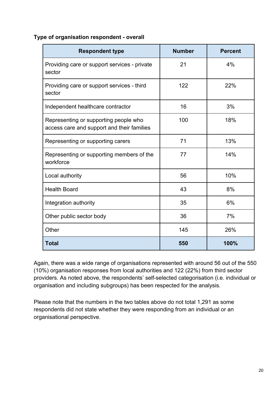| Type of organisation respondent - overall |  |
|-------------------------------------------|--|
|-------------------------------------------|--|

| <b>Respondent type</b>                                                              | <b>Number</b> | <b>Percent</b> |
|-------------------------------------------------------------------------------------|---------------|----------------|
| Providing care or support services - private<br>sector                              | 21            | 4%             |
| Providing care or support services - third<br>sector                                | 122           | 22%            |
| Independent healthcare contractor                                                   | 16            | 3%             |
| Representing or supporting people who<br>access care and support and their families | 100           | 18%            |
| Representing or supporting carers                                                   | 71            | 13%            |
| Representing or supporting members of the<br>workforce                              | 77            | 14%            |
| Local authority                                                                     | 56            | 10%            |
| <b>Health Board</b>                                                                 | 43            | 8%             |
| Integration authority                                                               | 35            | 6%             |
| Other public sector body                                                            | 36            | 7%             |
| Other                                                                               | 145           | 26%            |
| <b>Total</b>                                                                        | 550           | 100%           |

Again, there was a wide range of organisations represented with around 56 out of the 550 (10%) organisation responses from local authorities and 122 (22%) from third sector providers. As noted above, the respondents' self-selected categorisation (i.e. individual or organisation and including subgroups) has been respected for the analysis.

<span id="page-20-0"></span>Please note that the numbers in the two tables above do not total 1,291 as some respondents did not state whether they were responding from an individual or an organisational perspective.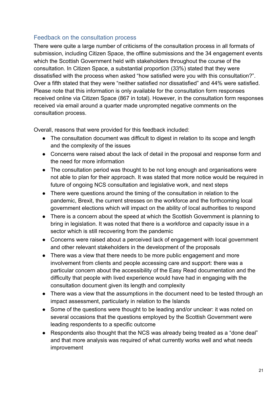# Feedback on the consultation process

There were quite a large number of criticisms of the consultation process in all formats of submission, including Citizen Space, the offline submissions and the 34 engagement events which the Scottish Government held with stakeholders throughout the course of the consultation. In Citizen Space, a substantial proportion (33%) stated that they were dissatisfied with the process when asked "how satisfied were you with this consultation?". Over a fifth stated that they were "neither satisfied nor dissatisfied" and 44% were satisfied. Please note that this information is only available for the consultation form responses received online via Citizen Space (867 in total). However, in the consultation form responses received via email around a quarter made unprompted negative comments on the consultation process.

Overall, reasons that were provided for this feedback included:

- The consultation document was difficult to digest in relation to its scope and length and the complexity of the issues
- Concerns were raised about the lack of detail in the proposal and response form and the need for more information
- The consultation period was thought to be not long enough and organisations were not able to plan for their approach. It was stated that more notice would be required in future of ongoing NCS consultation and legislative work, and next steps
- There were questions around the timing of the consultation in relation to the pandemic, Brexit, the current stresses on the workforce and the forthcoming local government elections which will impact on the ability of local authorities to respond
- There is a concern about the speed at which the Scottish Government is planning to bring in legislation. It was noted that there is a workforce and capacity issue in a sector which is still recovering from the pandemic
- Concerns were raised about a perceived lack of engagement with local government and other relevant stakeholders in the development of the proposals
- There was a view that there needs to be more public engagement and more involvement from clients and people accessing care and support: there was a particular concern about the accessibility of the Easy Read documentation and the difficulty that people with lived experience would have had in engaging with the consultation document given its length and complexity
- There was a view that the assumptions in the document need to be tested through an impact assessment, particularly in relation to the Islands
- Some of the questions were thought to be leading and/or unclear: it was noted on several occasions that the questions employed by the Scottish Government were leading respondents to a specific outcome
- Respondents also thought that the NCS was already being treated as a "done deal" and that more analysis was required of what currently works well and what needs improvement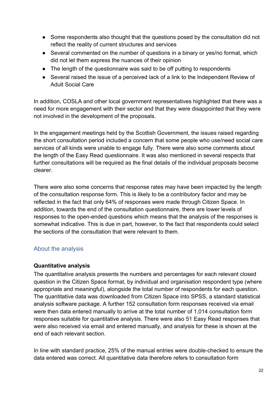- Some respondents also thought that the questions posed by the consultation did not reflect the reality of current structures and services
- Several commented on the number of questions in a binary or yes/no format, which did not let them express the nuances of their opinion
- The length of the questionnaire was said to be off putting to respondents
- Several raised the issue of a perceived lack of a link to the Independent Review of Adult Social Care

In addition, COSLA and other local government representatives highlighted that there was a need for more engagement with their sector and that they were disappointed that they were not involved in the development of the proposals.

In the engagement meetings held by the Scottish Government, the issues raised regarding the short consultation period included a concern that some people who use/need social care services of all kinds were unable to engage fully. There were also some comments about the length of the Easy Read questionnaire. It was also mentioned in several respects that further consultations will be required as the final details of the individual proposals become clearer.

There were also some concerns that response rates may have been impacted by the length of the consultation response form. This is likely to be a contributory factor and may be reflected in the fact that only 64% of responses were made through Citizen Space. In addition, towards the end of the consultation questionnaire, there are lower levels of responses to the open-ended questions which means that the analysis of the responses is somewhat indicative. This is due in part, however, to the fact that respondents could select the sections of the consultation that were relevant to them.

# <span id="page-22-0"></span>About the analysis

#### **Quantitative analysis**

The quantitative analysis presents the numbers and percentages for each relevant closed question in the Citizen Space format, by individual and organisation respondent type (where appropriate and meaningful), alongside the total number of respondents for each question. The quantitative data was downloaded from Citizen Space into SPSS, a standard statistical analysis software package. A further 152 consultation form responses received via email were then data entered manually to arrive at the total number of 1,014 consultation form responses suitable for quantitative analysis. There were also 51 Easy Read responses that were also received via email and entered manually, and analysis for these is shown at the end of each relevant section.

In line with standard practice, 25% of the manual entries were double-checked to ensure the data entered was correct. All quantitative data therefore refers to consultation form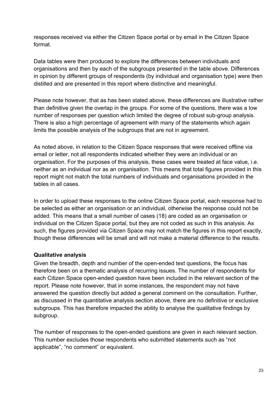responses received via either the Citizen Space portal or by email in the Citizen Space format.

Data tables were then produced to explore the differences between individuals and organisations and then by each of the subgroups presented in the table above. Differences in opinion by different groups of respondents (by individual and organisation type) were then distilled and are presented in this report where distinctive and meaningful.

Please note however, that as has been stated above, these differences are illustrative rather than definitive given the overlap in the groups. For some of the questions, there was a low number of responses per question which limited the degree of robust sub-group analysis. There is also a high percentage of agreement with many of the statements which again limits the possible analysis of the subgroups that are not in agreement.

As noted above, in relation to the Citizen Space responses that were received offline via email or letter, not all respondents indicated whether they were an individual or an organisation. For the purposes of this analysis, these cases were treated at face value, i.e. neither as an individual nor as an organisation. This means that total figures provided in this report might not match the total numbers of individuals and organisations provided in the tables in all cases.

In order to upload these responses to the online Citizen Space portal, each response had to be selected as either an organisation or an individual, otherwise the response could not be added. This means that a small number of cases (18) are coded as an organisation or individual on the Citizen Space portal, but they are not coded as such in this analysis. As such, the figures provided via Citizen Space may not match the figures in this report exactly, though these differences will be small and will not make a material difference to the results.

#### **Qualitative analysis**

Given the breadth, depth and number of the open-ended text questions, the focus has therefore been on a thematic analysis of recurring issues. The number of respondents for each Citizen Space open-ended question have been included in the relevant section of the report. Please note however, that in some instances, the respondent may not have answered the question directly but added a general comment on the consultation. Further, as discussed in the quantitative analysis section above, there are no definitive or exclusive subgroups. This has therefore impacted the ability to analyse the qualitative findings by subgroup.

The number of responses to the open-ended questions are given in each relevant section. This number excludes those respondents who submitted statements such as "not applicable", "no comment" or equivalent.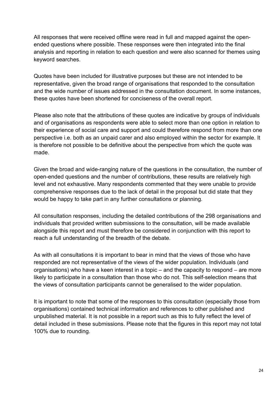All responses that were received offline were read in full and mapped against the openended questions where possible. These responses were then integrated into the final analysis and reporting in relation to each question and were also scanned for themes using keyword searches.

Quotes have been included for illustrative purposes but these are not intended to be representative, given the broad range of organisations that responded to the consultation and the wide number of issues addressed in the consultation document. In some instances, these quotes have been shortened for conciseness of the overall report.

Please also note that the attributions of these quotes are indicative by groups of individuals and of organisations as respondents were able to select more than one option in relation to their experience of social care and support and could therefore respond from more than one perspective i.e. both as an unpaid carer and also employed within the sector for example. It is therefore not possible to be definitive about the perspective from which the quote was made.

Given the broad and wide-ranging nature of the questions in the consultation, the number of open-ended questions and the number of contributions, these results are relatively high level and not exhaustive. Many respondents commented that they were unable to provide comprehensive responses due to the lack of detail in the proposal but did state that they would be happy to take part in any further consultations or planning.

All consultation responses, including the detailed contributions of the 298 organisations and individuals that provided written submissions to the consultation, will be made available alongside this report and must therefore be considered in conjunction with this report to reach a full understanding of the breadth of the debate.

As with all consultations it is important to bear in mind that the views of those who have responded are not representative of the views of the wider population. Individuals (and organisations) who have a keen interest in a topic – and the capacity to respond – are more likely to participate in a consultation than those who do not. This self-selection means that the views of consultation participants cannot be generalised to the wider population.

It is important to note that some of the responses to this consultation (especially those from organisations) contained technical information and references to other published and unpublished material. It is not possible in a report such as this to fully reflect the level of detail included in these submissions. Please note that the figures in this report may not total 100% due to rounding.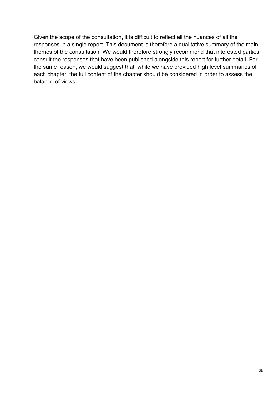Given the scope of the consultation, it is difficult to reflect all the nuances of all the responses in a single report. This document is therefore a qualitative summary of the main themes of the consultation. We would therefore strongly recommend that interested parties consult the responses that have been published alongside this report for further detail. For the same reason, we would suggest that, while we have provided high level summaries of each chapter, the full content of the chapter should be considered in order to assess the balance of views.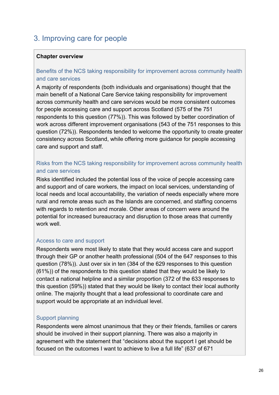# <span id="page-26-0"></span>3. Improving care for people

#### **Chapter overview**

#### Benefits of the NCS taking responsibility for improvement across community health and care services

A majority of respondents (both individuals and organisations) thought that the main benefit of a National Care Service taking responsibility for improvement across community health and care services would be more consistent outcomes for people accessing care and support across Scotland (575 of the 751 respondents to this question (77%)). This was followed by better coordination of work across different improvement organisations (543 of the 751 responses to this question (72%)). Respondents tended to welcome the opportunity to create greater consistency across Scotland, while offering more guidance for people accessing care and support and staff.

#### Risks from the NCS taking responsibility for improvement across community health and care services

Risks identified included the potential loss of the voice of people accessing care and support and of care workers, the impact on local services, understanding of local needs and local accountability, the variation of needs especially where more rural and remote areas such as the Islands are concerned, and staffing concerns with regards to retention and morale. Other areas of concern were around the potential for increased bureaucracy and disruption to those areas that currently work well

#### Access to care and support

Respondents were most likely to state that they would access care and support through their GP or another health professional (504 of the 647 responses to this question (78%)). Just over six in ten (384 of the 629 responses to this question (61%)) of the respondents to this question stated that they would be likely to contact a national helpline and a similar proportion (372 of the 633 responses to this question (59%)) stated that they would be likely to contact their local authority online. The majority thought that a lead professional to coordinate care and support would be appropriate at an individual level.

#### Support planning

Respondents were almost unanimous that they or their friends, families or carers should be involved in their support planning. There was also a majority in agreement with the statement that "decisions about the support I get should be focused on the outcomes I want to achieve to live a full life" (637 of 671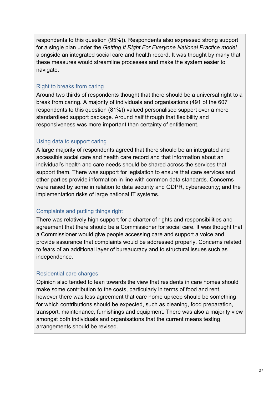respondents to this question (95%)). Respondents also expressed strong support for a single plan under the *Getting It Right For Everyone National Practice model*  alongside an integrated social care and health record. It was thought by many that these measures would streamline processes and make the system easier to navigate.

# Right to breaks from caring

Around two thirds of respondents thought that there should be a universal right to a break from caring. A majority of individuals and organisations (491 of the 607 respondents to this question (81%)) valued personalised support over a more standardised support package. Around half through that flexibility and responsiveness was more important than certainty of entitlement.

# Using data to support caring

A large majority of respondents agreed that there should be an integrated and accessible social care and health care record and that information about an individual's health and care needs should be shared across the services that support them. There was support for legislation to ensure that care services and other parties provide information in line with common data standards. Concerns were raised by some in relation to data security and GDPR, cybersecurity; and the implementation risks of large national IT systems.

# Complaints and putting things right

There was relatively high support for a charter of rights and responsibilities and agreement that there should be a Commissioner for social care. It was thought that a Commissioner would give people accessing care and support a voice and provide assurance that complaints would be addressed properly. Concerns related to fears of an additional layer of bureaucracy and to structural issues such as independence.

# Residential care charges

Opinion also tended to lean towards the view that residents in care homes should make some contribution to the costs, particularly in terms of food and rent, however there was less agreement that care home upkeep should be something for which contributions should be expected, such as cleaning, food preparation, transport, maintenance, furnishings and equipment. There was also a majority view amongst both individuals and organisations that the current means testing arrangements should be revised.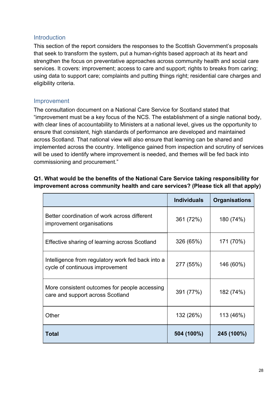#### <span id="page-28-0"></span>**Introduction**

This section of the report considers the responses to the Scottish Government's proposals that seek to transform the system, put a human-rights based approach at its heart and strengthen the focus on preventative approaches across community health and social care services. It covers: improvement; access to care and support; rights to breaks from caring; using data to support care; complaints and putting things right; residential care charges and eligibility criteria.

#### <span id="page-28-1"></span>Improvement

The consultation document on a National Care Service for Scotland stated that "improvement must be a key focus of the NCS. The establishment of a single national body, with clear lines of accountability to Ministers at a national level, gives us the opportunity to ensure that consistent, high standards of performance are developed and maintained across Scotland. That national view will also ensure that learning can be shared and implemented across the country. Intelligence gained from inspection and scrutiny of services will be used to identify where improvement is needed, and themes will be fed back into commissioning and procurement."

# **Q1. What would be the benefits of the National Care Service taking responsibility for improvement across community health and care services? (Please tick all that apply)**

|                                                                                      | <b>Individuals</b> | <b>Organisations</b> |
|--------------------------------------------------------------------------------------|--------------------|----------------------|
| Better coordination of work across different<br>improvement organisations            | 361 (72%)          | 180 (74%)            |
| Effective sharing of learning across Scotland                                        | 326 (65%)          | 171 (70%)            |
| Intelligence from regulatory work fed back into a<br>cycle of continuous improvement | 277 (55%)          | 146 (60%)            |
| More consistent outcomes for people accessing<br>care and support across Scotland    | 391 (77%)          | 182 (74%)            |
| Other                                                                                | 132 (26%)          | 113 (46%)            |
| Total                                                                                | 504 (100%)         | 245 (100%)           |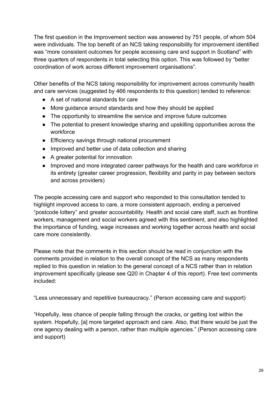The first question in the Improvement section was answered by 751 people, of whom 504 were individuals. The top benefit of an NCS taking responsibility for improvement identified was "more consistent outcomes for people accessing care and support in Scotland" with three quarters of respondents in total selecting this option. This was followed by "better coordination of work across different improvement organisations".

Other benefits of the NCS taking responsibility for improvement across community health and care services (suggested by 466 respondents to this question) tended to reference:

- A set of national standards for care
- More guidance around standards and how they should be applied
- The opportunity to streamline the service and improve future outcomes
- The potential to present knowledge sharing and upskilling opportunities across the workforce
- Efficiency savings through national procurement
- Improved and better use of data collection and sharing
- A greater potential for innovation
- Improved and more integrated career pathways for the health and care workforce in its entirety (greater career progression, flexibility and parity in pay between sectors and across providers)

The people accessing care and support who responded to this consultation tended to highlight improved access to care, a more consistent approach, ending a perceived "postcode lottery" and greater accountability. Health and social care staff, such as frontline workers, management and social workers agreed with this sentiment, and also highlighted the importance of funding, wage increases and working together across health and social care more consistently.

Please note that the comments in this section should be read in conjunction with the comments provided in relation to the overall concept of the NCS as many respondents replied to this question in relation to the general concept of a NCS rather than in relation improvement specifically (please see Q20 in Chapter 4 of this report). Free text comments included:

"Less unnecessary and repetitive bureaucracy." (Person accessing care and support)

"Hopefully, less chance of people falling through the cracks, or getting lost within the system. Hopefully, [a] more targeted approach and care. Also, that there would be just the one agency dealing with a person, rather than multiple agencies." (Person accessing care and support)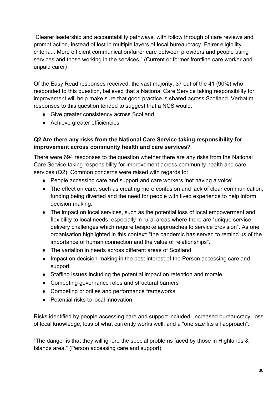"Clearer leadership and accountability pathways, with follow through of care reviews and prompt action, instead of lost in multiple layers of local bureaucracy. Fairer eligibility criteria... More efficient communication/fairer care between providers and people using services and those working in the services." (Current or former frontline care worker and unpaid carer)

Of the Easy Read responses received, the vast majority, 37 out of the 41 (90%) who responded to this question, believed that a National Care Service taking responsibility for improvement will help make sure that good practice is shared across Scotland. Verbatim responses to this question tended to suggest that a NCS would:

- Give greater consistency across Scotland
- Achieve greater efficiencies

# **Q2 Are there any risks from the National Care Service taking responsibility for improvement across community health and care services?**

There were 694 responses to the question whether there are any risks from the National Care Service taking responsibility for improvement across community health and care services (Q2). Common concerns were raised with regards to:

- People accessing care and support and care workers 'not having a voice'
- The effect on care, such as creating more confusion and lack of clear communication, funding being diverted and the need for people with lived experience to help inform decision making.
- The impact on local services, such as the potential loss of local empowerment and flexibility to local needs, especially in rural areas where there are "unique service delivery challenges which require bespoke approaches to service provision". As one organisation highlighted in this context: "the pandemic has served to remind us of the importance of human connection and the value of relationships".
- The variation in needs across different areas of Scotland
- Impact on decision-making in the best interest of the Person accessing care and support
- Staffing issues including the potential impact on retention and morale
- Competing governance roles and structural barriers
- Competing priorities and performance frameworks
- Potential risks to local innovation

Risks identified by people accessing care and support included: increased bureaucracy; loss of local knowledge; loss of what currently works well; and a "one size fits all approach":

"The danger is that they will ignore the special problems faced by those in Highlands & Islands area." (Person accessing care and support)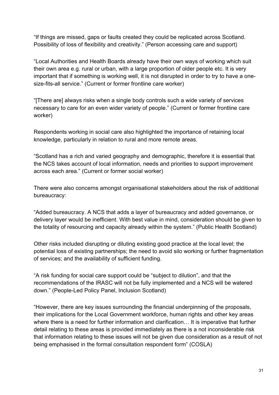"If things are missed, gaps or faults created they could be replicated across Scotland. Possibility of loss of flexibility and creativity." (Person accessing care and support)

"Local Authorities and Health Boards already have their own ways of working which suit their own area e.g. rural or urban, with a large proportion of older people etc. It is very important that if something is working well, it is not disrupted in order to try to have a onesize-fits-all service." (Current or former frontline care worker)

"[There are] always risks when a single body controls such a wide variety of services necessary to care for an even wider variety of people." (Current or former frontline care worker)

Respondents working in social care also highlighted the importance of retaining local knowledge, particularly in relation to rural and more remote areas.

"Scotland has a rich and varied geography and demographic, therefore it is essential that the NCS takes account of local information, needs and priorities to support improvement across each area." (Current or former social worker)

There were also concerns amongst organisational stakeholders about the risk of additional bureaucracy:

"Added bureaucracy. A NCS that adds a layer of bureaucracy and added governance, or delivery layer would be inefficient. With best value in mind, consideration should be given to the totality of resourcing and capacity already within the system." (Public Health Scotland)

Other risks included disrupting or diluting existing good practice at the local level; the potential loss of existing partnerships; the need to avoid silo working or further fragmentation of services; and the availability of sufficient funding.

"A risk funding for social care support could be "subject to dilution", and that the recommendations of the IRASC will not be fully implemented and a NCS will be watered down." (People-Led Policy Panel, Inclusion Scotland)

"However, there are key issues surrounding the financial underpinning of the proposals, their implications for the Local Government workforce, human rights and other key areas where there is a need for further information and clarification… It is imperative that further detail relating to these areas is provided immediately as there is a not inconsiderable risk that information relating to these issues will not be given due consideration as a result of not being emphasised in the formal consultation respondent form" (COSLA)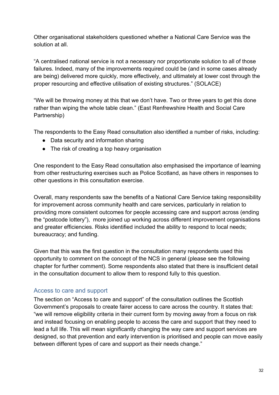Other organisational stakeholders questioned whether a National Care Service was the solution at all.

"A centralised national service is not a necessary nor proportionate solution to all of those failures. Indeed, many of the improvements required could be (and in some cases already are being) delivered more quickly, more effectively, and ultimately at lower cost through the proper resourcing and effective utilisation of existing structures." (SOLACE)

"We will be throwing money at this that we don't have. Two or three years to get this done rather than wiping the whole table clean." (East Renfrewshire Health and Social Care Partnership)

The respondents to the Easy Read consultation also identified a number of risks, including:

- Data security and information sharing
- The risk of creating a top heavy organisation

One respondent to the Easy Read consultation also emphasised the importance of learning from other restructuring exercises such as Police Scotland, as have others in responses to other questions in this consultation exercise.

Overall, many respondents saw the benefits of a National Care Service taking responsibility for improvement across community health and care services, particularly in relation to providing more consistent outcomes for people accessing care and support across (ending the "postcode lottery"), more joined up working across different improvement organisations and greater efficiencies. Risks identified included the ability to respond to local needs; bureaucracy; and funding.

Given that this was the first question in the consultation many respondents used this opportunity to comment on the concept of the NCS in general (please see the following chapter for further comment). Some respondents also stated that there is insufficient detail in the consultation document to allow them to respond fully to this question.

# <span id="page-32-0"></span>Access to care and support

The section on "Access to care and support" of the consultation outlines the Scottish Government's proposals to create fairer access to care across the country. It states that: "we will remove eligibility criteria in their current form by moving away from a focus on risk and instead focusing on enabling people to access the care and support that they need to lead a full life. This will mean significantly changing the way care and support services are designed, so that prevention and early intervention is prioritised and people can move easily between different types of care and support as their needs change."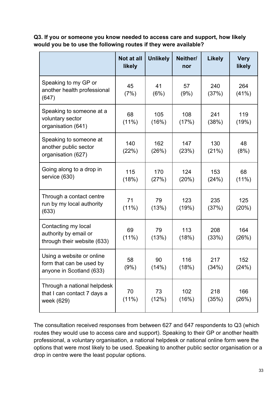**Q3. If you or someone you know needed to access care and support, how likely would you be to use the following routes if they were available?**

|                                                                                   | Not at all<br>likely | <b>Unlikely</b> | Neither/<br>nor | <b>Likely</b> | <b>Very</b><br>likely |
|-----------------------------------------------------------------------------------|----------------------|-----------------|-----------------|---------------|-----------------------|
| Speaking to my GP or<br>another health professional<br>(647)                      | 45<br>(7%)           | 41<br>(6%)      | 57<br>(9%)      | 240<br>(37%)  | 264<br>(41%)          |
| Speaking to someone at a<br>voluntary sector<br>organisation (641)                | 68<br>$(11\%)$       | 105<br>(16%)    | 108<br>(17%)    | 241<br>(38%)  | 119<br>(19%)          |
| Speaking to someone at<br>another public sector<br>organisation (627)             | 140<br>(22%)         | 162<br>(26%)    | 147<br>(23%)    | 130<br>(21%)  | 48<br>(8%)            |
| Going along to a drop in<br>service (630)                                         | 115<br>(18%)         | 170<br>(27%)    | 124<br>(20%)    | 153<br>(24%)  | 68<br>$(11\%)$        |
| Through a contact centre<br>run by my local authority<br>(633)                    | 71<br>$(11\%)$       | 79<br>(13%)     | 123<br>(19%)    | 235<br>(37%)  | 125<br>(20%)          |
| Contacting my local<br>authority by email or<br>through their website (633)       | 69<br>$(11\%)$       | 79<br>(13%)     | 113<br>(18%)    | 208<br>(33%)  | 164<br>(26%)          |
| Using a website or online<br>form that can be used by<br>anyone in Scotland (633) | 58<br>(9%)           | 90<br>(14%)     | 116<br>(18%)    | 217<br>(34%)  | 152<br>(24%)          |
| Through a national helpdesk<br>that I can contact 7 days a<br>week (629)          | 70<br>$(11\%)$       | 73<br>(12%)     | 102<br>(16%)    | 218<br>(35%)  | 166<br>(26%)          |

The consultation received responses from between 627 and 647 respondents to Q3 (which routes they would use to access care and support). Speaking to their GP or another health professional, a voluntary organisation, a national helpdesk or national online form were the options that were most likely to be used. Speaking to another public sector organisation or a drop in centre were the least popular options.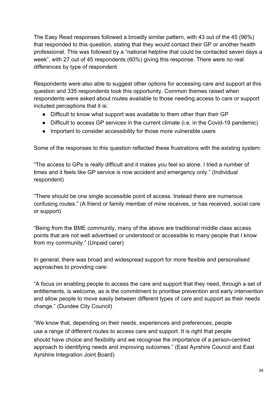The Easy Read responses followed a broadly similar pattern, with 43 out of the 45 (96%) that responded to this question, stating that they would contact their GP or another health professional. This was followed by a "national helpline that could be contacted seven days a week", with 27 out of 45 respondents (60%) giving this response. There were no real differences by type of respondent.

Respondents were also able to suggest other options for accessing care and support at this question and 335 respondents took this opportunity. Common themes raised when respondents were asked about routes available to those needing access to care or support included perceptions that it is:

- Difficult to know what support was available to them other than their GP
- Difficult to access GP services in the current climate (i.e. in the Covid-19 pandemic)
- Important to consider accessibility for those more vulnerable users

Some of the responses to this question reflected these frustrations with the existing system:

"The access to GPs is really difficult and it makes you feel so alone. I tried a number of times and it feels like GP service is now accident and emergency only." (Individual respondent)

"There should be one single accessible point of access. Instead there are numerous confusing routes." (A friend or family member of mine receives, or has received, social care or support)

"Being from the BME community, many of the above are traditional middle class access points that are not well advertised or understood or accessible to many people that I know from my community." (Unpaid carer)

In general, there was broad and widespread support for more flexible and personalised approaches to providing care:

"A focus on enabling people to access the care and support that they need, through a set of entitlements, is welcome, as is the commitment to prioritise prevention and early intervention and allow people to move easily between different types of care and support as their needs change." (Dundee City Council)

"We know that, depending on their needs, experiences and preferences, people use a range of different routes to access care and support. It is right that people should have choice and flexibility and we recognise the importance of a person-centred approach to identifying needs and improving outcomes." (East Ayrshire Council and East Ayrshire Integration Joint Board)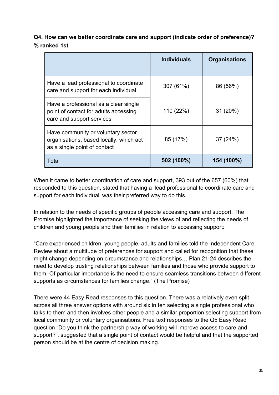**Q4. How can we better coordinate care and support (indicate order of preference)? % ranked 1st**

|                                                                                                               | <b>Individuals</b> | <b>Organisations</b> |
|---------------------------------------------------------------------------------------------------------------|--------------------|----------------------|
| Have a lead professional to coordinate<br>care and support for each individual                                | 307 (61%)          | 86 (56%)             |
| Have a professional as a clear single<br>point of contact for adults accessing<br>care and support services   | 110 (22%)          | 31(20%)              |
| Have community or voluntary sector<br>organisations, based locally, which act<br>as a single point of contact | 85 (17%)           | 37 (24%)             |
| Total                                                                                                         | 502 (100%)         | 154 (100%)           |

When it came to better coordination of care and support, 393 out of the 657 (60%) that responded to this question, stated that having a 'lead professional to coordinate care and support for each individual' was their preferred way to do this.

In relation to the needs of specific groups of people accessing care and support, The Promise highlighted the importance of seeking the views of and reflecting the needs of children and young people and their families in relation to accessing support:

"Care experienced children, young people, adults and families told the Independent Care Review about a multitude of preferences for support and called for recognition that these might change depending on circumstance and relationships… Plan 21-24 describes the need to develop trusting relationships between families and those who provide support to them. Of particular importance is the need to ensure seamless transitions between different supports as circumstances for families change." (The Promise)

There were 44 Easy Read responses to this question. There was a relatively even split across all three answer options with around six in ten selecting a single professional who talks to them and then involves other people and a similar proportion selecting support from local community or voluntary organisations. Free text responses to the Q5 Easy Read question "Do you think the partnership way of working will improve access to care and support?", suggested that a single point of contact would be helpful and that the supported person should be at the centre of decision making.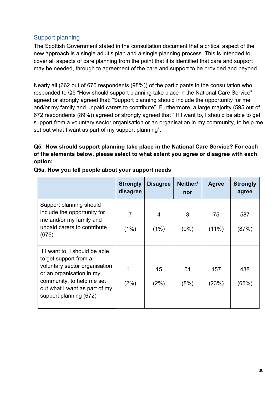## Support planning

The Scottish Government stated in the consultation document that a critical aspect of the new approach is a single adult's plan and a single planning process. This is intended to cover all aspects of care planning from the point that it is identified that care and support may be needed, through to agreement of the care and support to be provided and beyond.

Nearly all (662 out of 676 respondents (98%)) of the participants in the consultation who responded to Q5 "How should support planning take place in the National Care Service" agreed or strongly agreed that: "Support planning should include the opportunity for me and/or my family and unpaid carers to contribute". Furthermore, a large majority (595 out of 672 respondents (89%)) agreed or strongly agreed that " If I want to, I should be able to get support from a voluntary sector organisation or an organisation in my community, to help me set out what I want as part of my support planning".

## **Q5. How should support planning take place in the National Care Service? For each of the elements below, please select to what extent you agree or disagree with each option:**

|                                                                                                                                                                                                              | <b>Strongly</b><br>disagree | <b>Disagree</b>        | Neither/<br>nor | <b>Agree</b>   | <b>Strongly</b><br>agree |
|--------------------------------------------------------------------------------------------------------------------------------------------------------------------------------------------------------------|-----------------------------|------------------------|-----------------|----------------|--------------------------|
| Support planning should<br>include the opportunity for<br>me and/or my family and<br>unpaid carers to contribute<br>(676)                                                                                    | 7<br>(1%)                   | $\overline{4}$<br>(1%) | 3<br>$(0\%)$    | 75<br>$(11\%)$ | 587<br>(87%)             |
| If I want to, I should be able<br>to get support from a<br>voluntary sector organisation<br>or an organisation in my<br>community, to help me set<br>out what I want as part of my<br>support planning (672) | 11<br>(2%)                  | 15<br>(2%)             | 51<br>(8%)      | 157<br>(23%)   | 438<br>(65%)             |

**Q5a. How you tell people about your support needs**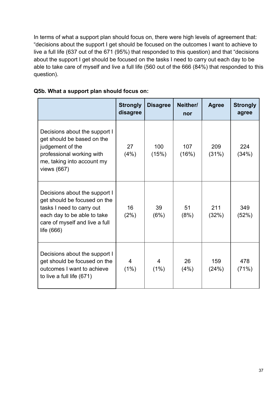In terms of what a support plan should focus on, there were high levels of agreement that: "decisions about the support I get should be focused on the outcomes I want to achieve to live a full life (637 out of the 671 (95%) that responded to this question) and that "decisions about the support I get should be focused on the tasks I need to carry out each day to be able to take care of myself and live a full life (560 out of the 666 (84%) that responded to this question).

|                                                                                                                                                                             | <b>Strongly</b><br>disagree | <b>Disagree</b> | Neither/<br>nor | <b>Agree</b> | <b>Strongly</b><br>agree |
|-----------------------------------------------------------------------------------------------------------------------------------------------------------------------------|-----------------------------|-----------------|-----------------|--------------|--------------------------|
| Decisions about the support I<br>get should be based on the<br>judgement of the<br>professional working with<br>me, taking into account my<br>views (667)                   | 27<br>(4%)                  | 100<br>(15%)    | 107<br>(16%)    | 209<br>(31%) | 224<br>(34%)             |
| Decisions about the support I<br>get should be focused on the<br>tasks I need to carry out<br>each day to be able to take<br>care of myself and live a full<br>life $(666)$ | 16<br>(2%)                  | 39<br>(6%)      | 51<br>(8%)      | 211<br>(32%) | 349<br>(52%)             |
| Decisions about the support I<br>get should be focused on the<br>outcomes I want to achieve<br>to live a full life (671)                                                    | 4<br>(1%)                   | 4<br>(1%)       | 26<br>(4%)      | 159<br>(24%) | 478<br>(71%)             |

## **Q5b. What a support plan should focus on:**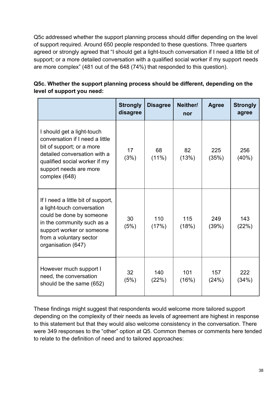Q5c addressed whether the support planning process should differ depending on the level of support required. Around 650 people responded to these questions. Three quarters agreed or strongly agreed that "I should get a light-touch conversation if I need a little bit of support; or a more detailed conversation with a qualified social worker if my support needs are more complex" (481 out of the 648 (74%) that responded to this question).

|                                                                                                                                                                                                          | <b>Strongly</b><br>disagree | <b>Disagree</b> | Neither/<br>nor | <b>Agree</b> | <b>Strongly</b><br>agree |
|----------------------------------------------------------------------------------------------------------------------------------------------------------------------------------------------------------|-----------------------------|-----------------|-----------------|--------------|--------------------------|
| I should get a light-touch<br>conversation if I need a little<br>bit of support; or a more<br>detailed conversation with a<br>qualified social worker if my<br>support needs are more<br>complex (648)   | 17<br>(3%)                  | 68<br>$(11\%)$  | 82<br>(13%)     | 225<br>(35%) | 256<br>(40%)             |
| If I need a little bit of support,<br>a light-touch conversation<br>could be done by someone<br>in the community such as a<br>support worker or someone<br>from a voluntary sector<br>organisation (647) | 30<br>(5%)                  | 110<br>(17%)    | 115<br>(18%)    | 249<br>(39%) | 143<br>(22%)             |
| However much support I<br>need, the conversation<br>should be the same (652)                                                                                                                             | 32<br>(5%)                  | 140<br>(22%)    | 101<br>(16%)    | 157<br>(24%) | 222<br>(34%)             |

**Q5c. Whether the support planning process should be different, depending on the level of support you need:**

These findings might suggest that respondents would welcome more tailored support depending on the complexity of their needs as levels of agreement are highest in response to this statement but that they would also welcome consistency in the conversation. There were 349 responses to the "other" option at Q5. Common themes or comments here tended to relate to the definition of need and to tailored approaches: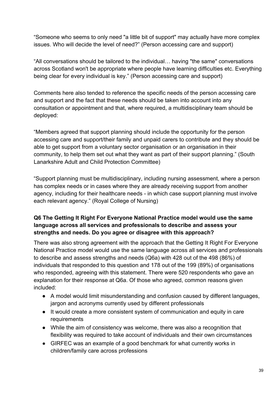"Someone who seems to only need "a little bit of support" may actually have more complex issues. Who will decide the level of need?" (Person accessing care and support)

"All conversations should be tailored to the individual… having "the same" conversations across Scotland won't be appropriate where people have learning difficulties etc. Everything being clear for every individual is key." (Person accessing care and support)

Comments here also tended to reference the specific needs of the person accessing care and support and the fact that these needs should be taken into account into any consultation or appointment and that, where required, a multidisciplinary team should be deployed:

"Members agreed that support planning should include the opportunity for the person accessing care and support/their family and unpaid carers to contribute and they should be able to get support from a voluntary sector organisation or an organisation in their community, to help them set out what they want as part of their support planning." (South Lanarkshire Adult and Child Protection Committee)

"Support planning must be multidisciplinary, including nursing assessment, where a person has complex needs or in cases where they are already receiving support from another agency, including for their healthcare needs - in which case support planning must involve each relevant agency." (Royal College of Nursing)

#### **Q6 The Getting It Right For Everyone National Practice model would use the same language across all services and professionals to describe and assess your strengths and needs. Do you agree or disagree with this approach?**

There was also strong agreement with the approach that the Getting It Right For Everyone National Practice model would use the same language across all services and professionals to describe and assess strengths and needs (Q6a) with 428 out of the 498 (86%) of individuals that responded to this question and 178 out of the 199 (89%) of organisations who responded, agreeing with this statement. There were 520 respondents who gave an explanation for their response at Q6a. Of those who agreed, common reasons given included:

- A model would limit misunderstanding and confusion caused by different languages, jargon and acronyms currently used by different professionals
- It would create a more consistent system of communication and equity in care requirements
- While the aim of consistency was welcome, there was also a recognition that flexibility was required to take account of individuals and their own circumstances
- GIRFEC was an example of a good benchmark for what currently works in children/family care across professions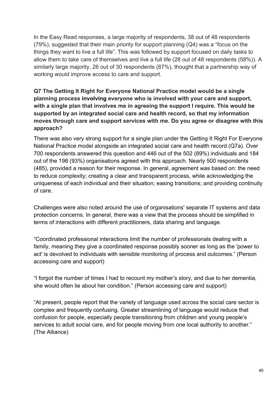In the Easy Read responses, a large majority of respondents, 38 out of 48 respondents (79%), suggested that their main priority for support planning (Q4) was a "focus on the things they want to live a full life". This was followed by support focused on daily tasks to allow them to take care of themselves and live a full life (28 out of 48 respondents (58%)). A similarly large majority, 26 out of 30 respondents (87%), thought that a partnership way of working would improve access to care and support.

#### **Q7 The Getting It Right for Everyone National Practice model would be a single planning process involving everyone who is involved with your care and support, with a single plan that involves me in agreeing the support I require. This would be supported by an integrated social care and health record, so that my information moves through care and support services with me. Do you agree or disagree with this approach?**

There was also very strong support for a single plan under the Getting It Right For Everyone National Practice model alongside an integrated social care and health record (Q7a). Over 700 respondents answered this question and 446 out of the 502 (89%) individuals and 184 out of the 198 (93%) organisations agreed with this approach. Nearly 500 respondents (485), provided a reason for their response. In general, agreement was based on: the need to reduce complexity; creating a clear and transparent process, while acknowledging the uniqueness of each individual and their situation; easing transitions; and providing continuity of care.

Challenges were also noted around the use of organisations' separate IT systems and data protection concerns. In general, there was a view that the process should be simplified in terms of interactions with different practitioners, data sharing and language.

"Coordinated professional interactions limit the number of professionals dealing with a family, meaning they give a coordinated response possibly sooner as long as the 'power to act' is devolved to individuals with sensible monitoring of process and outcomes." (Person accessing care and support)

"I forgot the number of times I had to recount my mother's story, and due to her dementia, she would often lie about her condition." (Person accessing care and support)

"At present, people report that the variety of language used across the social care sector is complex and frequently confusing. Greater streamlining of language would reduce that confusion for people, especially people transitioning from children and young people's services to adult social care, and for people moving from one local authority to another." (The Alliance)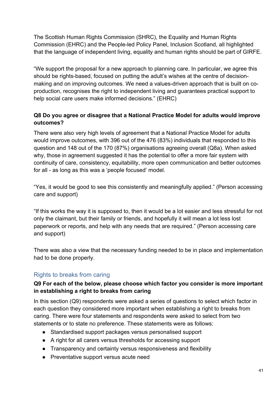The Scottish Human Rights Commission (SHRC), the Equality and Human Rights Commission (EHRC) and the People-led Policy Panel, Inclusion Scotland, all highlighted that the language of independent living, equality and human rights should be part of GIRFE.

"We support the proposal for a new approach to planning care. In particular, we agree this should be rights-based, focused on putting the adult's wishes at the centre of decisionmaking and on improving outcomes. We need a values-driven approach that is built on coproduction, recognises the right to independent living and guarantees practical support to help social care users make informed decisions." (EHRC)

## **Q8 Do you agree or disagree that a National Practice Model for adults would improve outcomes?**

There were also very high levels of agreement that a National Practice Model for adults would improve outcomes, with 396 out of the 476 (83%) individuals that responded to this question and 148 out of the 170 (87%) organisations agreeing overall (Q8a). When asked why, those in agreement suggested it has the potential to offer a more fair system with continuity of care, consistency, equitability, more open communication and better outcomes for all - as long as this was a 'people focused' model.

"Yes, it would be good to see this consistently and meaningfully applied." (Person accessing care and support)

"If this works the way it is supposed to, then it would be a lot easier and less stressful for not only the claimant, but their family or friends, and hopefully it will mean a lot less lost paperwork or reports, and help with any needs that are required." (Person accessing care and support)

There was also a view that the necessary funding needed to be in place and implementation had to be done properly.

## Rights to breaks from caring

#### **Q9 For each of the below, please choose which factor you consider is more important in establishing a right to breaks from caring**

In this section (Q9) respondents were asked a series of questions to select which factor in each question they considered more important when establishing a right to breaks from caring. There were four statements and respondents were asked to select from two statements or to state no preference. These statements were as follows:

- Standardised support packages versus personalised support
- A right for all carers versus thresholds for accessing support
- Transparency and certainty versus responsiveness and flexibility
- Preventative support versus acute need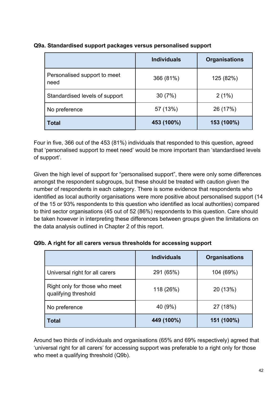|                                      | <b>Individuals</b> | <b>Organisations</b> |
|--------------------------------------|--------------------|----------------------|
| Personalised support to meet<br>need | 366 (81%)          | 125 (82%)            |
| Standardised levels of support       | 30(7%)             | 2(1%)                |
| No preference                        | 57 (13%)           | 26 (17%)             |
| <b>Total</b>                         | 453 (100%)         | 153 (100%)           |

#### **Q9a. Standardised support packages versus personalised support**

Four in five, 366 out of the 453 (81%) individuals that responded to this question, agreed that 'personalised support to meet need' would be more important than 'standardised levels of support'.

Given the high level of support for "personalised support", there were only some differences amongst the respondent subgroups, but these should be treated with caution given the number of respondents in each category. There is some evidence that respondents who identified as local authority organisations were more positive about personalised support (14 of the 15 or 93% respondents to this question who identified as local authorities) compared to third sector organisations (45 out of 52 (86%) respondents to this question. Care should be taken however in interpreting these differences between groups given the limitations on the data analysis outlined in Chapter 2 of this report.

#### **Q9b. A right for all carers versus thresholds for accessing support**

|                                                       | <b>Individuals</b> | <b>Organisations</b> |
|-------------------------------------------------------|--------------------|----------------------|
| Universal right for all carers                        | 291 (65%)          | 104 (69%)            |
| Right only for those who meet<br>qualifying threshold | 118 (26%)          | 20 (13%)             |
| No preference                                         | 40 (9%)            | 27 (18%)             |
| <b>Total</b>                                          | 449 (100%)         | 151 (100%)           |

Around two thirds of individuals and organisations (65% and 69% respectively) agreed that 'universal right for all carers' for accessing support was preferable to a right only for those who meet a qualifying threshold (Q9b).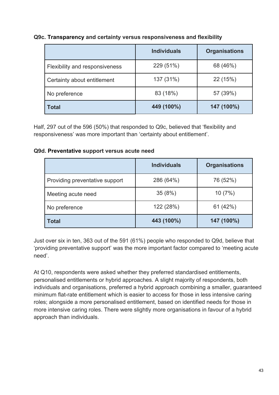#### **Q9c. Transparency and certainty versus responsiveness and flexibility**

|                                | <b>Individuals</b> | <b>Organisations</b> |
|--------------------------------|--------------------|----------------------|
| Flexibility and responsiveness | 229 (51%)          | 68 (46%)             |
| Certainty about entitlement    | 137 (31%)          | 22 (15%)             |
| No preference                  | 83 (18%)           | 57 (39%)             |
| <b>Total</b>                   | 449 (100%)         | 147 (100%)           |

Half, 297 out of the 596 (50%) that responded to Q9c, believed that 'flexibility and responsiveness' was more important than 'certainty about entitlement'.

#### **Q9d. Preventative support versus acute need**

|                                | <b>Individuals</b> | <b>Organisations</b> |
|--------------------------------|--------------------|----------------------|
| Providing preventative support | 286 (64%)          | 76 (52%)             |
| Meeting acute need             | 35(8%)             | 10(7%)               |
| No preference                  | 122 (28%)          | 61 (42%)             |
| <b>Total</b>                   | 443 (100%)         | 147 (100%)           |

Just over six in ten, 363 out of the 591 (61%) people who responded to Q9d, believe that 'providing preventative support' was the more important factor compared to 'meeting acute need'.

At Q10, respondents were asked whether they preferred standardised entitlements, personalised entitlements or hybrid approaches. A slight majority of respondents, both individuals and organisations, preferred a hybrid approach combining a smaller, guaranteed minimum flat-rate entitlement which is easier to access for those in less intensive caring roles; alongside a more personalised entitlement, based on identified needs for those in more intensive caring roles. There were slightly more organisations in favour of a hybrid approach than individuals.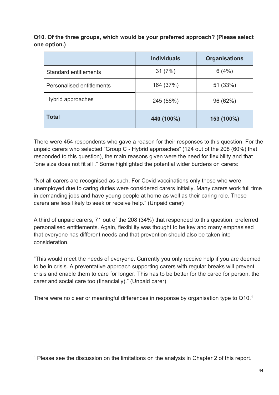**Q10. Of the three groups, which would be your preferred approach? (Please select one option.)**

|                           | <b>Individuals</b> | <b>Organisations</b> |
|---------------------------|--------------------|----------------------|
| Standard entitlements     | 31(7%)             | 6(4%)                |
| Personalised entitlements | 164 (37%)          | 51 (33%)             |
| Hybrid approaches         | 245 (56%)          | 96 (62%)             |
| <b>Total</b>              | 440 (100%)         | 153 (100%)           |

There were 454 respondents who gave a reason for their responses to this question. For the unpaid carers who selected "Group C - Hybrid approaches" (124 out of the 208 (60%) that responded to this question), the main reasons given were the need for flexibility and that "one size does not fit all ." Some highlighted the potential wider burdens on carers:

"Not all carers are recognised as such. For Covid vaccinations only those who were unemployed due to caring duties were considered carers initially. Many carers work full time in demanding jobs and have young people at home as well as their caring role. These carers are less likely to seek or receive help." (Unpaid carer)

A third of unpaid carers, 71 out of the 208 (34%) that responded to this question, preferred personalised entitlements. Again, flexibility was thought to be key and many emphasised that everyone has different needs and that prevention should also be taken into consideration.

"This would meet the needs of everyone. Currently you only receive help if you are deemed to be in crisis. A preventative approach supporting carers with regular breaks will prevent crisis and enable them to care for longer. This has to be better for the cared for person, the carer and social care too (financially)." (Unpaid carer)

There were no clear or meaningful differences in response by organisation type to Q10.<sup>1</sup>

<sup>1</sup> Please see the discussion on the limitations on the analysis in Chapter 2 of this report.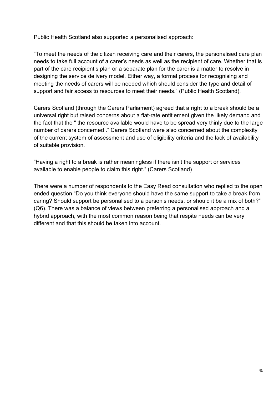Public Health Scotland also supported a personalised approach:

"To meet the needs of the citizen receiving care and their carers, the personalised care plan needs to take full account of a carer's needs as well as the recipient of care. Whether that is part of the care recipient's plan or a separate plan for the carer is a matter to resolve in designing the service delivery model. Either way, a formal process for recognising and meeting the needs of carers will be needed which should consider the type and detail of support and fair access to resources to meet their needs." (Public Health Scotland).

Carers Scotland (through the Carers Parliament) agreed that a right to a break should be a universal right but raised concerns about a flat-rate entitlement given the likely demand and the fact that the " the resource available would have to be spread very thinly due to the large number of carers concerned ." Carers Scotland were also concerned about the complexity of the current system of assessment and use of eligibility criteria and the lack of availability of suitable provision.

"Having a right to a break is rather meaningless if there isn't the support or services available to enable people to claim this right." (Carers Scotland)

There were a number of respondents to the Easy Read consultation who replied to the open ended question "Do you think everyone should have the same support to take a break from caring? Should support be personalised to a person's needs, or should it be a mix of both?" (Q6). There was a balance of views between preferring a personalised approach and a hybrid approach, with the most common reason being that respite needs can be very different and that this should be taken into account.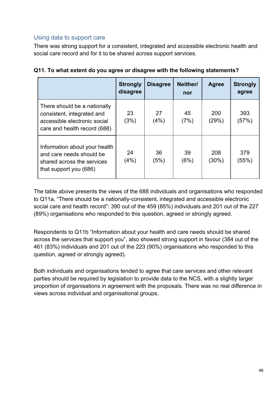## Using data to support care

There was strong support for a consistent, integrated and accessible electronic health and social care record and for it to be shared across support services.

|                                                                                                                            | <b>Strongly</b><br>disagree | <b>Disagree</b> | Neither/<br>nor | <b>Agree</b>    | <b>Strongly</b><br>agree |
|----------------------------------------------------------------------------------------------------------------------------|-----------------------------|-----------------|-----------------|-----------------|--------------------------|
| There should be a nationally<br>consistent, integrated and<br>accessible electronic social<br>care and health record (688) | 23<br>(3%)                  | 27<br>(4%)      | 45<br>(7%)      | 200<br>(29%)    | 393<br>(57%)             |
| Information about your health<br>and care needs should be<br>shared across the services<br>that support you (686)          | 24<br>(4%)                  | 36<br>(5%)      | 39<br>(6%)      | 208<br>$(30\%)$ | 379<br>(55%)             |

| Q11. To what extent do you agree or disagree with the following statements? |  |  |
|-----------------------------------------------------------------------------|--|--|
|                                                                             |  |  |

The table above presents the views of the 688 individuals and organisations who responded to Q11a, "There should be a nationally-consistent, integrated and accessible electronic social care and health record": 390 out of the 459 (85%) individuals and 201 out of the 227 (89%) organisations who responded to this question, agreed or strongly agreed.

Respondents to Q11b "Information about your health and care needs should be shared across the services that support you", also showed strong support in favour (384 out of the 461 (83%) individuals and 201 out of the 223 (90%) organisations who responded to this question, agreed or strongly agreed).

Both individuals and organisations tended to agree that care services and other relevant parties should be required by legislation to provide data to the NCS, with a slightly larger proportion of organisations in agreement with the proposals. There was no real difference in views across individual and organisational groups.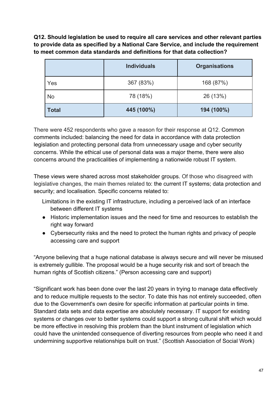**Q12. Should legislation be used to require all care services and other relevant parties to provide data as specified by a National Care Service, and include the requirement to meet common data standards and definitions for that data collection?** 

|              | <b>Individuals</b> | <b>Organisations</b> |
|--------------|--------------------|----------------------|
| Yes          | 367 (83%)          | 168 (87%)            |
| <b>No</b>    | 78 (18%)           | 26 (13%)             |
| <b>Total</b> | 445 (100%)         | 194 (100%)           |

There were 452 respondents who gave a reason for their response at Q12. Common comments included: balancing the need for data in accordance with data protection legislation and protecting personal data from unnecessary usage and cyber security concerns. While the ethical use of personal data was a major theme, there were also concerns around the practicalities of implementing a nationwide robust IT system.

These views were shared across most stakeholder groups. Of those who disagreed with legislative changes, the main themes related to: the current IT systems; data protection and security; and localisation. Specific concerns related to:

Limitations in the existing IT infrastructure, including a perceived lack of an interface between different IT systems

- Historic implementation issues and the need for time and resources to establish the right way forward
- Cybersecurity risks and the need to protect the human rights and privacy of people accessing care and support

"Anyone believing that a huge national database is always secure and will never be misused is extremely gullible. The proposal would be a huge security risk and sort of breach the human rights of Scottish citizens." (Person accessing care and support)

"Significant work has been done over the last 20 years in trying to manage data effectively and to reduce multiple requests to the sector. To date this has not entirely succeeded, often due to the Government's own desire for specific information at particular points in time. Standard data sets and data expertise are absolutely necessary. IT support for existing systems or changes over to better systems could support a strong cultural shift which would be more effective in resolving this problem than the blunt instrument of legislation which could have the unintended consequence of diverting resources from people who need it and undermining supportive relationships built on trust." (Scottish Association of Social Work)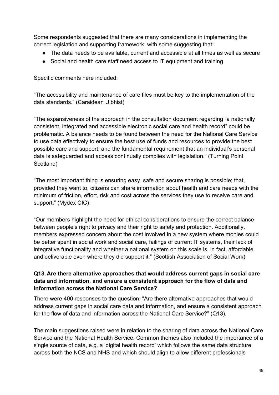Some respondents suggested that there are many considerations in implementing the correct legislation and supporting framework, with some suggesting that:

- The data needs to be available, current and accessible at all times as well as secure
- Social and health care staff need access to IT equipment and training

Specific comments here included:

"The accessibility and maintenance of care files must be key to the implementation of the data standards." (Caraidean Uibhist)

"The expansiveness of the approach in the consultation document regarding "a nationally consistent, integrated and accessible electronic social care and health record" could be problematic. A balance needs to be found between the need for the National Care Service to use data effectively to ensure the best use of funds and resources to provide the best possible care and support; and the fundamental requirement that an individual's personal data is safeguarded and access continually complies with legislation." (Turning Point Scotland)

"The most important thing is ensuring easy, safe and secure sharing is possible; that, provided they want to, citizens can share information about health and care needs with the minimum of friction, effort, risk and cost across the services they use to receive care and support." (Mydex CIC)

"Our members highlight the need for ethical considerations to ensure the correct balance between people's right to privacy and their right to safety and protection. Additionally, members expressed concern about the cost involved in a new system where monies could be better spent in social work and social care, failings of current IT systems, their lack of integrative functionality and whether a national system on this scale is, in fact, affordable and deliverable even where they did support it." (Scottish Association of Social Work)

#### **Q13. Are there alternative approaches that would address current gaps in social care data and information, and ensure a consistent approach for the flow of data and information across the National Care Service?**

There were 400 responses to the question: "Are there alternative approaches that would address current gaps in social care data and information, and ensure a consistent approach for the flow of data and information across the National Care Service?" (Q13).

The main suggestions raised were in relation to the sharing of data across the National Care Service and the National Health Service. Common themes also included the importance of a single source of data, e.g. a 'digital health record' which follows the same data structure across both the NCS and NHS and which should align to allow different professionals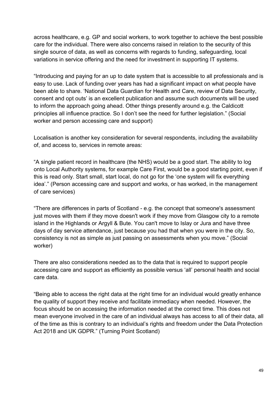across healthcare, e.g. GP and social workers, to work together to achieve the best possible care for the individual. There were also concerns raised in relation to the security of this single source of data, as well as concerns with regards to funding, safeguarding, local variations in service offering and the need for investment in supporting IT systems.

"Introducing and paying for an up to date system that is accessible to all professionals and is easy to use. Lack of funding over years has had a significant impact on what people have been able to share. 'National Data Guardian for Health and Care, review of Data Security, consent and opt outs' is an excellent publication and assume such documents will be used to inform the approach going ahead. Other things presently around e.g. the Caldicott principles all influence practice. So I don't see the need for further legislation." (Social worker and person accessing care and support)

Localisation is another key consideration for several respondents, including the availability of, and access to, services in remote areas:

"A single patient record in healthcare (the NHS) would be a good start. The ability to log onto Local Authority systems, for example Care First, would be a good starting point, even if this is read only. Start small, start local, do not go for the 'one system will fix everything idea'." (Person accessing care and support and works, or has worked, in the management of care services)

"There are differences in parts of Scotland - e.g. the concept that someone's assessment just moves with them if they move doesn't work if they move from Glasgow city to a remote island in the Highlands or Argyll & Bute. You can't move to Islay or Jura and have three days of day service attendance, just because you had that when you were in the city. So, consistency is not as simple as just passing on assessments when you move." (Social worker)

There are also considerations needed as to the data that is required to support people accessing care and support as efficiently as possible versus 'all' personal health and social care data.

"Being able to access the right data at the right time for an individual would greatly enhance the quality of support they receive and facilitate immediacy when needed. However, the focus should be on accessing the information needed at the correct time. This does not mean everyone involved in the care of an individual always has access to all of their data, all of the time as this is contrary to an individual's rights and freedom under the Data Protection Act 2018 and UK GDPR." (Turning Point Scotland)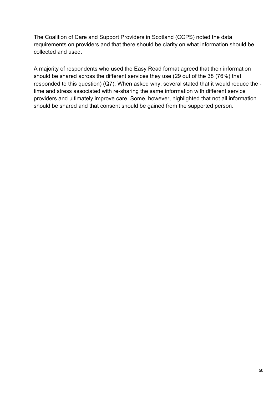The Coalition of Care and Support Providers in Scotland (CCPS) noted the data requirements on providers and that there should be clarity on what information should be collected and used.

A majority of respondents who used the Easy Read format agreed that their information should be shared across the different services they use (29 out of the 38 (76%) that responded to this question) (Q7). When asked why, several stated that it would reduce the time and stress associated with re-sharing the same information with different service providers and ultimately improve care. Some, however, highlighted that not all information should be shared and that consent should be gained from the supported person.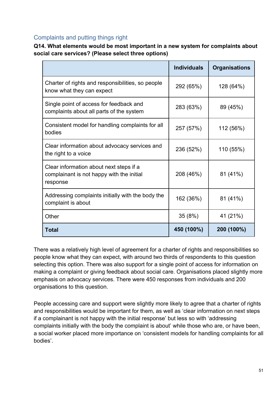## Complaints and putting things right

**Q14. What elements would be most important in a new system for complaints about social care services? (Please select three options)**

|                                                                                                  | <b>Individuals</b> | <b>Organisations</b> |
|--------------------------------------------------------------------------------------------------|--------------------|----------------------|
| Charter of rights and responsibilities, so people<br>know what they can expect                   | 292 (65%)          | 128 (64%)            |
| Single point of access for feedback and<br>complaints about all parts of the system              | 283 (63%)          | 89 (45%)             |
| Consistent model for handling complaints for all<br>bodies                                       | 257 (57%)          | 112 (56%)            |
| Clear information about advocacy services and<br>the right to a voice                            | 236 (52%)          | 110 (55%)            |
| Clear information about next steps if a<br>complainant is not happy with the initial<br>response | 208 (46%)          | 81 (41%)             |
| Addressing complaints initially with the body the<br>complaint is about                          | 162 (36%)          | 81 (41%)             |
| Other                                                                                            | 35(8%)             | 41 (21%)             |
| <b>Total</b>                                                                                     | 450 (100%)         | 200 (100%)           |

There was a relatively high level of agreement for a charter of rights and responsibilities so people know what they can expect, with around two thirds of respondents to this question selecting this option. There was also support for a single point of access for information on making a complaint or giving feedback about social care. Organisations placed slightly more emphasis on advocacy services. There were 450 responses from individuals and 200 organisations to this question.

People accessing care and support were slightly more likely to agree that a charter of rights and responsibilities would be important for them, as well as 'clear information on next steps if a complainant is not happy with the initial response' but less so with 'addressing complaints initially with the body the complaint is about' while those who are, or have been, a social worker placed more importance on 'consistent models for handling complaints for all bodies'.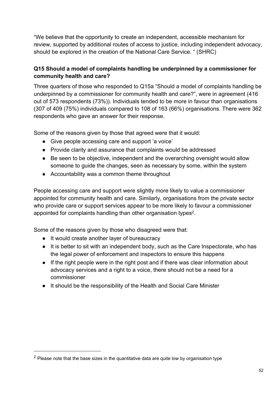"We believe that the opportunity to create an independent, accessible mechanism for review, supported by additional routes of access to justice, including independent advocacy, should be explored in the creation of the National Care Service. " (SHRC)

### **Q15 Should a model of complaints handling be underpinned by a commissioner for community health and care?**

Three quarters of those who responded to Q15a "Should a model of complaints handling be underpinned by a commissioner for community health and care?", were in agreement (416 out of 573 respondents (73%)). Individuals tended to be more in favour than organisations (307 of 409 (75%) individuals compared to 108 of 163 (66%) organisations. There were 362 respondents who gave an answer for their response.

Some of the reasons given by those that agreed were that it would:

- Give people accessing care and support 'a voice'
- Provide clarity and assurance that complaints would be addressed
- Be seen to be objective, independent and the overarching oversight would allow someone to guide the changes, seen as necessary by some, within the system
- Accountability was a common theme throughout

People accessing care and support were slightly more likely to value a commissioner appointed for community health and care. Similarly, organisations from the private sector who provide care or support services appear to be more likely to favour a commissioner appointed for complaints handling than other organisation types<sup>2</sup>.

Some of the reasons given by those who disagreed were that:

- It would create another layer of bureaucracy
- It is better to sit with an independent body, such as the Care Inspectorate, who has the legal power of enforcement and inspectors to ensure this happens
- If the right people were in the right post and if there was clear information about advocacy services and a right to a voice, there should not be a need for a commissioner
- It should be the responsibility of the Health and Social Care Minister

 $2$  Please note that the base sizes in the quantitative data are quite low by organisation type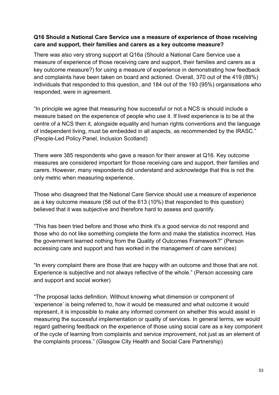#### **Q16 Should a National Care Service use a measure of experience of those receiving care and support, their families and carers as a key outcome measure?**

There was also very strong support at Q16a (Should a National Care Service use a measure of experience of those receiving care and support, their families and carers as a key outcome measure?) for using a measure of experience in demonstrating how feedback and complaints have been taken on board and actioned. Overall, 370 out of the 419 (88%) individuals that responded to this question, and 184 out of the 193 (95%) organisations who responded, were in agreement.

"In principle we agree that measuring how successful or not a NCS is should include a measure based on the experience of people who use it. If lived experience is to be at the centre of a NCS then it, alongside equality and human rights conventions and the language of independent living, must be embedded in all aspects, as recommended by the IRASC." (People-Led Policy Panel, Inclusion Scotland)

There were 385 respondents who gave a reason for their answer at Q16. Key outcome measures are considered important for those receiving care and support, their families and carers. However, many respondents did understand and acknowledge that this is not the only metric when measuring experience.

Those who disagreed that the National Care Service should use a measure of experience as a key outcome measure (58 out of the 613 (10%) that responded to this question) believed that it was subjective and therefore hard to assess and quantify.

"This has been tried before and those who think it's a good service do not respond and those who do not like something complete the form and make the statistics incorrect. Has the government learned nothing from the Quality of Outcomes Framework?" (Person accessing care and support and has worked in the management of care services)

"In every complaint there are those that are happy with an outcome and those that are not. Experience is subjective and not always reflective of the whole." (Person accessing care and support and social worker)

"The proposal lacks definition. Without knowing what dimension or component of 'experience' is being referred to, how it would be measured and what outcome it would represent, it is impossible to make any informed comment on whether this would assist in measuring the successful implementation or quality of services. In general terms, we would regard gathering feedback on the experience of those using social care as a key component of the cycle of learning from complaints and service improvement, not just as an element of the complaints process." (Glasgow City Health and Social Care Partnership)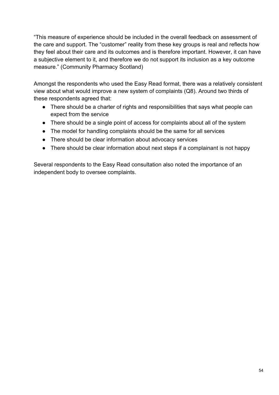"This measure of experience should be included in the overall feedback on assessment of the care and support. The "customer" reality from these key groups is real and reflects how they feel about their care and its outcomes and is therefore important. However, it can have a subjective element to it, and therefore we do not support its inclusion as a key outcome measure." (Community Pharmacy Scotland)

Amongst the respondents who used the Easy Read format, there was a relatively consistent view about what would improve a new system of complaints (Q8). Around two thirds of these respondents agreed that:

- There should be a charter of rights and responsibilities that says what people can expect from the service
- There should be a single point of access for complaints about all of the system
- The model for handling complaints should be the same for all services
- There should be clear information about advocacy services
- There should be clear information about next steps if a complainant is not happy

Several respondents to the Easy Read consultation also noted the importance of an independent body to oversee complaints.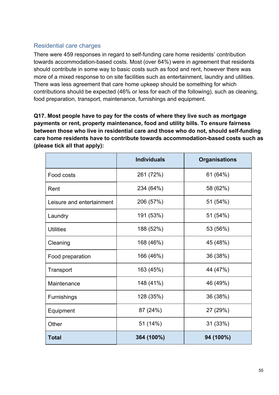## Residential care charges

There were 459 responses in regard to self-funding care home residents' contribution towards accommodation-based costs. Most (over 64%) were in agreement that residents should contribute in some way to basic costs such as food and rent, however there was more of a mixed response to on site facilities such as entertainment, laundry and utilities. There was less agreement that care home upkeep should be something for which contributions should be expected (46% or less for each of the following), such as cleaning, food preparation, transport, maintenance, furnishings and equipment.

**Q17. Most people have to pay for the costs of where they live such as mortgage payments or rent, property maintenance, food and utility bills. To ensure fairness between those who live in residential care and those who do not, should self-funding care home residents have to contribute towards accommodation-based costs such as (please tick all that apply):** 

|                           | <b>Individuals</b> | <b>Organisations</b> |
|---------------------------|--------------------|----------------------|
| Food costs                | 261 (72%)          | 61 (64%)             |
| Rent                      | 234 (64%)          | 58 (62%)             |
| Leisure and entertainment | 206 (57%)          | 51 (54%)             |
| Laundry                   | 191 (53%)          | 51 (54%)             |
| <b>Utilities</b>          | 188 (52%)          | 53 (56%)             |
| Cleaning                  | 168 (46%)          | 45 (48%)             |
| Food preparation          | 166 (46%)          | 36 (38%)             |
| Transport                 | 163 (45%)          | 44 (47%)             |
| Maintenance               | 148 (41%)          | 46 (49%)             |
| Furnishings               | 128 (35%)          | 36 (38%)             |
| Equipment                 | 87 (24%)           | 27 (29%)             |
| Other                     | 51 (14%)           | 31 (33%)             |
| <b>Total</b>              | 364 (100%)         | 94 (100%)            |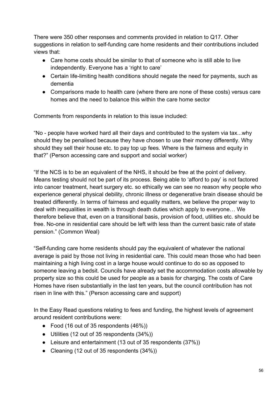There were 350 other responses and comments provided in relation to Q17. Other suggestions in relation to self-funding care home residents and their contributions included views that:

- Care home costs should be similar to that of someone who is still able to live independently. Everyone has a 'right to care'
- Certain life-limiting health conditions should negate the need for payments, such as dementia
- Comparisons made to health care (where there are none of these costs) versus care homes and the need to balance this within the care home sector

Comments from respondents in relation to this issue included:

"No - people have worked hard all their days and contributed to the system via tax...why should they be penalised because they have chosen to use their money differently. Why should they sell their house etc. to pay top up fees. Where is the fairness and equity in that?" (Person accessing care and support and social worker)

"If the NCS is to be an equivalent of the NHS, it should be free at the point of delivery. Means testing should not be part of its process. Being able to 'afford to pay' is not factored into cancer treatment, heart surgery etc. so ethically we can see no reason why people who experience general physical debility, chronic illness or degenerative brain disease should be treated differently. In terms of fairness and equality matters, we believe the proper way to deal with inequalities in wealth is through death duties which apply to everyone… We therefore believe that, even on a transitional basis, provision of food, utilities etc. should be free. No-one in residential care should be left with less than the current basic rate of state pension." (Common Weal)

"Self-funding care home residents should pay the equivalent of whatever the national average is paid by those not living in residential care. This could mean those who had been maintaining a high living cost in a large house would continue to do so as opposed to someone leaving a bedsit. Councils have already set the accommodation costs allowable by property size so this could be used for people as a basis for charging. The costs of Care Homes have risen substantially in the last ten years, but the council contribution has not risen in line with this." (Person accessing care and support)

In the Easy Read questions relating to fees and funding, the highest levels of agreement around resident contributions were:

- Food (16 out of 35 respondents (46%))
- Utilities (12 out of 35 respondents (34%))
- Leisure and entertainment (13 out of 35 respondents (37%))
- Cleaning (12 out of 35 respondents (34%))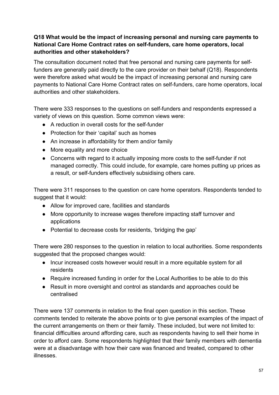## **Q18 What would be the impact of increasing personal and nursing care payments to National Care Home Contract rates on self-funders, care home operators, local authorities and other stakeholders?**

The consultation document noted that free personal and nursing care payments for selffunders are generally paid directly to the care provider on their behalf (Q18). Respondents were therefore asked what would be the impact of increasing personal and nursing care payments to National Care Home Contract rates on self-funders, care home operators, local authorities and other stakeholders.

There were 333 responses to the questions on self-funders and respondents expressed a variety of views on this question. Some common views were:

- A reduction in overall costs for the self-funder
- Protection for their 'capital' such as homes
- An increase in affordability for them and/or family
- More equality and more choice
- Concerns with regard to it actually imposing more costs to the self-funder if not managed correctly. This could include, for example, care homes putting up prices as a result, or self-funders effectively subsidising others care.

There were 311 responses to the question on care home operators. Respondents tended to suggest that it would:

- Allow for improved care, facilities and standards
- More opportunity to increase wages therefore impacting staff turnover and applications
- Potential to decrease costs for residents, 'bridging the gap'

There were 280 responses to the question in relation to local authorities. Some respondents suggested that the proposed changes would:

- Incur increased costs however would result in a more equitable system for all residents
- Require increased funding in order for the Local Authorities to be able to do this
- Result in more oversight and control as standards and approaches could be centralised

There were 137 comments in relation to the final open question in this section. These comments tended to reiterate the above points or to give personal examples of the impact of the current arrangements on them or their family. These included, but were not limited to: financial difficulties around affording care, such as respondents having to sell their home in order to afford care. Some respondents highlighted that their family members with dementia were at a disadvantage with how their care was financed and treated, compared to other illnesses.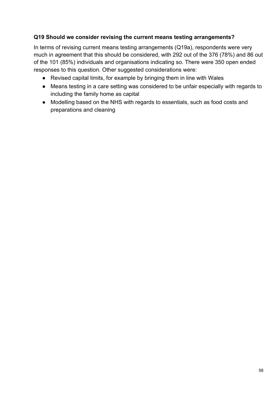#### **Q19 Should we consider revising the current means testing arrangements?**

In terms of revising current means testing arrangements (Q19a), respondents were very much in agreement that this should be considered, with 292 out of the 376 (78%) and 86 out of the 101 (85%) individuals and organisations indicating so. There were 350 open ended responses to this question. Other suggested considerations were:

- Revised capital limits, for example by bringing them in line with Wales
- Means testing in a care setting was considered to be unfair especially with regards to including the family home as capital
- Modelling based on the NHS with regards to essentials, such as food costs and preparations and cleaning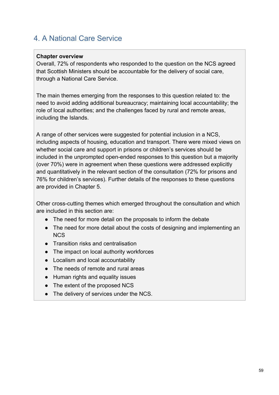# 4. A National Care Service

#### **Chapter overview**

Overall, 72% of respondents who responded to the question on the NCS agreed that Scottish Ministers should be accountable for the delivery of social care, through a National Care Service.

The main themes emerging from the responses to this question related to: the need to avoid adding additional bureaucracy; maintaining local accountability; the role of local authorities; and the challenges faced by rural and remote areas, including the Islands.

A range of other services were suggested for potential inclusion in a NCS, including aspects of housing, education and transport. There were mixed views on whether social care and support in prisons or children's services should be included in the unprompted open-ended responses to this question but a majority (over 70%) were in agreement when these questions were addressed explicitly and quantitatively in the relevant section of the consultation (72% for prisons and 76% for children's services). Further details of the responses to these questions are provided in Chapter 5.

Other cross-cutting themes which emerged throughout the consultation and which are included in this section are:

- The need for more detail on the proposals to inform the debate
- The need for more detail about the costs of designing and implementing an **NCS**
- Transition risks and centralisation
- The impact on local authority workforces
- Localism and local accountability
- The needs of remote and rural areas
- Human rights and equality issues
- The extent of the proposed NCS
- The delivery of services under the NCS.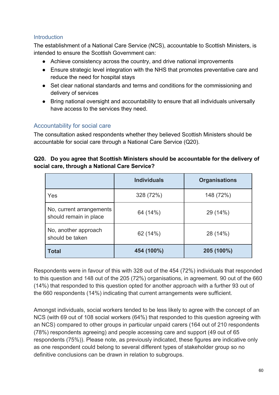#### **Introduction**

The establishment of a National Care Service (NCS), accountable to Scottish Ministers, is intended to ensure the Scottish Government can:

- Achieve consistency across the country, and drive national improvements
- Ensure strategic level integration with the NHS that promotes preventative care and reduce the need for hospital stays
- Set clear national standards and terms and conditions for the commissioning and delivery of services
- Bring national oversight and accountability to ensure that all individuals universally have access to the services they need.

## Accountability for social care

The consultation asked respondents whether they believed Scottish Ministers should be accountable for social care through a National Care Service (Q20).

#### **Q20. Do you agree that Scottish Ministers should be accountable for the delivery of social care, through a National Care Service?**

|                                                    | <b>Individuals</b> | <b>Organisations</b> |
|----------------------------------------------------|--------------------|----------------------|
| Yes                                                | 328 (72%)          | 148 (72%)            |
| No, current arrangements<br>should remain in place | 64 (14%)           | 29 (14%)             |
| No, another approach<br>should be taken            | 62 (14%)           | 28 (14%)             |
| <b>Total</b>                                       | 454 (100%)         | 205 (100%)           |

Respondents were in favour of this with 328 out of the 454 (72%) individuals that responded to this question and 148 out of the 205 (72%) organisations, in agreement. 90 out of the 660 (14%) that responded to this question opted for another approach with a further 93 out of the 660 respondents (14%) indicating that current arrangements were sufficient.

Amongst individuals, social workers tended to be less likely to agree with the concept of an NCS (with 69 out of 108 social workers (64%) that responded to this question agreeing with an NCS) compared to other groups in particular unpaid carers (164 out of 210 respondents (78%) respondents agreeing) and people accessing care and support (49 out of 65 respondents (75%)). Please note, as previously indicated, these figures are indicative only as one respondent could belong to several different types of stakeholder group so no definitive conclusions can be drawn in relation to subgroups.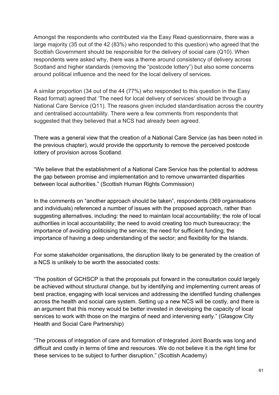Amongst the respondents who contributed via the Easy Read questionnaire, there was a large majority (35 out of the 42 (83%) who responded to this question) who agreed that the Scottish Government should be responsible for the delivery of social care (Q10). When respondents were asked why, there was a theme around consistency of delivery across Scotland and higher standards (removing the "postcode lottery") but also some concerns around political influence and the need for the local delivery of services.

A similar proportion (34 out of the 44 (77%) who responded to this question in the Easy Read format) agreed that 'The need for local delivery of services' should be through a National Care Service (Q11). The reasons given included standardisation across the country and centralised accountability. There were a few comments from respondents that suggested that they believed that a NCS had already been agreed.

There was a general view that the creation of a National Care Service (as has been noted in the previous chapter), would provide the opportunity to remove the perceived postcode lottery of provision across Scotland.

"We believe that the establishment of a National Care Service has the potential to address the gap between promise and implementation and to remove unwarranted disparities between local authorities." (Scottish Human Rights Commission)

In the comments on "another approach should be taken", respondents (369 organisations and individuals) referenced a number of issues with the proposed approach, rather than suggesting alternatives, including: the need to maintain local accountability; the role of local authorities in local accountability; the need to avoid creating too much bureaucracy; the importance of avoiding politicising the service; the need for sufficient funding; the importance of having a deep understanding of the sector; and flexibility for the Islands.

For some stakeholder organisations, the disruption likely to be generated by the creation of a NCS is unlikely to be worth the associated costs:

"The position of GCHSCP is that the proposals put forward in the consultation could largely be achieved without structural change, but by identifying and implementing current areas of best practice, engaging with local services and addressing the identified funding challenges across the health and social care system. Setting up a new NCS will be costly, and there is an argument that this money would be better invested in developing the capacity of local services to work with those on the margins of need and intervening early." (Glasgow City Health and Social Care Partnership)

"The process of integration of care and formation of Integrated Joint Boards was long and difficult and costly in terms of time and resources. We do not believe it is the right time for these services to be subject to further disruption." (Scottish Academy)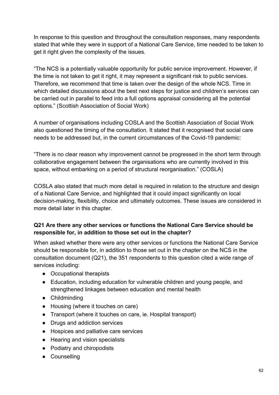In response to this question and throughout the consultation responses, many respondents stated that while they were in support of a National Care Service, time needed to be taken to get it right given the complexity of the issues.

"The NCS is a potentially valuable opportunity for public service improvement. However, if the time is not taken to get it right, it may represent a significant risk to public services. Therefore, we recommend that time is taken over the design of the whole NCS. Time in which detailed discussions about the best next steps for justice and children's services can be carried out in parallel to feed into a full options appraisal considering all the potential options." (Scottish Association of Social Work)

A number of organisations including COSLA and the Scottish Association of Social Work also questioned the timing of the consultation. It stated that it recognised that social care needs to be addressed but, in the current circumstances of the Covid-19 pandemic:

"There is no clear reason why improvement cannot be progressed in the short term through collaborative engagement between the organisations who are currently involved in this space, without embarking on a period of structural reorganisation." (COSLA)

COSLA also stated that much more detail is required in relation to the structure and design of a National Care Service, and highlighted that it could impact significantly on local decision-making, flexibility, choice and ultimately outcomes. These issues are considered in more detail later in this chapter.

#### **Q21 Are there any other services or functions the National Care Service should be responsible for, in addition to those set out in the chapter?**

When asked whether there were any other services or functions the National Care Service should be responsible for, in addition to those set out in the chapter on the NCS in the consultation document (Q21), the 351 respondents to this question cited a wide range of services including:

- Occupational therapists
- Education, including education for vulnerable children and young people, and strengthened linkages between education and mental health
- Childminding
- Housing (where it touches on care)
- Transport (where it touches on care, ie. Hospital transport)
- Drugs and addiction services
- Hospices and palliative care services
- Hearing and vision specialists
- Podiatry and chiropodists
- Counselling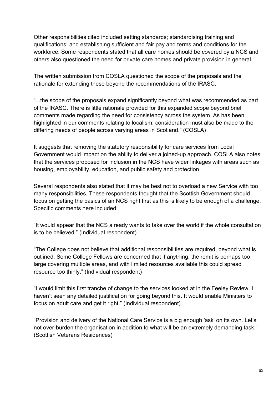Other responsibilities cited included setting standards; standardising training and qualifications; and establishing sufficient and fair pay and terms and conditions for the workforce. Some respondents stated that all care homes should be covered by a NCS and others also questioned the need for private care homes and private provision in general.

The written submission from COSLA questioned the scope of the proposals and the rationale for extending these beyond the recommendations of the IRASC.

"...the scope of the proposals expand significantly beyond what was recommended as part of the IRASC. There is little rationale provided for this expanded scope beyond brief comments made regarding the need for consistency across the system. As has been highlighted in our comments relating to localism, consideration must also be made to the differing needs of people across varying areas in Scotland." (COSLA)

It suggests that removing the statutory responsibility for care services from Local Government would impact on the ability to deliver a joined-up approach. COSLA also notes that the services proposed for inclusion in the NCS have wider linkages with areas such as housing, employability, education, and public safety and protection.

Several respondents also stated that it may be best not to overload a new Service with too many responsibilities. These respondents thought that the Scottish Government should focus on getting the basics of an NCS right first as this is likely to be enough of a challenge. Specific comments here included:

"It would appear that the NCS already wants to take over the world if the whole consultation is to be believed." (Individual respondent)

"The College does not believe that additional responsibilities are required, beyond what is outlined. Some College Fellows are concerned that if anything, the remit is perhaps too large covering multiple areas, and with limited resources available this could spread resource too thinly." (Individual respondent)

"I would limit this first tranche of change to the services looked at in the Feeley Review. I haven't seen any detailed justification for going beyond this. It would enable Ministers to focus on adult care and get it right." (Individual respondent)

"Provision and delivery of the National Care Service is a big enough 'ask' on its own. Let's not over-burden the organisation in addition to what will be an extremely demanding task." (Scottish Veterans Residences)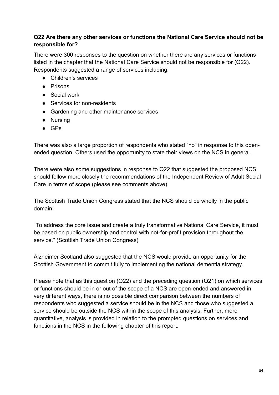#### **Q22 Are there any other services or functions the National Care Service should not be responsible for?**

There were 300 responses to the question on whether there are any services or functions listed in the chapter that the National Care Service should not be responsible for (Q22). Respondents suggested a range of services including:

- Children's services
- Prisons
- Social work
- Services for non-residents
- Gardening and other maintenance services
- Nursing
- GPs

There was also a large proportion of respondents who stated "no" in response to this openended question. Others used the opportunity to state their views on the NCS in general.

There were also some suggestions in response to Q22 that suggested the proposed NCS should follow more closely the recommendations of the Independent Review of Adult Social Care in terms of scope (please see comments above).

The Scottish Trade Union Congress stated that the NCS should be wholly in the public domain:

"To address the core issue and create a truly transformative National Care Service, it must be based on public ownership and control with not-for-profit provision throughout the service." (Scottish Trade Union Congress)

Alzheimer Scotland also suggested that the NCS would provide an opportunity for the Scottish Government to commit fully to implementing the national dementia strategy.

Please note that as this question (Q22) and the preceding question (Q21) on which services or functions should be in or out of the scope of a NCS are open-ended and answered in very different ways, there is no possible direct comparison between the numbers of respondents who suggested a service should be in the NCS and those who suggested a service should be outside the NCS within the scope of this analysis. Further, more quantitative, analysis is provided in relation to the prompted questions on services and functions in the NCS in the following chapter of this report.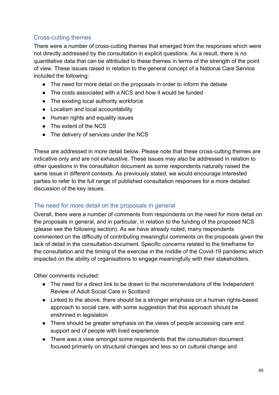## Cross-cutting themes

There were a number of cross-cutting themes that emerged from the responses which were not directly addressed by the consultation in explicit questions. As a result, there is no quantitative data that can be attributed to these themes in terms of the strength of the point of view. These issues raised in relation to the general concept of a National Care Service included the following:

- The need for more detail on the proposals in order to inform the debate
- The costs associated with a NCS and how it would be funded
- The existing local authority workforce
- Localism and local accountability
- Human rights and equality issues
- The extent of the NCS
- The delivery of services under the NCS

These are addressed in more detail below. Please note that these cross-cutting themes are indicative only and are not exhaustive. These issues may also be addressed in relation to other questions in the consultation document as some respondents naturally raised the same issue in different contexts. As previously stated, we would encourage interested parties to refer to the full range of published consultation responses for a more detailed discussion of the key issues.

#### The need for more detail on the proposals in general

Overall, there were a number of comments from respondents on the need for more detail on the proposals in general, and in particular, in relation to the funding of the proposed NCS (please see the following section). As we have already noted, many respondents commented on the difficulty of contributing meaningful comments on the proposals given the lack of detail in the consultation document. Specific concerns related to the timeframe for the consultation and the timing of the exercise in the middle of the Covid-19 pandemic which impacted on the ability of organisations to engage meaningfully with their stakeholders.

Other comments included:

- The need for a direct link to be drawn to the recommendations of the Independent Review of Adult Social Care in Scotland
- Linked to the above, there should be a stronger emphasis on a human rights-based approach to social care, with some suggestion that this approach should be enshrined in legislation
- There should be greater emphasis on the views of people accessing care and support and of people with lived experience
- There was a view amongst some respondents that the consultation document focused primarily on structural changes and less so on cultural change and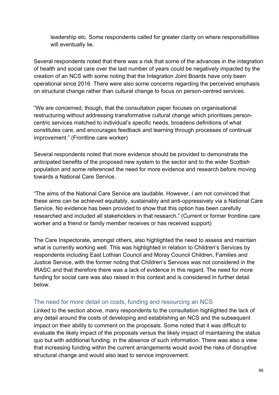leadership etc. Some respondents called for greater clarity on where responsibilities will eventually lie.

Several respondents noted that there was a risk that some of the advances in the integration of health and social care over the last number of years could be negatively impacted by the creation of an NCS with some noting that the Integration Joint Boards have only been operational since 2016. There were also some concerns regarding the perceived emphasis on structural change rather than cultural change to focus on person-centred services.

"We are concerned, though, that the consultation paper focuses on organisational restructuring without addressing transformative cultural change which prioritises personcentric services matched to individual's specific needs, broadens definitions of what constitutes care, and encourages feedback and learning through processes of continual improvement." (Frontline care worker)

Several respondents noted that more evidence should be provided to demonstrate the anticipated benefits of the proposed new system to the sector and to the wider Scottish population and some referenced the need for more evidence and research before moving towards a National Care Service.

"The aims of the National Care Service are laudable. However, I am not convinced that these aims can be achieved equitably, sustainably and anti-oppressively via a National Care Service. No evidence has been provided to show that this option has been carefully researched and included all stakeholders in that research." (Current or former frontline care worker and a friend or family member receives or has received support)

The Care Inspectorate, amongst others, also highlighted the need to assess and maintain what is currently working well. This was highlighted in relation to Children's Services by respondents including East Lothian Council and Moray Council Children, Families and Justice Service, with the former noting that Children's Services was not considered in the IRASC and that therefore there was a lack of evidence in this regard. The need for more funding for social care was also raised in this context and is considered in further detail below.

#### The need for more detail on costs, funding and resourcing an NCS

Linked to the section above, many respondents to the consultation highlighted the lack of any detail around the costs of developing and establishing an NCS and the subsequent impact on their ability to comment on the proposals. Some noted that it was difficult to evaluate the likely impact of the proposals versus the likely impact of maintaining the status quo but with additional funding, in the absence of such information. There was also a view that increasing funding within the current arrangements would avoid the risks of disruptive structural change and would also lead to service improvement.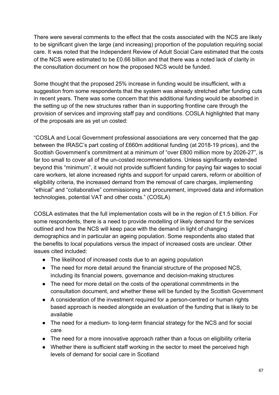There were several comments to the effect that the costs associated with the NCS are likely to be significant given the large (and increasing) proportion of the population requiring social care. It was noted that the Independent Review of Adult Social Care estimated that the costs of the NCS were estimated to be £0.66 billion and that there was a noted lack of clarity in the consultation document on how the proposed NCS would be funded.

Some thought that the proposed 25% increase in funding would be insufficient, with a suggestion from some respondents that the system was already stretched after funding cuts in recent years. There was some concern that this additional funding would be absorbed in the setting up of the new structures rather than in supporting frontline care through the provision of services and improving staff pay and conditions. COSLA highlighted that many of the proposals are as yet un costed:

"COSLA and Local Government professional associations are very concerned that the gap between the IRASC's part costing of £660m additional funding (at 2018-19 prices), and the Scottish Government's commitment at a minimum of "over £800 million more by 2026-27", is far too small to cover all of the un-costed recommendations. Unless significantly extended beyond this "minimum", it would not provide sufficient funding for paying fair wages to social care workers, let alone increased rights and support for unpaid carers, reform or abolition of eligibility criteria, the increased demand from the removal of care charges, implementing "ethical" and "collaborative" commissioning and procurement, improved data and information technologies, potential VAT and other costs." (COSLA)

COSLA estimates that the full implementation costs will be in the region of £1.5 billion. For some respondents, there is a need to provide modelling of likely demand for the services outlined and how the NCS will keep pace with the demand in light of changing demographics and in particular an ageing population. Some respondents also stated that the benefits to local populations versus the impact of increased costs are unclear. Other issues cited included:

- The likelihood of increased costs due to an ageing population
- The need for more detail around the financial structure of the proposed NCS, including its financial powers, governance and decision-making structures
- The need for more detail on the costs of the operational commitments in the consultation document, and whether these will be funded by the Scottish Government
- A consideration of the investment required for a person-centred or human rights based approach is needed alongside an evaluation of the funding that is likely to be available
- The need for a medium- to long-term financial strategy for the NCS and for social care
- The need for a more innovative approach rather than a focus on eligibility criteria
- Whether there is sufficient staff working in the sector to meet the perceived high levels of demand for social care in Scotland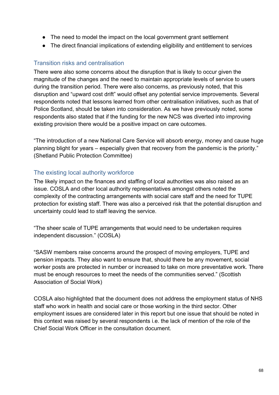- The need to model the impact on the local government grant settlement
- The direct financial implications of extending eligibility and entitlement to services

## Transition risks and centralisation

There were also some concerns about the disruption that is likely to occur given the magnitude of the changes and the need to maintain appropriate levels of service to users during the transition period. There were also concerns, as previously noted, that this disruption and "upward cost drift" would offset any potential service improvements. Several respondents noted that lessons learned from other centralisation initiatives, such as that of Police Scotland, should be taken into consideration. As we have previously noted, some respondents also stated that if the funding for the new NCS was diverted into improving existing provision there would be a positive impact on care outcomes.

"The introduction of a new National Care Service will absorb energy, money and cause huge planning blight for years – especially given that recovery from the pandemic is the priority." (Shetland Public Protection Committee)

## The existing local authority workforce

The likely impact on the finances and staffing of local authorities was also raised as an issue. COSLA and other local authority representatives amongst others noted the complexity of the contracting arrangements with social care staff and the need for TUPE protection for existing staff. There was also a perceived risk that the potential disruption and uncertainty could lead to staff leaving the service.

"The sheer scale of TUPE arrangements that would need to be undertaken requires independent discussion." (COSLA)

"SASW members raise concerns around the prospect of moving employers, TUPE and pension impacts. They also want to ensure that, should there be any movement, social worker posts are protected in number or increased to take on more preventative work. There must be enough resources to meet the needs of the communities served." (Scottish Association of Social Work)

COSLA also highlighted that the document does not address the employment status of NHS staff who work in health and social care or those working in the third sector. Other employment issues are considered later in this report but one issue that should be noted in this context was raised by several respondents i.e. the lack of mention of the role of the Chief Social Work Officer in the consultation document.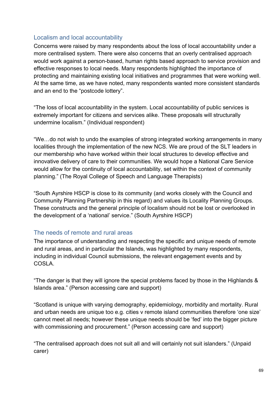## Localism and local accountability

Concerns were raised by many respondents about the loss of local accountability under a more centralised system. There were also concerns that an overly centralised approach would work against a person-based, human rights based approach to service provision and effective responses to local needs. Many respondents highlighted the importance of protecting and maintaining existing local initiatives and programmes that were working well. At the same time, as we have noted, many respondents wanted more consistent standards and an end to the "postcode lottery".

"The loss of local accountability in the system. Local accountability of public services is extremely important for citizens and services alike. These proposals will structurally undermine localism." (Individual respondent)

"We…do not wish to undo the examples of strong integrated working arrangements in many localities through the implementation of the new NCS. We are proud of the SLT leaders in our membership who have worked within their local structures to develop effective and innovative delivery of care to their communities. We would hope a National Care Service would allow for the continuity of local accountability, set within the context of community planning." (The Royal College of Speech and Language Therapists)

"South Ayrshire HSCP is close to its community (and works closely with the Council and Community Planning Partnership in this regard) and values its Locality Planning Groups. These constructs and the general principle of localism should not be lost or overlooked in the development of a 'national' service." (South Ayrshire HSCP)

#### The needs of remote and rural areas

The importance of understanding and respecting the specific and unique needs of remote and rural areas, and in particular the Islands, was highlighted by many respondents, including in individual Council submissions, the relevant engagement events and by COSLA.

"The danger is that they will ignore the special problems faced by those in the Highlands & Islands area." (Person accessing care and support)

"Scotland is unique with varying demography, epidemiology, morbidity and mortality. Rural and urban needs are unique too e.g. cities v remote island communities therefore 'one size' cannot meet all needs; however these unique needs should be 'fed' into the bigger picture with commissioning and procurement." (Person accessing care and support)

"The centralised approach does not suit all and will certainly not suit islanders." (Unpaid carer)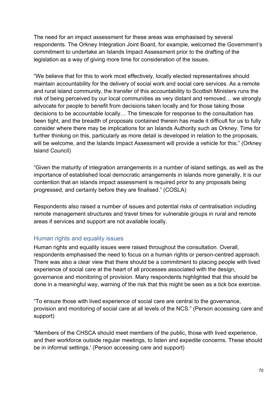The need for an impact assessment for these areas was emphasised by several respondents. The Orkney Integration Joint Board, for example, welcomed the Government's commitment to undertake an Islands Impact Assessment prior to the drafting of the legislation as a way of giving more time for consideration of the issues.

"We believe that for this to work most effectively, locally elected representatives should maintain accountability for the delivery of social work and social care services. As a remote and rural island community, the transfer of this accountability to Scottish Ministers runs the risk of being perceived by our local communities as very distant and removed… we strongly advocate for people to benefit from decisions taken locally and for those taking those decisions to be accountable locally… The timescale for response to the consultation has been tight, and the breadth of proposals contained therein has made it difficult for us to fully consider where there may be implications for an Islands Authority such as Orkney. Time for further thinking on this, particularly as more detail is developed in relation to the proposals, will be welcome, and the Islands Impact Assessment will provide a vehicle for this." (Orkney Island Council)

"Given the maturity of integration arrangements in a number of island settings, as well as the importance of established local democratic arrangements in islands more generally, it is our contention that an islands impact assessment is required prior to any proposals being progressed, and certainly before they are finalised." (COSLA)

Respondents also raised a number of issues and potential risks of centralisation including remote management structures and travel times for vulnerable groups in rural and remote areas if services and support are not available locally.

#### Human rights and equality issues

Human rights and equality issues were raised throughout the consultation. Overall, respondents emphasised the need to focus on a human rights or person-centred approach. There was also a clear view that there should be a commitment to placing people with lived experience of social care at the heart of all processes associated with the design, governance and monitoring of provision. Many respondents highlighted that this should be done in a meaningful way, warning of the risk that this might be seen as a tick box exercise.

"To ensure those with lived experience of social care are central to the governance, provision and monitoring of social care at all levels of the NCS." (Person accessing care and support)

"Members of the CHSCA should meet members of the public, those with lived experience, and their workforce outside regular meetings, to listen and expedite concerns. These should be in informal settings.' (Person accessing care and support)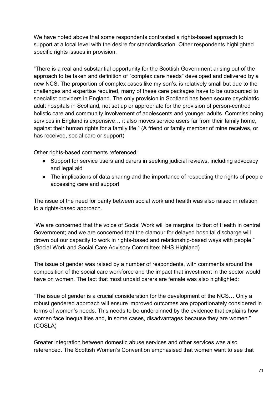We have noted above that some respondents contrasted a rights-based approach to support at a local level with the desire for standardisation. Other respondents highlighted specific rights issues in provision.

"There is a real and substantial opportunity for the Scottish Government arising out of the approach to be taken and definition of "complex care needs" developed and delivered by a new NCS. The proportion of complex cases like my son's, is relatively small but due to the challenges and expertise required, many of these care packages have to be outsourced to specialist providers in England. The only provision in Scotland has been secure psychiatric adult hospitals in Scotland, not set up or appropriate for the provision of person-centred holistic care and community involvement of adolescents and younger adults. Commissioning services in England is expensive… it also moves service users far from their family home, against their human rights for a family life." (A friend or family member of mine receives, or has received, social care or support)

Other rights-based comments referenced:

- Support for service users and carers in seeking judicial reviews, including advocacy and legal aid
- The implications of data sharing and the importance of respecting the rights of people accessing care and support

The issue of the need for parity between social work and health was also raised in relation to a rights-based approach.

"We are concerned that the voice of Social Work will be marginal to that of Health in central Government; and we are concerned that the clamour for delayed hospital discharge will drown out our capacity to work in rights-based and relationship-based ways with people." (Social Work and Social Care Advisory Committee: NHS Highland)

The issue of gender was raised by a number of respondents, with comments around the composition of the social care workforce and the impact that investment in the sector would have on women. The fact that most unpaid carers are female was also highlighted:

"The issue of gender is a crucial consideration for the development of the NCS… Only a robust gendered approach will ensure improved outcomes are proportionately considered in terms of women's needs. This needs to be underpinned by the evidence that explains how women face inequalities and, in some cases, disadvantages because they are women." (COSLA)

Greater integration between domestic abuse services and other services was also referenced. The Scottish Women's Convention emphasised that women want to see that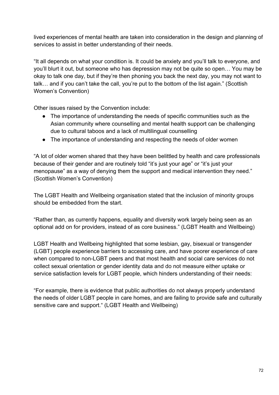lived experiences of mental health are taken into consideration in the design and planning of services to assist in better understanding of their needs.

"It all depends on what your condition is. It could be anxiety and you'll talk to everyone, and you'll blurt it out, but someone who has depression may not be quite so open… You may be okay to talk one day, but if they're then phoning you back the next day, you may not want to talk… and if you can't take the call, you're put to the bottom of the list again." (Scottish Women's Convention)

Other issues raised by the Convention include:

- The importance of understanding the needs of specific communities such as the Asian community where counselling and mental health support can be challenging due to cultural taboos and a lack of multilingual counselling
- The importance of understanding and respecting the needs of older women

"A lot of older women shared that they have been belittled by health and care professionals because of their gender and are routinely told "it's just your age" or "it's just your menopause" as a way of denying them the support and medical intervention they need." (Scottish Women's Convention)

The LGBT Health and Wellbeing organisation stated that the inclusion of minority groups should be embedded from the start.

"Rather than, as currently happens, equality and diversity work largely being seen as an optional add on for providers, instead of as core business." (LGBT Health and Wellbeing)

LGBT Health and Wellbeing highlighted that some lesbian, gay, bisexual or transgender (LGBT) people experience barriers to accessing care, and have poorer experience of care when compared to non-LGBT peers and that most health and social care services do not collect sexual orientation or gender identity data and do not measure either uptake or service satisfaction levels for LGBT people, which hinders understanding of their needs:

"For example, there is evidence that public authorities do not always properly understand the needs of older LGBT people in care homes, and are failing to provide safe and culturally sensitive care and support." (LGBT Health and Wellbeing)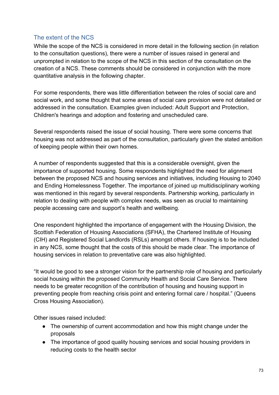# The extent of the NCS

While the scope of the NCS is considered in more detail in the following section (in relation to the consultation questions), there were a number of issues raised in general and unprompted in relation to the scope of the NCS in this section of the consultation on the creation of a NCS. These comments should be considered in conjunction with the more quantitative analysis in the following chapter.

For some respondents, there was little differentiation between the roles of social care and social work, and some thought that some areas of social care provision were not detailed or addressed in the consultation. Examples given included: Adult Support and Protection, Children's hearings and adoption and fostering and unscheduled care.

Several respondents raised the issue of social housing. There were some concerns that housing was not addressed as part of the consultation, particularly given the stated ambition of keeping people within their own homes.

A number of respondents suggested that this is a considerable oversight, given the importance of supported housing. Some respondents highlighted the need for alignment between the proposed NCS and housing services and initiatives, including Housing to 2040 and Ending Homelessness Together. The importance of joined up multidisciplinary working was mentioned in this regard by several respondents. Partnership working, particularly in relation to dealing with people with complex needs, was seen as crucial to maintaining people accessing care and support's health and wellbeing.

One respondent highlighted the importance of engagement with the Housing Division, the Scottish Federation of Housing Associations (SFHA), the Chartered Institute of Housing (CIH) and Registered Social Landlords (RSLs) amongst others. If housing is to be included in any NCS, some thought that the costs of this should be made clear. The importance of housing services in relation to preventative care was also highlighted.

"It would be good to see a stronger vision for the partnership role of housing and particularly social housing within the proposed Community Health and Social Care Service. There needs to be greater recognition of the contribution of housing and housing support in preventing people from reaching crisis point and entering formal care / hospital." (Queens Cross Housing Association).

Other issues raised included:

- The ownership of current accommodation and how this might change under the proposals
- The importance of good quality housing services and social housing providers in reducing costs to the health sector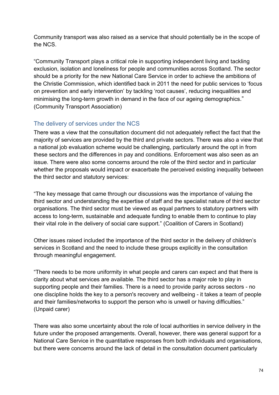Community transport was also raised as a service that should potentially be in the scope of the NCS.

"Community Transport plays a critical role in supporting independent living and tackling exclusion, isolation and loneliness for people and communities across Scotland. The sector should be a priority for the new National Care Service in order to achieve the ambitions of the Christie Commission, which identified back in 2011 the need for public services to 'focus on prevention and early intervention' by tackling 'root causes', reducing inequalities and minimising the long-term growth in demand in the face of our ageing demographics." (Community Transport Association)

# The delivery of services under the NCS

There was a view that the consultation document did not adequately reflect the fact that the majority of services are provided by the third and private sectors. There was also a view that a national job evaluation scheme would be challenging, particularly around the opt in from these sectors and the differences in pay and conditions. Enforcement was also seen as an issue. There were also some concerns around the role of the third sector and in particular whether the proposals would impact or exacerbate the perceived existing inequality between the third sector and statutory services:

"The key message that came through our discussions was the importance of valuing the third sector and understanding the expertise of staff and the specialist nature of third sector organisations. The third sector must be viewed as equal partners to statutory partners with access to long-term, sustainable and adequate funding to enable them to continue to play their vital role in the delivery of social care support." (Coalition of Carers in Scotland)

Other issues raised included the importance of the third sector in the delivery of children's services in Scotland and the need to include these groups explicitly in the consultation through meaningful engagement.

"There needs to be more uniformity in what people and carers can expect and that there is clarity about what services are available. The third sector has a major role to play in supporting people and their families. There is a need to provide parity across sectors - no one discipline holds the key to a person's recovery and wellbeing - it takes a team of people and their families/networks to support the person who is unwell or having difficulties." (Unpaid carer)

There was also some uncertainty about the role of local authorities in service delivery in the future under the proposed arrangements. Overall, however, there was general support for a National Care Service in the quantitative responses from both individuals and organisations, but there were concerns around the lack of detail in the consultation document particularly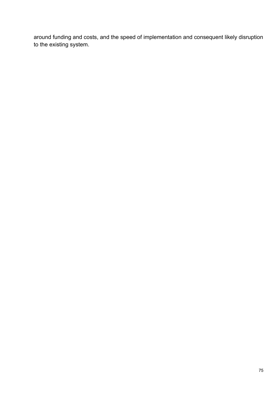around funding and costs, and the speed of implementation and consequent likely disruption to the existing system.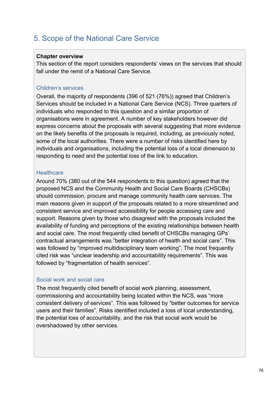# 5. Scope of the National Care Service

#### **Chapter overview**

This section of the report considers respondents' views on the services that should fall under the remit of a National Care Service.

### Children's services

Overall, the majority of respondents (396 of 521 (76%)) agreed that Children's Services should be included in a National Care Service (NCS). Three quarters of individuals who responded to this question and a similar proportion of organisations were in agreement. A number of key stakeholders however did express concerns about the proposals with several suggesting that more evidence on the likely benefits of the proposals is required, including, as previously noted, some of the local authorities. There were a number of risks identified here by individuals and organisations, including the potential loss of a local dimension to responding to need and the potential loss of the link to education.

### **Healthcare**

Around 70% (380 out of the 544 respondents to this question) agreed that the proposed NCS and the Community Health and Social Care Boards (CHSCBs) should commission, procure and manage community health care services. The main reasons given in support of the proposals related to a more streamlined and consistent service and improved accessibility for people accessing care and support. Reasons given by those who disagreed with the proposals included the availability of funding and perceptions of the existing relationships between health and social care. The most frequently cited benefit of CHSCBs managing GPs' contractual arrangements was "better integration of health and social care". This was followed by "improved multidisciplinary team working". The most frequently cited risk was "unclear leadership and accountability requirements". This was followed by "fragmentation of health services".

#### Social work and social care

The most frequently cited benefit of social work planning, assessment, commissioning and accountability being located within the NCS, was "more consistent delivery of services". This was followed by "better outcomes for service users and their families". Risks identified included a loss of local understanding, the potential loss of accountability, and the risk that social work would be overshadowed by other services.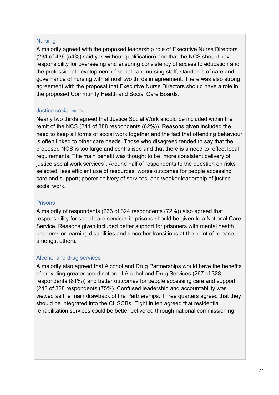#### **Nursing**

A majority agreed with the proposed leadership role of Executive Nurse Directors (234 of 436 (54%) said yes without qualification) and that the NCS should have responsibility for overseeing and ensuring consistency of access to education and the professional development of social care nursing staff, standards of care and governance of nursing with almost two thirds in agreement. There was also strong agreement with the proposal that Executive Nurse Directors should have a role in the proposed Community Health and Social Care Boards.

#### Justice social work

Nearly two thirds agreed that Justice Social Work should be included within the remit of the NCS (241 of 388 respondents (62%)). Reasons given included the need to keep all forms of social work together and the fact that offending behaviour is often linked to other care needs. Those who disagreed tended to say that the proposed NCS is too large and centralised and that there is a need to reflect local requirements. The main benefit was thought to be "more consistent delivery of justice social work services". Around half of respondents to the question on risks selected: less efficient use of resources; worse outcomes for people accessing care and support; poorer delivery of services; and weaker leadership of justice social work.

#### Prisons

A majority of respondents (233 of 324 respondents (72%)) also agreed that responsibility for social care services in prisons should be given to a National Care Service. Reasons given included better support for prisoners with mental health problems or learning disabilities and smoother transitions at the point of release, amongst others.

#### Alcohol and drug services

A majority also agreed that Alcohol and Drug Partnerships would have the benefits of providing greater coordination of Alcohol and Drug Services (267 of 328 respondents (81%)) and better outcomes for people accessing care and support (248 of 328 respondents (75%). Confused leadership and accountability was viewed as the main drawback of the Partnerships. Three quarters agreed that they should be integrated into the CHSCBs. Eight in ten agreed that residential rehabilitation services could be better delivered through national commissioning.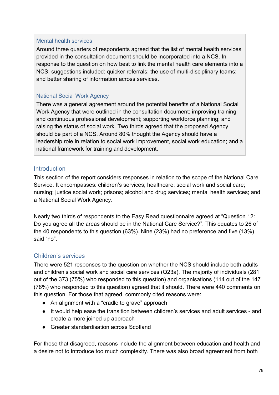#### Mental health services

Around three quarters of respondents agreed that the list of mental health services provided in the consultation document should be incorporated into a NCS. In response to the question on how best to link the mental health care elements into a NCS, suggestions included: quicker referrals; the use of multi-disciplinary teams; and better sharing of information across services.

### National Social Work Agency

There was a general agreement around the potential benefits of a National Social Work Agency that were outlined in the consultation document: improving training and continuous professional development; supporting workforce planning; and raising the status of social work. Two thirds agreed that the proposed Agency should be part of a NCS. Around 80% thought the Agency should have a leadership role in relation to social work improvement, social work education; and a national framework for training and development.

### **Introduction**

This section of the report considers responses in relation to the scope of the National Care Service. It encompasses: children's services; healthcare; social work and social care; nursing; justice social work; prisons; alcohol and drug services; mental health services; and a National Social Work Agency.

Nearly two thirds of respondents to the Easy Read questionnaire agreed at "Question 12: Do you agree all the areas should be in the National Care Service?". This equates to 26 of the 40 respondents to this question (63%). Nine (23%) had no preference and five (13%) said "no".

# Children's services

There were 521 responses to the question on whether the NCS should include both adults and children's social work and social care services (Q23a). The majority of individuals (281 out of the 373 (75%) who responded to this question) and organisations (114 out of the 147 (78%) who responded to this question) agreed that it should. There were 440 comments on this question. For those that agreed, commonly cited reasons were:

- An alignment with a "cradle to grave" approach
- It would help ease the transition between children's services and adult services and create a more joined up approach
- Greater standardisation across Scotland

For those that disagreed, reasons include the alignment between education and health and a desire not to introduce too much complexity. There was also broad agreement from both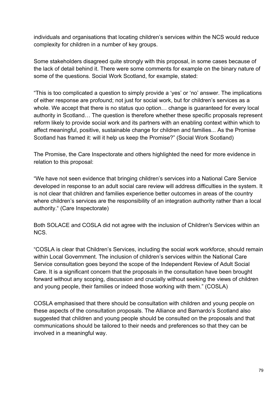individuals and organisations that locating children's services within the NCS would reduce complexity for children in a number of key groups.

Some stakeholders disagreed quite strongly with this proposal, in some cases because of the lack of detail behind it. There were some comments for example on the binary nature of some of the questions. Social Work Scotland, for example, stated:

"This is too complicated a question to simply provide a 'yes' or 'no' answer. The implications of either response are profound; not just for social work, but for children's services as a whole. We accept that there is no status quo option… change is guaranteed for every local authority in Scotland… The question is therefore whether these specific proposals represent reform likely to provide social work and its partners with an enabling context within which to affect meaningful, positive, sustainable change for children and families... As the Promise Scotland has framed it: will it help us keep the Promise?" (Social Work Scotland)

The Promise, the Care Inspectorate and others highlighted the need for more evidence in relation to this proposal:

"We have not seen evidence that bringing children's services into a National Care Service developed in response to an adult social care review will address difficulties in the system. It is not clear that children and families experience better outcomes in areas of the country where children's services are the responsibility of an integration authority rather than a local authority." (Care Inspectorate)

Both SOLACE and COSLA did not agree with the inclusion of Children's Services within an NCS.

"COSLA is clear that Children's Services, including the social work workforce, should remain within Local Government. The inclusion of children's services within the National Care Service consultation goes beyond the scope of the Independent Review of Adult Social Care. It is a significant concern that the proposals in the consultation have been brought forward without any scoping, discussion and crucially without seeking the views of children and young people, their families or indeed those working with them." (COSLA)

COSLA emphasised that there should be consultation with children and young people on these aspects of the consultation proposals. The Alliance and Barnardo's Scotland also suggested that children and young people should be consulted on the proposals and that communications should be tailored to their needs and preferences so that they can be involved in a meaningful way.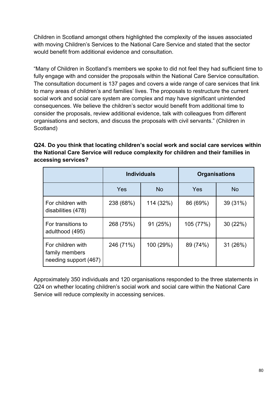Children in Scotland amongst others highlighted the complexity of the issues associated with moving Children's Services to the National Care Service and stated that the sector would benefit from additional evidence and consultation.

"Many of Children in Scotland's members we spoke to did not feel they had sufficient time to fully engage with and consider the proposals within the National Care Service consultation. The consultation document is 137 pages and covers a wide range of care services that link to many areas of children's and families' lives. The proposals to restructure the current social work and social care system are complex and may have significant unintended consequences. We believe the children's sector would benefit from additional time to consider the proposals, review additional evidence, talk with colleagues from different organisations and sectors, and discuss the proposals with civil servants." (Children in Scotland)

**Q24. Do you think that locating children's social work and social care services within the National Care Service will reduce complexity for children and their families in accessing services?** 

|                                                              | <b>Individuals</b> |           | <b>Organisations</b> |           |
|--------------------------------------------------------------|--------------------|-----------|----------------------|-----------|
|                                                              | Yes                | <b>No</b> | Yes                  | <b>No</b> |
| For children with<br>disabilities (478)                      | 238 (68%)          | 114 (32%) | 86 (69%)             | 39 (31%)  |
| For transitions to<br>adulthood (495)                        | 268 (75%)          | 91 (25%)  | 105 (77%)            | 30(22%)   |
| For children with<br>family members<br>needing support (467) | 246 (71%)          | 100 (29%) | 89 (74%)             | 31 (26%)  |

Approximately 350 individuals and 120 organisations responded to the three statements in Q24 on whether locating children's social work and social care within the National Care Service will reduce complexity in accessing services.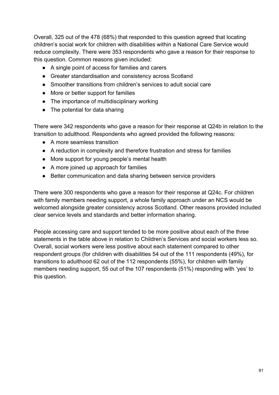Overall, 325 out of the 478 (68%) that responded to this question agreed that locating children's social work for children with disabilities within a National Care Service would reduce complexity. There were 353 respondents who gave a reason for their response to this question. Common reasons given included:

- A single point of access for families and carers
- Greater standardisation and consistency across Scotland
- Smoother transitions from children's services to adult social care
- More or better support for families
- The importance of multidisciplinary working
- The potential for data sharing

There were 342 respondents who gave a reason for their response at Q24b in relation to the transition to adulthood. Respondents who agreed provided the following reasons:

- A more seamless transition
- A reduction in complexity and therefore frustration and stress for families
- More support for young people's mental health
- A more joined up approach for families
- Better communication and data sharing between service providers

There were 300 respondents who gave a reason for their response at Q24c. For children with family members needing support, a whole family approach under an NCS would be welcomed alongside greater consistency across Scotland. Other reasons provided included clear service levels and standards and better information sharing.

People accessing care and support tended to be more positive about each of the three statements in the table above in relation to Children's Services and social workers less so. Overall, social workers were less positive about each statement compared to other respondent groups (for children with disabilities 54 out of the 111 respondents (49%), for transitions to adulthood 62 out of the 112 respondents (55%), for children with family members needing support, 55 out of the 107 respondents (51%) responding with 'yes' to this question.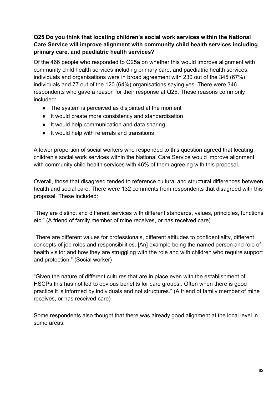# **Q25 Do you think that locating children's social work services within the National Care Service will improve alignment with community child health services including primary care, and paediatric health services?**

Of the 466 people who responded to Q25a on whether this would improve alignment with community child health services including primary care, and paediatric health services, individuals and organisations were in broad agreement with 230 out of the 345 (67%) individuals and 77 out of the 120 (64%) organisations saying yes. There were 346 respondents who gave a reason for their response at Q25. These reasons commonly included:

- The system is perceived as disjointed at the moment
- It would create more consistency and standardisation
- It would help communication and data sharing
- It would help with referrals and transitions

A lower proportion of social workers who responded to this question agreed that locating children's social work services within the National Care Service would improve alignment with community child health services with 46% of them agreeing with this proposal.

Overall, those that disagreed tended to reference cultural and structural differences between health and social care. There were 132 comments from respondents that disagreed with this proposal. These included:

"They are distinct and different services with different standards, values, principles, functions etc." (A friend of family member of mine receives, or has received care)

"There are different values for professionals, different attitudes to confidentiality, different concepts of job roles and responsibilities. [An] example being the named person and role of health visitor and how they are struggling with the role and with children who require support and protection." (Social worker)

"Given the nature of different cultures that are in place even with the establishment of HSCPs this has not led to obvious benefits for care groups.. Often when there is good practice it is informed by individuals and not structures." (A friend of family member of mine receives, or has received care)

Some respondents also thought that there was already good alignment at the local level in some areas.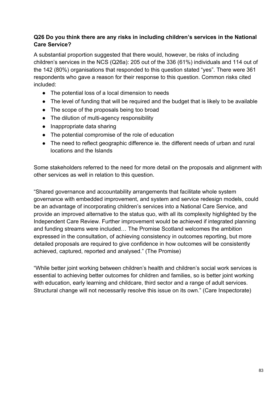## **Q26 Do you think there are any risks in including children's services in the National Care Service?**

A substantial proportion suggested that there would, however, be risks of including children's services in the NCS (Q26a): 205 out of the 336 (61%) individuals and 114 out of the 142 (80%) organisations that responded to this question stated "yes". There were 361 respondents who gave a reason for their response to this question. Common risks cited included:

- The potential loss of a local dimension to needs
- The level of funding that will be required and the budget that is likely to be available
- The scope of the proposals being too broad
- The dilution of multi-agency responsibility
- Inappropriate data sharing
- The potential compromise of the role of education
- The need to reflect geographic difference ie. the different needs of urban and rural locations and the Islands

Some stakeholders referred to the need for more detail on the proposals and alignment with other services as well in relation to this question.

"Shared governance and accountability arrangements that facilitate whole system governance with embedded improvement, and system and service redesign models, could be an advantage of incorporating children's services into a National Care Service, and provide an improved alternative to the status quo, with all its complexity highlighted by the Independent Care Review. Further improvement would be achieved if integrated planning and funding streams were included… The Promise Scotland welcomes the ambition expressed in the consultation, of achieving consistency in outcomes reporting, but more detailed proposals are required to give confidence in how outcomes will be consistently achieved, captured, reported and analysed." (The Promise)

"While better joint working between children's health and children's social work services is essential to achieving better outcomes for children and families, so is better joint working with education, early learning and childcare, third sector and a range of adult services. Structural change will not necessarily resolve this issue on its own." (Care Inspectorate)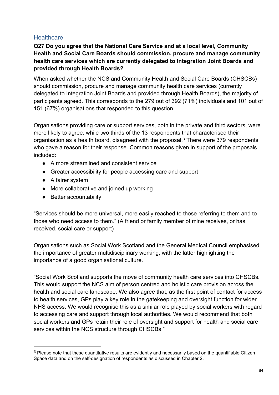# **Healthcare**

**Q27 Do you agree that the National Care Service and at a local level, Community Health and Social Care Boards should commission, procure and manage community health care services which are currently delegated to Integration Joint Boards and provided through Health Boards?** 

When asked whether the NCS and Community Health and Social Care Boards (CHSCBs) should commission, procure and manage community health care services (currently delegated to Integration Joint Boards and provided through Health Boards), the majority of participants agreed. This corresponds to the 279 out of 392 (71%) individuals and 101 out of 151 (67%) organisations that responded to this question.

Organisations providing care or support services, both in the private and third sectors, were more likely to agree, while two thirds of the 13 respondents that characterised their organisation as a health board, disagreed with the proposal.<sup>3</sup> There were 379 respondents who gave a reason for their response. Common reasons given in support of the proposals included:

- A more streamlined and consistent service
- Greater accessibility for people accessing care and support
- A fairer system
- More collaborative and joined up working
- Better accountability

"Services should be more universal, more easily reached to those referring to them and to those who need access to them." (A friend or family member of mine receives, or has received, social care or support)

Organisations such as Social Work Scotland and the General Medical Council emphasised the importance of greater multidisciplinary working, with the latter highlighting the importance of a good organisational culture.

"Social Work Scotland supports the move of community health care services into CHSCBs. This would support the NCS aim of person centred and holistic care provision across the health and social care landscape. We also agree that, as the first point of contact for access to health services, GPs play a key role in the gatekeeping and oversight function for wider NHS access. We would recognise this as a similar role played by social workers with regard to accessing care and support through local authorities. We would recommend that both social workers and GPs retain their role of oversight and support for health and social care services within the NCS structure through CHSCBs."

<sup>&</sup>lt;sup>3</sup> Please note that these quantitative results are evidently and necessarily based on the quantifiable Citizen Space data and on the self-designation of respondents as discussed in Chapter 2.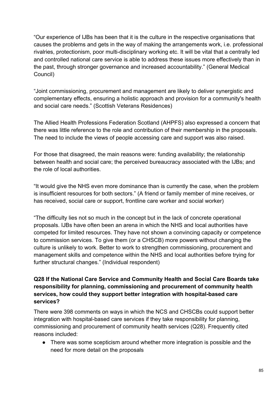"Our experience of IJBs has been that it is the culture in the respective organisations that causes the problems and gets in the way of making the arrangements work, i.e. professional rivalries, protectionism, poor multi-disciplinary working etc. It will be vital that a centrally led and controlled national care service is able to address these issues more effectively than in the past, through stronger governance and increased accountability." (General Medical Council)

"Joint commissioning, procurement and management are likely to deliver synergistic and complementary effects, ensuring a holistic approach and provision for a community's health and social care needs." (Scottish Veterans Residences)

The Allied Health Professions Federation Scotland (AHPFS) also expressed a concern that there was little reference to the role and contribution of their membership in the proposals. The need to include the views of people accessing care and support was also raised.

For those that disagreed, the main reasons were: funding availability; the relationship between health and social care; the perceived bureaucracy associated with the IJBs; and the role of local authorities.

"It would give the NHS even more dominance than is currently the case, when the problem is insufficient resources for both sectors." (A friend or family member of mine receives, or has received, social care or support, frontline care worker and social worker)

"The difficulty lies not so much in the concept but in the lack of concrete operational proposals. IJBs have often been an arena in which the NHS and local authorities have competed for limited resources. They have not shown a convincing capacity or competence to commission services. To give them (or a CHSCB) more powers without changing the culture is unlikely to work. Better to work to strengthen commissioning, procurement and management skills and competence within the NHS and local authorities before trying for further structural changes." (Individual respondent)

# **Q28 If the National Care Service and Community Health and Social Care Boards take responsibility for planning, commissioning and procurement of community health services, how could they support better integration with hospital-based care services?**

There were 398 comments on ways in which the NCS and CHSCBs could support better integration with hospital-based care services if they take responsibility for planning, commissioning and procurement of community health services (Q28). Frequently cited reasons included:

● There was some scepticism around whether more integration is possible and the need for more detail on the proposals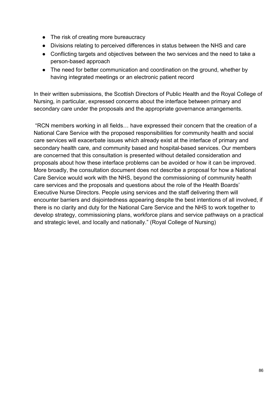- The risk of creating more bureaucracy
- Divisions relating to perceived differences in status between the NHS and care
- Conflicting targets and objectives between the two services and the need to take a person-based approach
- The need for better communication and coordination on the ground, whether by having integrated meetings or an electronic patient record

In their written submissions, the Scottish Directors of Public Health and the Royal College of Nursing, in particular, expressed concerns about the interface between primary and secondary care under the proposals and the appropriate governance arrangements.

 "RCN members working in all fields… have expressed their concern that the creation of a National Care Service with the proposed responsibilities for community health and social care services will exacerbate issues which already exist at the interface of primary and secondary health care, and community based and hospital-based services. Our members are concerned that this consultation is presented without detailed consideration and proposals about how these interface problems can be avoided or how it can be improved. More broadly, the consultation document does not describe a proposal for how a National Care Service would work with the NHS, beyond the commissioning of community health care services and the proposals and questions about the role of the Health Boards' Executive Nurse Directors. People using services and the staff delivering them will encounter barriers and disjointedness appearing despite the best intentions of all involved, if there is no clarity and duty for the National Care Service and the NHS to work together to develop strategy, commissioning plans, workforce plans and service pathways on a practical and strategic level, and locally and nationally." (Royal College of Nursing)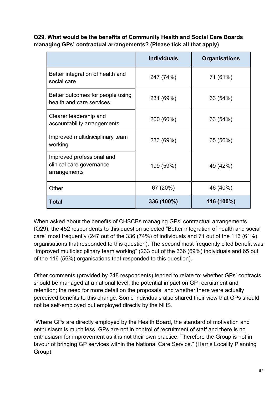**Q29. What would be the benefits of Community Health and Social Care Boards managing GPs' contractual arrangements? (Please tick all that apply)**

|                                                                       | <b>Individuals</b> | <b>Organisations</b> |
|-----------------------------------------------------------------------|--------------------|----------------------|
| Better integration of health and<br>social care                       | 247 (74%)          | 71 (61%)             |
| Better outcomes for people using<br>health and care services          | 231 (69%)          | 63 (54%)             |
| Clearer leadership and<br>accountability arrangements                 | 200 (60%)          | 63 (54%)             |
| Improved multidisciplinary team<br>working                            | 233 (69%)          | 65 (56%)             |
| Improved professional and<br>clinical care governance<br>arrangements | 199 (59%)          | 49 (42%)             |
| Other                                                                 | 67 (20%)           | 46 (40%)             |
| <b>Total</b>                                                          | 336 (100%)         | 116 (100%)           |

When asked about the benefits of CHSCBs managing GPs' contractual arrangements (Q29), the 452 respondents to this question selected "Better integration of health and social care" most frequently (247 out of the 336 (74%) of individuals and 71 out of the 116 (61%) organisations that responded to this question). The second most frequently cited benefit was "Improved multidisciplinary team working" (233 out of the 336 (69%) individuals and 65 out of the 116 (56%) organisations that responded to this question).

Other comments (provided by 248 respondents) tended to relate to: whether GPs' contracts should be managed at a national level; the potential impact on GP recruitment and retention; the need for more detail on the proposals; and whether there were actually perceived benefits to this change. Some individuals also shared their view that GPs should not be self-employed but employed directly by the NHS.

"Where GPs are directly employed by the Health Board, the standard of motivation and enthusiasm is much less. GPs are not in control of recruitment of staff and there is no enthusiasm for improvement as it is not their own practice. Therefore the Group is not in favour of bringing GP services within the National Care Service." (Harris Locality Planning Group)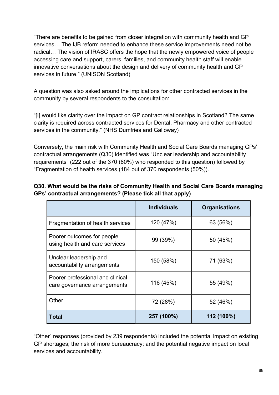"There are benefits to be gained from closer integration with community health and GP services… The IJB reform needed to enhance these service improvements need not be radical… The vision of IRASC offers the hope that the newly empowered voice of people accessing care and support, carers, families, and community health staff will enable innovative conversations about the design and delivery of community health and GP services in future." (UNISON Scotland)

A question was also asked around the implications for other contracted services in the community by several respondents to the consultation:

"[I] would like clarity over the impact on GP contract relationships in Scotland? The same clarity is required across contracted services for Dental, Pharmacy and other contracted services in the community." (NHS Dumfries and Galloway)

Conversely, the main risk with Community Health and Social Care Boards managing GPs' contractual arrangements (Q30) identified was "Unclear leadership and accountability requirements" (222 out of the 370 (60%) who responded to this question) followed by "Fragmentation of health services (184 out of 370 respondents (50%)).

|                                                                  | <b>Individuals</b> | <b>Organisations</b> |
|------------------------------------------------------------------|--------------------|----------------------|
| Fragmentation of health services                                 | 120 (47%)          | 63 (56%)             |
| Poorer outcomes for people<br>using health and care services     | 99 (39%)           | 50 (45%)             |
| Unclear leadership and<br>accountability arrangements            | 150 (58%)          | 71 (63%)             |
| Poorer professional and clinical<br>care governance arrangements | 116 (45%)          | 55 (49%)             |
| Other                                                            | 72 (28%)           | 52 (46%)             |
| Total                                                            | 257 (100%)         | 112 (100%)           |

# **Q30. What would be the risks of Community Health and Social Care Boards managing GPs' contractual arrangements? (Please tick all that apply)**

"Other" responses (provided by 239 respondents) included the potential impact on existing GP shortages; the risk of more bureaucracy; and the potential negative impact on local services and accountability.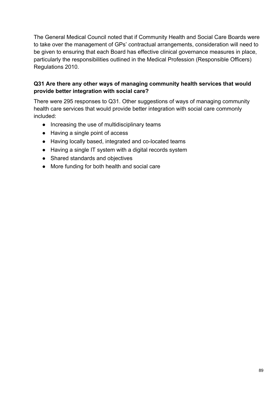The General Medical Council noted that if Community Health and Social Care Boards were to take over the management of GPs' contractual arrangements, consideration will need to be given to ensuring that each Board has effective clinical governance measures in place, particularly the responsibilities outlined in the Medical Profession (Responsible Officers) Regulations 2010.

# **Q31 Are there any other ways of managing community health services that would provide better integration with social care?**

There were 295 responses to Q31. Other suggestions of ways of managing community health care services that would provide better integration with social care commonly included:

- Increasing the use of multidisciplinary teams
- Having a single point of access
- Having locally based, integrated and co-located teams
- Having a single IT system with a digital records system
- Shared standards and objectives
- More funding for both health and social care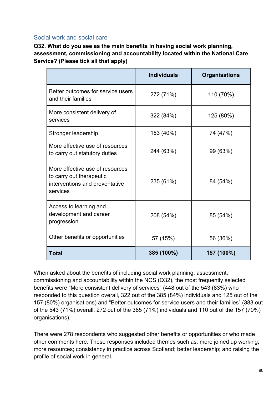# Social work and social care

**Q32. What do you see as the main benefits in having social work planning, assessment, commissioning and accountability located within the National Care Service? (Please tick all that apply)**

|                                                                                                           | <b>Individuals</b> | <b>Organisations</b> |
|-----------------------------------------------------------------------------------------------------------|--------------------|----------------------|
| Better outcomes for service users<br>and their families                                                   | 272 (71%)          | 110 (70%)            |
| More consistent delivery of<br>services                                                                   | 322 (84%)          | 125 (80%)            |
| Stronger leadership                                                                                       | 153 (40%)          | 74 (47%)             |
| More effective use of resources<br>to carry out statutory duties                                          | 244 (63%)          | 99 (63%)             |
| More effective use of resources<br>to carry out therapeutic<br>interventions and preventative<br>services | 235 (61%)          | 84 (54%)             |
| Access to learning and<br>development and career<br>progression                                           | 208 (54%)          | 85 (54%)             |
| Other benefits or opportunities                                                                           | 57 (15%)           | 56 (36%)             |
| <b>Total</b>                                                                                              | 385 (100%)         | 157 (100%)           |

When asked about the benefits of including social work planning, assessment, commissioning and accountability within the NCS (Q32), the most frequently selected benefits were "More consistent delivery of services" (448 out of the 543 (83%) who responded to this question overall, 322 out of the 385 (84%) individuals and 125 out of the 157 (80%) organisations) and "Better outcomes for service users and their families" (383 out of the 543 (71%) overall, 272 out of the 385 (71%) individuals and 110 out of the 157 (70%) organisations).

There were 278 respondents who suggested other benefits or opportunities or who made other comments here. These responses included themes such as: more joined up working; more resources; consistency in practice across Scotland; better leadership; and raising the profile of social work in general.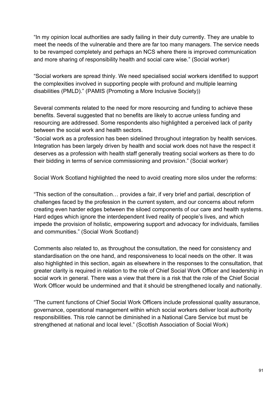"In my opinion local authorities are sadly failing in their duty currently. They are unable to meet the needs of the vulnerable and there are far too many managers. The service needs to be revamped completely and perhaps an NCS where there is improved communication and more sharing of responsibility health and social care wise." (Social worker)

"Social workers are spread thinly. We need specialised social workers identified to support the complexities involved in supporting people with profound and multiple learning disabilities (PMLD)." (PAMIS (Promoting a More Inclusive Society))

Several comments related to the need for more resourcing and funding to achieve these benefits. Several suggested that no benefits are likely to accrue unless funding and resourcing are addressed. Some respondents also highlighted a perceived lack of parity between the social work and health sectors.

"Social work as a profession has been sidelined throughout integration by health services. Integration has been largely driven by health and social work does not have the respect it deserves as a profession with health staff generally treating social workers as there to do their bidding in terms of service commissioning and provision." (Social worker)

Social Work Scotland highlighted the need to avoid creating more silos under the reforms:

"This section of the consultation… provides a fair, if very brief and partial, description of challenges faced by the profession in the current system, and our concerns about reform creating even harder edges between the siloed components of our care and health systems. Hard edges which ignore the interdependent lived reality of people's lives, and which impede the provision of holistic, empowering support and advocacy for individuals, families and communities." (Social Work Scotland)

Comments also related to, as throughout the consultation, the need for consistency and standardisation on the one hand, and responsiveness to local needs on the other. It was also highlighted in this section, again as elsewhere in the responses to the consultation, that greater clarity is required in relation to the role of Chief Social Work Officer and leadership in social work in general. There was a view that there is a risk that the role of the Chief Social Work Officer would be undermined and that it should be strengthened locally and nationally.

"The current functions of Chief Social Work Officers include professional quality assurance, governance, operational management within which social workers deliver local authority responsibilities. This role cannot be diminished in a National Care Service but must be strengthened at national and local level." (Scottish Association of Social Work)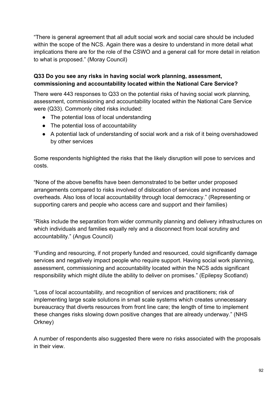"There is general agreement that all adult social work and social care should be included within the scope of the NCS. Again there was a desire to understand in more detail what implications there are for the role of the CSWO and a general call for more detail in relation to what is proposed." (Moray Council)

### **Q33 Do you see any risks in having social work planning, assessment, commissioning and accountability located within the National Care Service?**

There were 443 responses to Q33 on the potential risks of having social work planning, assessment, commissioning and accountability located within the National Care Service were (Q33). Commonly cited risks included:

- The potential loss of local understanding
- The potential loss of accountability
- A potential lack of understanding of social work and a risk of it being overshadowed by other services

Some respondents highlighted the risks that the likely disruption will pose to services and costs.

"None of the above benefits have been demonstrated to be better under proposed arrangements compared to risks involved of dislocation of services and increased overheads. Also loss of local accountability through local democracy." (Representing or supporting carers and people who access care and support and their families)

"Risks include the separation from wider community planning and delivery infrastructures on which individuals and families equally rely and a disconnect from local scrutiny and accountability." (Angus Council)

"Funding and resourcing, if not properly funded and resourced, could significantly damage services and negatively impact people who require support. Having social work planning, assessment, commissioning and accountability located within the NCS adds significant responsibility which might dilute the ability to deliver on promises." (Epilepsy Scotland)

"Loss of local accountability, and recognition of services and practitioners; risk of implementing large scale solutions in small scale systems which creates unnecessary bureaucracy that diverts resources from front line care; the length of time to implement these changes risks slowing down positive changes that are already underway." (NHS Orkney)

A number of respondents also suggested there were no risks associated with the proposals in their view.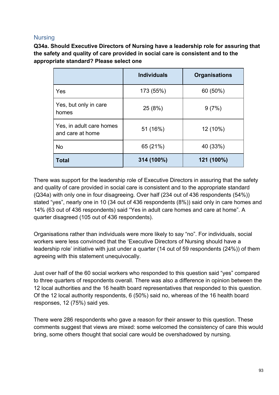# Nursing

**Q34a. Should Executive Directors of Nursing have a leadership role for assuring that the safety and quality of care provided in social care is consistent and to the appropriate standard? Please select one**

|                                              | <b>Individuals</b> | <b>Organisations</b> |
|----------------------------------------------|--------------------|----------------------|
| Yes                                          | 173 (55%)          | 60 (50%)             |
| Yes, but only in care<br>homes               | 25 (8%)            | 9(7%)                |
| Yes, in adult care homes<br>and care at home | 51 (16%)           | 12 (10%)             |
| <b>No</b>                                    | 65 (21%)           | 40 (33%)             |
| <b>Total</b>                                 | 314 (100%)         | 121 (100%)           |

There was support for the leadership role of Executive Directors in assuring that the safety and quality of care provided in social care is consistent and to the appropriate standard (Q34a) with only one in four disagreeing. Over half (234 out of 436 respondents (54%)) stated "yes", nearly one in 10 (34 out of 436 respondents (8%)) said only in care homes and 14% (63 out of 436 respondents) said "Yes in adult care homes and care at home". A quarter disagreed (105 out of 436 respondents).

Organisations rather than individuals were more likely to say "no". For individuals, social workers were less convinced that the 'Executive Directors of Nursing should have a leadership role' initiative with just under a quarter (14 out of 59 respondents (24%)) of them agreeing with this statement unequivocally.

Just over half of the 60 social workers who responded to this question said "yes" compared to three quarters of respondents overall. There was also a difference in opinion between the 12 local authorities and the 16 health board representatives that responded to this question. Of the 12 local authority respondents, 6 (50%) said no, whereas of the 16 health board responses, 12 (75%) said yes.

There were 286 respondents who gave a reason for their answer to this question. These comments suggest that views are mixed: some welcomed the consistency of care this would bring, some others thought that social care would be overshadowed by nursing.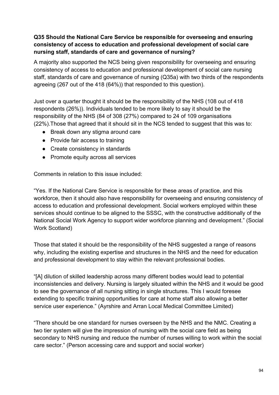# **Q35 Should the National Care Service be responsible for overseeing and ensuring consistency of access to education and professional development of social care nursing staff, standards of care and governance of nursing?**

A majority also supported the NCS being given responsibility for overseeing and ensuring consistency of access to education and professional development of social care nursing staff, standards of care and governance of nursing (Q35a) with two thirds of the respondents agreeing (267 out of the 418 (64%)) that responded to this question).

Just over a quarter thought it should be the responsibility of the NHS (108 out of 418 respondents (26%)). Individuals tended to be more likely to say it should be the responsibility of the NHS (84 of 308 (27%) compared to 24 of 109 organisations (22%).Those that agreed that it should sit in the NCS tended to suggest that this was to:

- Break down any stigma around care
- Provide fair access to training
- Create consistency in standards
- Promote equity across all services

Comments in relation to this issue included:

"Yes. If the National Care Service is responsible for these areas of practice, and this workforce, then it should also have responsibility for overseeing and ensuring consistency of access to education and professional development. Social workers employed within these services should continue to be aligned to the SSSC, with the constructive additionally of the National Social Work Agency to support wider workforce planning and development." (Social Work Scotland)

Those that stated it should be the responsibility of the NHS suggested a range of reasons why, including the existing expertise and structures in the NHS and the need for education and professional development to stay within the relevant professional bodies.

"[A] dilution of skilled leadership across many different bodies would lead to potential inconsistencies and delivery. Nursing is largely situated within the NHS and it would be good to see the governance of all nursing sitting in single structures. This I would foresee extending to specific training opportunities for care at home staff also allowing a better service user experience." (Ayrshire and Arran Local Medical Committee Limited)

"There should be one standard for nurses overseen by the NHS and the NMC. Creating a two tier system will give the impression of nursing with the social care field as being secondary to NHS nursing and reduce the number of nurses willing to work within the social care sector." (Person accessing care and support and social worker)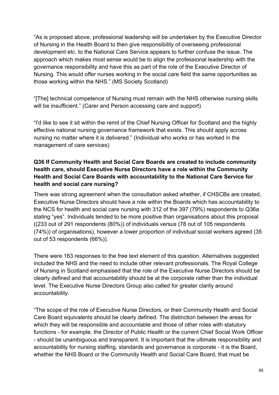"As is proposed above, professional leadership will be undertaken by the Executive Director of Nursing in the Health Board to then give responsibility of overseeing professional development etc. to the National Care Service appears to further confuse the issue. The approach which makes most sense would be to align the professional leadership with the governance responsibility and have this as part of the role of the Executive Director of Nursing. This would offer nurses working in the social care field the same opportunities as those working within the NHS." (MS Society Scotland)

"[The] technical competence of Nursing must remain with the NHS otherwise nursing skills will be insufficient." (Carer and Person accessing care and support)

"I'd like to see it sit within the remit of the Chief Nursing Officer for Scotland and the highly effective national nursing governance framework that exists. This should apply across nursing no matter where it is delivered." (Individual who works or has worked in the management of care services)

# **Q36 If Community Health and Social Care Boards are created to include community health care, should Executive Nurse Directors have a role within the Community Health and Social Care Boards with accountability to the National Care Service for health and social care nursing?**

There was strong agreement when the consultation asked whether, if CHSCBs are created, Executive Nurse Directors should have a role within the Boards which has accountability to the NCS for health and social care nursing with 312 of the 397 (79%) respondents to Q36a stating "yes". Individuals tended to be more positive than organisations about this proposal ((233 out of 291 respondents (80%)) of individuals versus (78 out of 105 respondents (74%)) of organisations), however a lower proportion of individual social workers agreed (35 out of 53 respondents (66%)).

There were 163 responses to the free text element of this question. Alternatives suggested included the NHS and the need to include other relevant professionals. The Royal College of Nursing in Scotland emphasised that the role of the Executive Nurse Directors should be clearly defined and that accountability should be at the corporate rather than the individual level. The Executive Nurse Directors Group also called for greater clarity around accountability.

"The scope of the role of Executive Nurse Directors, or their Community Health and Social Care Board equivalents should be clearly defined. The distinction between the areas for which they will be responsible and accountable and those of other roles with statutory functions - for example, the Director of Public Health or the current Chief Social Work Officer - should be unambiguous and transparent. It is important that the ultimate responsibility and accountability for nursing staffing, standards and governance is corporate - it is the Board, whether the NHS Board or the Community Health and Social Care Board, that must be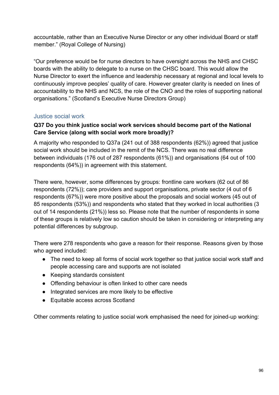accountable, rather than an Executive Nurse Director or any other individual Board or staff member." (Royal College of Nursing)

"Our preference would be for nurse directors to have oversight across the NHS and CHSC boards with the ability to delegate to a nurse on the CHSC board. This would allow the Nurse Director to exert the influence and leadership necessary at regional and local levels to continuously improve peoples' quality of care. However greater clarity is needed on lines of accountability to the NHS and NCS, the role of the CNO and the roles of supporting national organisations." (Scotland's Executive Nurse Directors Group)

# Justice social work

### **Q37 Do you think justice social work services should become part of the National Care Service (along with social work more broadly)?**

A majority who responded to Q37a (241 out of 388 respondents (62%)) agreed that justice social work should be included in the remit of the NCS. There was no real difference between individuals (176 out of 287 respondents (61%)) and organisations (64 out of 100 respondents (64%)) in agreement with this statement.

There were, however, some differences by groups: frontline care workers (62 out of 86 respondents (72%)); care providers and support organisations, private sector (4 out of 6 respondents (67%)) were more positive about the proposals and social workers (45 out of 85 respondents (53%)) and respondents who stated that they worked in local authorities (3 out of 14 respondents (21%)) less so. Please note that the number of respondents in some of these groups is relatively low so caution should be taken in considering or interpreting any potential differences by subgroup.

There were 278 respondents who gave a reason for their response. Reasons given by those who agreed included:

- The need to keep all forms of social work together so that justice social work staff and people accessing care and supports are not isolated
- Keeping standards consistent
- Offending behaviour is often linked to other care needs
- Integrated services are more likely to be effective
- Equitable access across Scotland

Other comments relating to justice social work emphasised the need for joined-up working: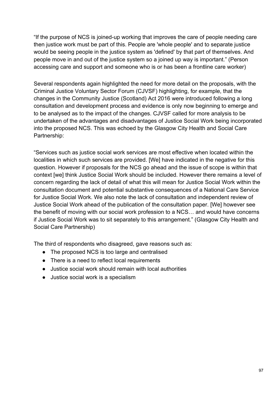"If the purpose of NCS is joined-up working that improves the care of people needing care then justice work must be part of this. People are 'whole people' and to separate justice would be seeing people in the justice system as 'defined' by that part of themselves. And people move in and out of the justice system so a joined up way is important." (Person accessing care and support and someone who is or has been a frontline care worker)

Several respondents again highlighted the need for more detail on the proposals, with the Criminal Justice Voluntary Sector Forum (CJVSF) highlighting, for example, that the changes in the Community Justice (Scotland) Act 2016 were introduced following a long consultation and development process and evidence is only now beginning to emerge and to be analysed as to the impact of the changes. CJVSF called for more analysis to be undertaken of the advantages and disadvantages of Justice Social Work being incorporated into the proposed NCS. This was echoed by the Glasgow City Health and Social Care Partnership:

"Services such as justice social work services are most effective when located within the localities in which such services are provided. [We] have indicated in the negative for this question. However if proposals for the NCS go ahead and the issue of scope is within that context [we] think Justice Social Work should be included. However there remains a level of concern regarding the lack of detail of what this will mean for Justice Social Work within the consultation document and potential substantive consequences of a National Care Service for Justice Social Work. We also note the lack of consultation and independent review of Justice Social Work ahead of the publication of the consultation paper. [We] however see the benefit of moving with our social work profession to a NCS… and would have concerns if Justice Social Work was to sit separately to this arrangement." (Glasgow City Health and Social Care Partnership)

The third of respondents who disagreed, gave reasons such as:

- The proposed NCS is too large and centralised
- There is a need to reflect local requirements
- Justice social work should remain with local authorities
- Justice social work is a specialism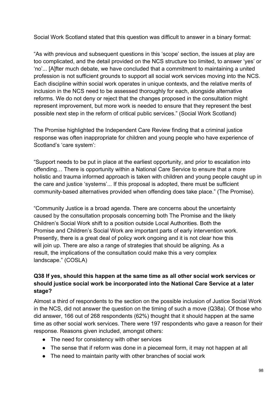Social Work Scotland stated that this question was difficult to answer in a binary format:

"As with previous and subsequent questions in this 'scope' section, the issues at play are too complicated, and the detail provided on the NCS structure too limited, to answer 'yes' or 'no'... [A]fter much debate, we have concluded that a commitment to maintaining a united profession is not sufficient grounds to support all social work services moving into the NCS. Each discipline within social work operates in unique contexts, and the relative merits of inclusion in the NCS need to be assessed thoroughly for each, alongside alternative reforms. We do not deny or reject that the changes proposed in the consultation might represent improvement, but more work is needed to ensure that they represent the best possible next step in the reform of critical public services." (Social Work Scotland)

The Promise highlighted the Independent Care Review finding that a criminal justice response was often inappropriate for children and young people who have experience of Scotland's 'care system':

"Support needs to be put in place at the earliest opportunity, and prior to escalation into offending… There is opportunity within a National Care Service to ensure that a more holistic and trauma informed approach is taken with children and young people caught up in the care and justice 'systems'... If this proposal is adopted, there must be sufficient community-based alternatives provided when offending does take place." (The Promise).

"Community Justice is a broad agenda. There are concerns about the uncertainty caused by the consultation proposals concerning both The Promise and the likely Children's Social Work shift to a position outside Local Authorities. Both the Promise and Children's Social Work are important parts of early intervention work. Presently, there is a great deal of policy work ongoing and it is not clear how this will join up. There are also a range of strategies that should be aligning. As a result, the implications of the consultation could make this a very complex landscape." (COSLA)

# **Q38 If yes, should this happen at the same time as all other social work services or should justice social work be incorporated into the National Care Service at a later stage?**

Almost a third of respondents to the section on the possible inclusion of Justice Social Work in the NCS, did not answer the question on the timing of such a move (Q38a). Of those who did answer, 166 out of 268 respondents (62%) thought that it should happen at the same time as other social work services. There were 197 respondents who gave a reason for their response. Reasons given included, amongst others:

- The need for consistency with other services
- The sense that if reform was done in a piecemeal form, it may not happen at all
- The need to maintain parity with other branches of social work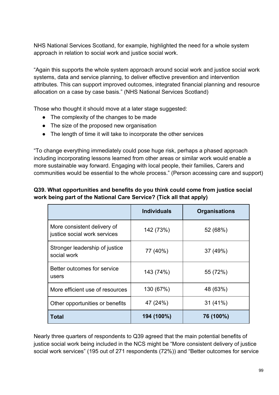NHS National Services Scotland, for example, highlighted the need for a whole system approach in relation to social work and justice social work.

"Again this supports the whole system approach around social work and justice social work systems, data and service planning, to deliver effective prevention and intervention attributes. This can support improved outcomes, integrated financial planning and resource allocation on a case by case basis." (NHS National Services Scotland)

Those who thought it should move at a later stage suggested:

- The complexity of the changes to be made
- The size of the proposed new organisation
- The length of time it will take to incorporate the other services

"To change everything immediately could pose huge risk, perhaps a phased approach including incorporating lessons learned from other areas or similar work would enable a more sustainable way forward. Engaging with local people, their families, Carers and communities would be essential to the whole process." (Person accessing care and support)

# **Q39. What opportunities and benefits do you think could come from justice social work being part of the National Care Service? (Tick all that apply)**

|                                                             | <b>Individuals</b> | <b>Organisations</b> |
|-------------------------------------------------------------|--------------------|----------------------|
| More consistent delivery of<br>justice social work services | 142 (73%)          | 52 (68%)             |
| Stronger leadership of justice<br>social work               | 77 (40%)           | 37 (49%)             |
| Better outcomes for service<br>users                        | 143 (74%)          | 55 (72%)             |
| More efficient use of resources                             | 130 (67%)          | 48 (63%)             |
| Other opportunities or benefits                             | 47 (24%)           | $31(41\%)$           |
| Total                                                       | 194 (100%)         | 76 (100%)            |

Nearly three quarters of respondents to Q39 agreed that the main potential benefits of justice social work being included in the NCS might be "More consistent delivery of justice social work services" (195 out of 271 respondents (72%)) and "Better outcomes for service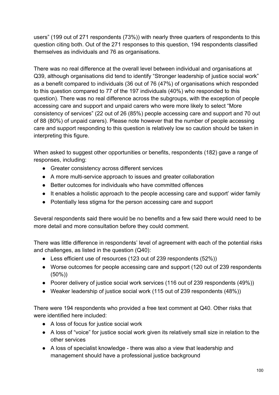users" (199 out of 271 respondents (73%)) with nearly three quarters of respondents to this question citing both. Out of the 271 responses to this question, 194 respondents classified themselves as individuals and 76 as organisations.

There was no real difference at the overall level between individual and organisations at Q39, although organisations did tend to identify "Stronger leadership of justice social work" as a benefit compared to individuals (36 out of 76 (47%) of organisations which responded to this question compared to 77 of the 197 individuals (40%) who responded to this question). There was no real difference across the subgroups, with the exception of people accessing care and support and unpaid carers who were more likely to select "More consistency of services" (22 out of 26 (85%) people accessing care and support and 70 out of 88 (80%) of unpaid carers). Please note however that the number of people accessing care and support responding to this question is relatively low so caution should be taken in interpreting this figure.

When asked to suggest other opportunities or benefits, respondents (182) gave a range of responses, including:

- Greater consistency across different services
- A more multi-service approach to issues and greater collaboration
- Better outcomes for individuals who have committed offences
- It enables a holistic approach to the people accessing care and support' wider family
- Potentially less stigma for the person accessing care and support

Several respondents said there would be no benefits and a few said there would need to be more detail and more consultation before they could comment.

There was little difference in respondents' level of agreement with each of the potential risks and challenges, as listed in the question (Q40):

- Less efficient use of resources (123 out of 239 respondents (52%))
- Worse outcomes for people accessing care and support (120 out of 239 respondents (50%))
- Poorer delivery of justice social work services (116 out of 239 respondents (49%))
- Weaker leadership of justice social work (115 out of 239 respondents (48%))

There were 194 respondents who provided a free text comment at Q40. Other risks that were identified here included:

- A loss of focus for justice social work
- A loss of "voice" for justice social work given its relatively small size in relation to the other services
- A loss of specialist knowledge there was also a view that leadership and management should have a professional justice background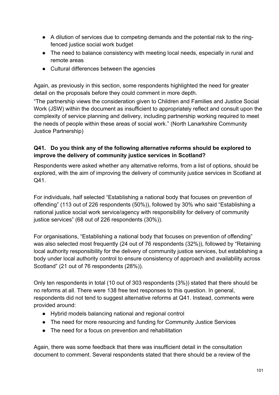- A dilution of services due to competing demands and the potential risk to the ringfenced justice social work budget
- The need to balance consistency with meeting local needs, especially in rural and remote areas
- Cultural differences between the agencies

Again, as previously in this section, some respondents highlighted the need for greater detail on the proposals before they could comment in more depth.

"The partnership views the consideration given to Children and Families and Justice Social Work (JSW) within the document as insufficient to appropriately reflect and consult upon the complexity of service planning and delivery, including partnership working required to meet the needs of people within these areas of social work." (North Lanarkshire Community Justice Partnership)

# **Q41. Do you think any of the following alternative reforms should be explored to improve the delivery of community justice services in Scotland?**

Respondents were asked whether any alternative reforms, from a list of options, should be explored, with the aim of improving the delivery of community justice services in Scotland at Q41.

For individuals, half selected "Establishing a national body that focuses on prevention of offending" (113 out of 226 respondents (50%)), followed by 30% who said "Establishing a national justice social work service/agency with responsibility for delivery of community justice services" (68 out of 226 respondents (30%)).

For organisations, "Establishing a national body that focuses on prevention of offending" was also selected most frequently (24 out of 76 respondents (32%)), followed by "Retaining local authority responsibility for the delivery of community justice services, but establishing a body under local authority control to ensure consistency of approach and availability across Scotland" (21 out of 76 respondents (28%)).

Only ten respondents in total (10 out of 303 respondents (3%)) stated that there should be no reforms at all. There were 138 free text responses to this question. In general, respondents did not tend to suggest alternative reforms at Q41. Instead, comments were provided around:

- Hybrid models balancing national and regional control
- The need for more resourcing and funding for Community Justice Services
- The need for a focus on prevention and rehabilitation

Again, there was some feedback that there was insufficient detail in the consultation document to comment. Several respondents stated that there should be a review of the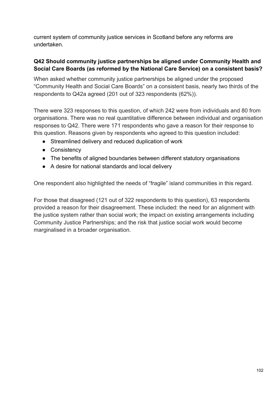current system of community justice services in Scotland before any reforms are undertaken.

### **Q42 Should community justice partnerships be aligned under Community Health and Social Care Boards (as reformed by the National Care Service) on a consistent basis?**

When asked whether community justice partnerships be aligned under the proposed "Community Health and Social Care Boards" on a consistent basis, nearly two thirds of the respondents to Q42a agreed (201 out of 323 respondents (62%)).

There were 323 responses to this question, of which 242 were from individuals and 80 from organisations. There was no real quantitative difference between individual and organisation responses to Q42. There were 171 respondents who gave a reason for their response to this question. Reasons given by respondents who agreed to this question included:

- Streamlined delivery and reduced duplication of work
- Consistency
- The benefits of aligned boundaries between different statutory organisations
- A desire for national standards and local delivery

One respondent also highlighted the needs of "fragile" island communities in this regard.

For those that disagreed (121 out of 322 respondents to this question), 63 respondents provided a reason for their disagreement. These included: the need for an alignment with the justice system rather than social work; the impact on existing arrangements including Community Justice Partnerships; and the risk that justice social work would become marginalised in a broader organisation.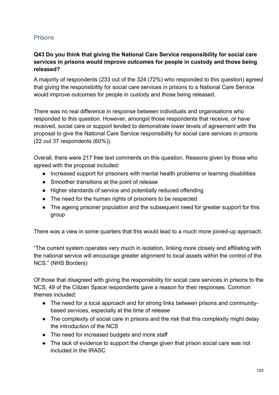# Prisons

# **Q43 Do you think that giving the National Care Service responsibility for social care services in prisons would improve outcomes for people in custody and those being released?**

A majority of respondents (233 out of the 324 (72%) who responded to this question) agreed that giving the responsibility for social care services in prisons to a National Care Service would improve outcomes for people in custody and those being released.

There was no real difference in response between individuals and organisations who responded to this question. However, amongst those respondents that receive, or have received, social care or support tended to demonstrate lower levels of agreement with the proposal to give the National Care Service responsibility for social care services in prisons (22 out 37 respondents (60%)).

Overall, there were 217 free text comments on this question. Reasons given by those who agreed with the proposal included:

- Increased support for prisoners with mental health problems or learning disabilities
- Smoother transitions at the point of release
- Higher standards of service and potentially reduced offending
- The need for the human rights of prisoners to be respected
- The ageing prisoner population and the subsequent need for greater support for this group

There was a view in some quarters that this would lead to a much more joined-up approach.

"The current system operates very much in isolation, linking more closely and affiliating with the national service will encourage greater alignment to local assets within the control of the NCS." (NHS Borders)

Of those that disagreed with giving the responsibility for social care services in prisons to the NCS, 49 of the Citizen Space respondents gave a reason for their responses. Common themes included:

- The need for a local approach and for strong links between prisons and communitybased services, especially at the time of release
- The complexity of social care in prisons and the risk that this complexity might delay the introduction of the NCS
- The need for increased budgets and more staff
- The lack of evidence to support the change given that prison social care was not included in the IRASC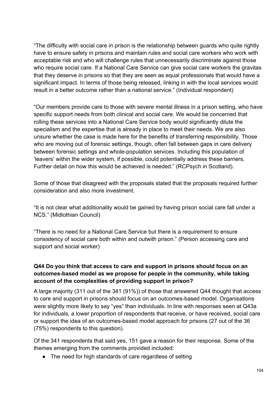"The difficulty with social care in prison is the relationship between guards who quite rightly have to ensure safety in prisons and maintain rules and social care workers who work with acceptable risk and who will challenge rules that unnecessarily discriminate against those who require social care. If a National Care Service can give social care workers the gravitas that they deserve in prisons so that they are seen as equal professionals that would have a significant impact. In terms of those being released, linking in with the local services would result in a better outcome rather than a national service." (Individual respondent)

"Our members provide care to those with severe mental illness in a prison setting, who have specific support needs from both clinical and social care. We would be concerned that rolling these services into a National Care Service body would significantly dilute the specialism and the expertise that is already in place to meet their needs. We are also unsure whether the case is made here for the benefits of transferring responsibility. Those who are moving out of forensic settings, though, often fall between gaps in care delivery between forensic settings and whole-population services. Including this population of 'leavers' within the wider system, if possible, could potentially address these barriers. Further detail on how this would be achieved is needed." (RCPsych in Scotland).

Some of those that disagreed with the proposals stated that the proposals required further consideration and also more investment.

"It is not clear what additionality would be gained by having prison social care fall under a NCS." (Midlothian Council)

"There is no need for a National Care Service but there is a requirement to ensure consistency of social care both within and outwith prison." (Person accessing care and support and social worker)

# **Q44 Do you think that access to care and support in prisons should focus on an outcomes-based model as we propose for people in the community, while taking account of the complexities of providing support in prison?**

A large majority (311 out of the 341 (91%)) of those that answered Q44 thought that access to care and support in prisons should focus on an outcomes-based model. Organisations were slightly more likely to say "yes" than individuals. In line with responses seen at Q43a for individuals, a lower proportion of respondents that receive, or have received, social care or support the idea of an outcomes-based model approach for prisons (27 out of the 36 (75%) respondents to this question).

Of the 341 respondents that said yes, 151 gave a reason for their response. Some of the themes emerging from the comments provided included:

• The need for high standards of care regardless of setting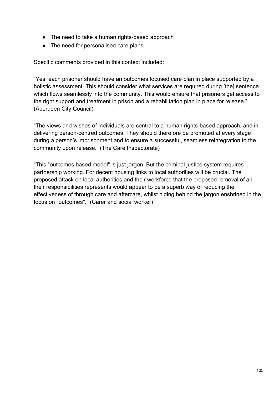- The need to take a human rights-based approach
- The need for personalised care plans

Specific comments provided in this context included:

"Yes, each prisoner should have an outcomes focused care plan in place supported by a holistic assessment. This should consider what services are required during [the] sentence which flows seamlessly into the community. This would ensure that prisoners get access to the right support and treatment in prison and a rehabilitation plan in place for release." (Aberdeen City Council)

"The views and wishes of individuals are central to a human rights-based approach, and in delivering person-centred outcomes. They should therefore be promoted at every stage during a person's imprisonment and to ensure a successful, seamless reintegration to the community upon release." (The Care Inspectorate)

"This "outcomes based model" is just jargon. But the criminal justice system requires partnership working. For decent housing links to local authorities will be crucial. The proposed attack on local authorities and their workforce that the proposed removal of all their responsibilities represents would appear to be a superb way of reducing the effectiveness of through care and aftercare, whilst hiding behind the jargon enshrined in the focus on "outcomes"." (Carer and social worker)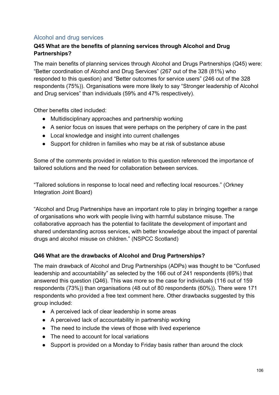# Alcohol and drug services

# **Q45 What are the benefits of planning services through Alcohol and Drug Partnerships?**

The main benefits of planning services through Alcohol and Drugs Partnerships (Q45) were: "Better coordination of Alcohol and Drug Services" (267 out of the 328 (81%) who responded to this question) and "Better outcomes for service users" (246 out of the 328 respondents (75%)). Organisations were more likely to say "Stronger leadership of Alcohol and Drug services" than individuals (59% and 47% respectively).

Other benefits cited included:

- Multidisciplinary approaches and partnership working
- A senior focus on issues that were perhaps on the periphery of care in the past
- Local knowledge and insight into current challenges
- Support for children in families who may be at risk of substance abuse

Some of the comments provided in relation to this question referenced the importance of tailored solutions and the need for collaboration between services.

"Tailored solutions in response to local need and reflecting local resources." (Orkney Integration Joint Board)

"Alcohol and Drug Partnerships have an important role to play in bringing together a range of organisations who work with people living with harmful substance misuse. The collaborative approach has the potential to facilitate the development of important and shared understanding across services, with better knowledge about the impact of parental drugs and alcohol misuse on children." (NSPCC Scotland)

#### **Q46 What are the drawbacks of Alcohol and Drug Partnerships?**

The main drawback of Alcohol and Drug Partnerships (ADPs) was thought to be "Confused leadership and accountability" as selected by the 166 out of 241 respondents (69%) that answered this question (Q46). This was more so the case for individuals (116 out of 159 respondents (73%)) than organisations (48 out of 80 respondents (60%)). There were 171 respondents who provided a free text comment here. Other drawbacks suggested by this group included:

- A perceived lack of clear leadership in some areas
- A perceived lack of accountability in partnership working
- The need to include the views of those with lived experience
- The need to account for local variations
- Support is provided on a Monday to Friday basis rather than around the clock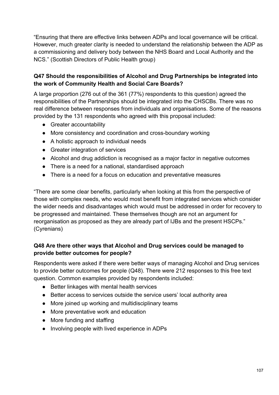"Ensuring that there are effective links between ADPs and local governance will be critical. However, much greater clarity is needed to understand the relationship between the ADP as a commissioning and delivery body between the NHS Board and Local Authority and the NCS." (Scottish Directors of Public Health group)

# **Q47 Should the responsibilities of Alcohol and Drug Partnerships be integrated into the work of Community Health and Social Care Boards?**

A large proportion (276 out of the 361 (77%) respondents to this question) agreed the responsibilities of the Partnerships should be integrated into the CHSCBs. There was no real difference between responses from individuals and organisations. Some of the reasons provided by the 131 respondents who agreed with this proposal included:

- Greater accountability
- More consistency and coordination and cross-boundary working
- A holistic approach to individual needs
- Greater integration of services
- Alcohol and drug addiction is recognised as a major factor in negative outcomes
- There is a need for a national, standardised approach
- There is a need for a focus on education and preventative measures

"There are some clear benefits, particularly when looking at this from the perspective of those with complex needs, who would most benefit from integrated services which consider the wider needs and disadvantages which would must be addressed in order for recovery to be progressed and maintained. These themselves though are not an argument for reorganisation as proposed as they are already part of IJBs and the present HSCPs." (Cyrenians)

# **Q48 Are there other ways that Alcohol and Drug services could be managed to provide better outcomes for people?**

Respondents were asked if there were better ways of managing Alcohol and Drug services to provide better outcomes for people (Q48). There were 212 responses to this free text question. Common examples provided by respondents included:

- Better linkages with mental health services
- Better access to services outside the service users' local authority area
- More joined up working and multidisciplinary teams
- More preventative work and education
- More funding and staffing
- Involving people with lived experience in ADPs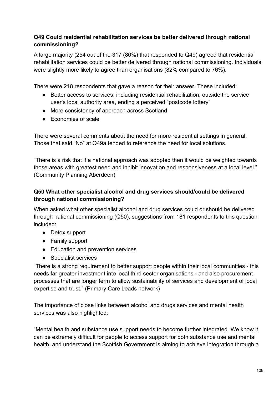# **Q49 Could residential rehabilitation services be better delivered through national commissioning?**

A large majority (254 out of the 317 (80%) that responded to Q49) agreed that residential rehabilitation services could be better delivered through national commissioning. Individuals were slightly more likely to agree than organisations (82% compared to 76%).

There were 218 respondents that gave a reason for their answer. These included:

- Better access to services, including residential rehabilitation, outside the service user's local authority area, ending a perceived "postcode lottery"
- More consistency of approach across Scotland
- Economies of scale

There were several comments about the need for more residential settings in general. Those that said "No" at Q49a tended to reference the need for local solutions.

"There is a risk that if a national approach was adopted then it would be weighted towards those areas with greatest need and inhibit innovation and responsiveness at a local level." (Community Planning Aberdeen)

# **Q50 What other specialist alcohol and drug services should/could be delivered through national commissioning?**

When asked what other specialist alcohol and drug services could or should be delivered through national commissioning (Q50), suggestions from 181 respondents to this question included:

- Detox support
- Family support
- Education and prevention services
- Specialist services

"There is a strong requirement to better support people within their local communities - this needs far greater investment into local third sector organisations - and also procurement processes that are longer term to allow sustainability of services and development of local expertise and trust." (Primary Care Leads network)

The importance of close links between alcohol and drugs services and mental health services was also highlighted:

"Mental health and substance use support needs to become further integrated. We know it can be extremely difficult for people to access support for both substance use and mental health, and understand the Scottish Government is aiming to achieve integration through a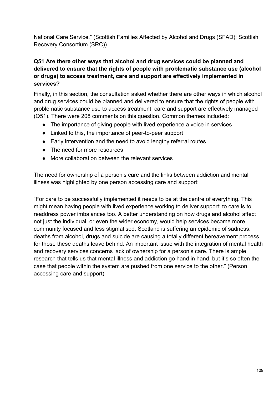National Care Service." (Scottish Families Affected by Alcohol and Drugs (SFAD); Scottish Recovery Consortium (SRC))

### **Q51 Are there other ways that alcohol and drug services could be planned and delivered to ensure that the rights of people with problematic substance use (alcohol or drugs) to access treatment, care and support are effectively implemented in services?**

Finally, in this section, the consultation asked whether there are other ways in which alcohol and drug services could be planned and delivered to ensure that the rights of people with problematic substance use to access treatment, care and support are effectively managed (Q51). There were 208 comments on this question. Common themes included:

- The importance of giving people with lived experience a voice in services
- Linked to this, the importance of peer-to-peer support
- Early intervention and the need to avoid lengthy referral routes
- The need for more resources
- More collaboration between the relevant services

The need for ownership of a person's care and the links between addiction and mental illness was highlighted by one person accessing care and support:

"For care to be successfully implemented it needs to be at the centre of everything. This might mean having people with lived experience working to deliver support: to care is to readdress power imbalances too. A better understanding on how drugs and alcohol affect not just the individual, or even the wider economy, would help services become more community focused and less stigmatised. Scotland is suffering an epidemic of sadness: deaths from alcohol, drugs and suicide are causing a totally different bereavement process for those these deaths leave behind. An important issue with the integration of mental health and recovery services concerns lack of ownership for a person's care. There is ample research that tells us that mental illness and addiction go hand in hand, but it's so often the case that people within the system are pushed from one service to the other." (Person accessing care and support)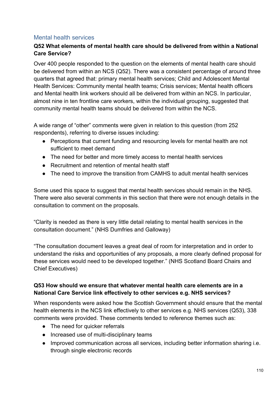# Mental health services

# **Q52 What elements of mental health care should be delivered from within a National Care Service?**

Over 400 people responded to the question on the elements of mental health care should be delivered from within an NCS (Q52). There was a consistent percentage of around three quarters that agreed that: primary mental health services; Child and Adolescent Mental Health Services: Community mental health teams; Crisis services; Mental health officers and Mental health link workers should all be delivered from within an NCS. In particular, almost nine in ten frontline care workers, within the individual grouping, suggested that community mental health teams should be delivered from within the NCS.

A wide range of "other" comments were given in relation to this question (from 252 respondents), referring to diverse issues including:

- Perceptions that current funding and resourcing levels for mental health are not sufficient to meet demand
- The need for better and more timely access to mental health services
- Recruitment and retention of mental health staff
- The need to improve the transition from CAMHS to adult mental health services

Some used this space to suggest that mental health services should remain in the NHS. There were also several comments in this section that there were not enough details in the consultation to comment on the proposals.

"Clarity is needed as there is very little detail relating to mental health services in the consultation document." (NHS Dumfries and Galloway)

"The consultation document leaves a great deal of room for interpretation and in order to understand the risks and opportunities of any proposals, a more clearly defined proposal for these services would need to be developed together." (NHS Scotland Board Chairs and Chief Executives)

#### **Q53 How should we ensure that whatever mental health care elements are in a National Care Service link effectively to other services e.g. NHS services?**

When respondents were asked how the Scottish Government should ensure that the mental health elements in the NCS link effectively to other services e.g. NHS services (Q53), 338 comments were provided. These comments tended to reference themes such as:

- The need for quicker referrals
- Increased use of multi-disciplinary teams
- Improved communication across all services, including better information sharing i.e. through single electronic records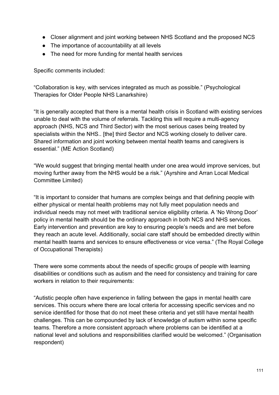- Closer alignment and joint working between NHS Scotland and the proposed NCS
- The importance of accountability at all levels
- The need for more funding for mental health services

Specific comments included:

"Collaboration is key, with services integrated as much as possible." (Psychological Therapies for Older People NHS Lanarkshire)

"It is generally accepted that there is a mental health crisis in Scotland with existing services unable to deal with the volume of referrals. Tackling this will require a multi-agency approach (NHS, NCS and Third Sector) with the most serious cases being treated by specialists within the NHS.. [the] third Sector and NCS working closely to deliver care. Shared information and joint working between mental health teams and caregivers is essential." (ME Action Scotland)

"We would suggest that bringing mental health under one area would improve services, but moving further away from the NHS would be a risk." (Ayrshire and Arran Local Medical Committee Limited)

"It is important to consider that humans are complex beings and that defining people with either physical or mental health problems may not fully meet population needs and individual needs may not meet with traditional service eligibility criteria. A 'No Wrong Door' policy in mental health should be the ordinary approach in both NCS and NHS services. Early intervention and prevention are key to ensuring people's needs and are met before they reach an acute level. Additionally, social care staff should be embedded directly within mental health teams and services to ensure effectiveness or vice versa." (The Royal College of Occupational Therapists)

There were some comments about the needs of specific groups of people with learning disabilities or conditions such as autism and the need for consistency and training for care workers in relation to their requirements:

"Autistic people often have experience in falling between the gaps in mental health care services. This occurs where there are local criteria for accessing specific services and no service identified for those that do not meet these criteria and yet still have mental health challenges. This can be compounded by lack of knowledge of autism within some specific teams. Therefore a more consistent approach where problems can be identified at a national level and solutions and responsibilities clarified would be welcomed." (Organisation respondent)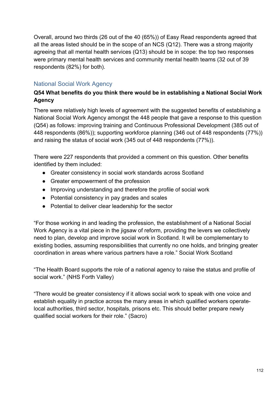Overall, around two thirds (26 out of the 40 (65%)) of Easy Read respondents agreed that all the areas listed should be in the scope of an NCS (Q12). There was a strong majority agreeing that all mental health services (Q13) should be in scope: the top two responses were primary mental health services and community mental health teams (32 out of 39 respondents (82%) for both).

# National Social Work Agency

# **Q54 What benefits do you think there would be in establishing a National Social Work Agency**

There were relatively high levels of agreement with the suggested benefits of establishing a National Social Work Agency amongst the 448 people that gave a response to this question (Q54) as follows: improving training and Continuous Professional Development (385 out of 448 respondents (86%)); supporting workforce planning (346 out of 448 respondents (77%)) and raising the status of social work (345 out of 448 respondents (77%)).

There were 227 respondents that provided a comment on this question. Other benefits identified by them included:

- Greater consistency in social work standards across Scotland
- Greater empowerment of the profession
- Improving understanding and therefore the profile of social work
- Potential consistency in pay grades and scales
- Potential to deliver clear leadership for the sector

"For those working in and leading the profession, the establishment of a National Social Work Agency is a vital piece in the jigsaw of reform, providing the levers we collectively need to plan, develop and improve social work in Scotland. It will be complementary to existing bodies, assuming responsibilities that currently no one holds, and bringing greater coordination in areas where various partners have a role." Social Work Scotland

"The Health Board supports the role of a national agency to raise the status and profile of social work." (NHS Forth Valley)

"There would be greater consistency if it allows social work to speak with one voice and establish equality in practice across the many areas in which qualified workers operatelocal authorities, third sector, hospitals, prisons etc. This should better prepare newly qualified social workers for their role." (Sacro)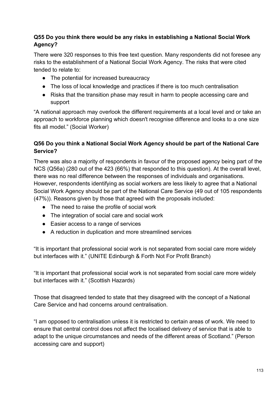# **Q55 Do you think there would be any risks in establishing a National Social Work Agency?**

There were 320 responses to this free text question. Many respondents did not foresee any risks to the establishment of a National Social Work Agency. The risks that were cited tended to relate to:

- The potential for increased bureaucracy
- The loss of local knowledge and practices if there is too much centralisation
- Risks that the transition phase may result in harm to people accessing care and support

"A national approach may overlook the different requirements at a local level and or take an approach to workforce planning which doesn't recognise difference and looks to a one size fits all model." (Social Worker)

### **Q56 Do you think a National Social Work Agency should be part of the National Care Service?**

There was also a majority of respondents in favour of the proposed agency being part of the NCS (Q56a) (280 out of the 423 (66%) that responded to this question). At the overall level, there was no real difference between the responses of individuals and organisations. However, respondents identifying as social workers are less likely to agree that a National Social Work Agency should be part of the National Care Service (49 out of 105 respondents (47%)). Reasons given by those that agreed with the proposals included:

- The need to raise the profile of social work
- The integration of social care and social work
- Easier access to a range of services
- A reduction in duplication and more streamlined services

"It is important that professional social work is not separated from social care more widely but interfaces with it." (UNITE Edinburgh & Forth Not For Profit Branch)

"It is important that professional social work is not separated from social care more widely but interfaces with it." (Scottish Hazards)

Those that disagreed tended to state that they disagreed with the concept of a National Care Service and had concerns around centralisation.

"I am opposed to centralisation unless it is restricted to certain areas of work. We need to ensure that central control does not affect the localised delivery of service that is able to adapt to the unique circumstances and needs of the different areas of Scotland." (Person accessing care and support)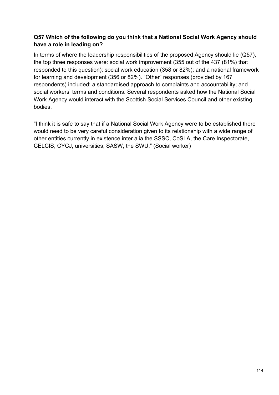# **Q57 Which of the following do you think that a National Social Work Agency should have a role in leading on?**

In terms of where the leadership responsibilities of the proposed Agency should lie (Q57), the top three responses were: social work improvement (355 out of the 437 (81%) that responded to this question); social work education (358 or 82%); and a national framework for learning and development (356 or 82%). "Other" responses (provided by 167 respondents) included: a standardised approach to complaints and accountability; and social workers' terms and conditions. Several respondents asked how the National Social Work Agency would interact with the Scottish Social Services Council and other existing bodies.

"I think it is safe to say that if a National Social Work Agency were to be established there would need to be very careful consideration given to its relationship with a wide range of other entities currently in existence inter alia the SSSC, CoSLA, the Care Inspectorate, CELCIS, CYCJ, universities, SASW, the SWU." (Social worker)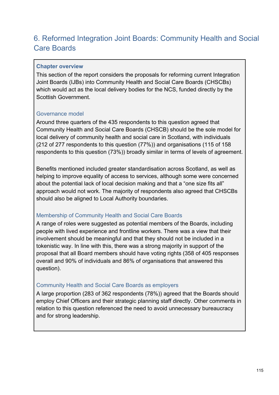# 6. Reformed Integration Joint Boards: Community Health and Social Care Boards

#### **Chapter overview**

This section of the report considers the proposals for reforming current Integration Joint Boards (IJBs) into Community Health and Social Care Boards (CHSCBs) which would act as the local delivery bodies for the NCS, funded directly by the Scottish Government.

# Governance model

Around three quarters of the 435 respondents to this question agreed that Community Health and Social Care Boards (CHSCB) should be the sole model for local delivery of community health and social care in Scotland, with individuals (212 of 277 respondents to this question (77%)) and organisations (115 of 158 respondents to this question (73%)) broadly similar in terms of levels of agreement.

Benefits mentioned included greater standardisation across Scotland, as well as helping to improve equality of access to services, although some were concerned about the potential lack of local decision making and that a "one size fits all" approach would not work. The majority of respondents also agreed that CHSCBs should also be aligned to Local Authority boundaries.

# Membership of Community Health and Social Care Boards

A range of roles were suggested as potential members of the Boards, including people with lived experience and frontline workers. There was a view that their involvement should be meaningful and that they should not be included in a tokenistic way. In line with this, there was a strong majority in support of the proposal that all Board members should have voting rights (358 of 405 responses overall and 90% of individuals and 86% of organisations that answered this question).

#### Community Health and Social Care Boards as employers

A large proportion (283 of 362 respondents (78%)) agreed that the Boards should employ Chief Officers and their strategic planning staff directly. Other comments in relation to this question referenced the need to avoid unnecessary bureaucracy and for strong leadership.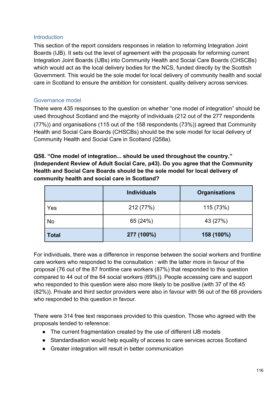#### **Introduction**

This section of the report considers responses in relation to reforming Integration Joint Boards (IJB). It sets out the level of agreement with the proposals for reforming current Integration Joint Boards (IJBs) into Community Health and Social Care Boards (CHSCBs) which would act as the local delivery bodies for the NCS, funded directly by the Scottish Government. This would be the sole model for local delivery of community health and social care in Scotland to ensure the ambition for consistent, quality delivery across services.

#### Governance model

There were 435 responses to the question on whether "one model of integration" should be used throughout Scotland and the majority of individuals (212 out of the 277 respondents (77%)) and organisations (115 out of the 158 respondents (73%)) agreed that Community Health and Social Care Boards (CHSCBs) should be the sole model for local delivery of Community Health and Social Care in Scotland (Q58a).

**Q58. "One model of integration... should be used throughout the country." (Independent Review of Adult Social Care, p43). Do you agree that the Community Health and Social Care Boards should be the sole model for local delivery of community health and social care in Scotland?**

|              | <b>Individuals</b> | <b>Organisations</b> |
|--------------|--------------------|----------------------|
| Yes          | 212 (77%)          | 115 (73%)            |
| No           | 65 (24%)           | 43 (27%)             |
| <b>Total</b> | 277 (100%)         | 158 (100%)           |

For individuals, there was a difference in response between the social workers and frontline care workers who responded to the consultation : with the latter more in favour of the proposal (76 out of the 87 frontline care workers (87%) that responded to this question compared to 44 out of the 64 social workers (69%)). People accessing care and support who responded to this question were also more likely to be positive (with 37 of the 45 (82%)). Private and third sector providers were also in favour with 56 out of the 68 providers who responded to this question in favour.

There were 314 free text responses provided to this question. Those who agreed with the proposals tended to reference:

- The current fragmentation created by the use of different IJB models
- Standardisation would help equality of access to care services across Scotland
- Greater integration will result in better communication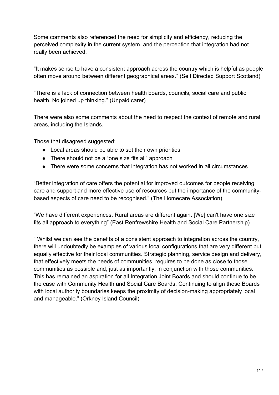Some comments also referenced the need for simplicity and efficiency, reducing the perceived complexity in the current system, and the perception that integration had not really been achieved.

"It makes sense to have a consistent approach across the country which is helpful as people often move around between different geographical areas." (Self Directed Support Scotland)

"There is a lack of connection between health boards, councils, social care and public health. No joined up thinking." (Unpaid carer)

There were also some comments about the need to respect the context of remote and rural areas, including the Islands.

Those that disagreed suggested:

- Local areas should be able to set their own priorities
- There should not be a "one size fits all" approach
- There were some concerns that integration has not worked in all circumstances

"Better integration of care offers the potential for improved outcomes for people receiving care and support and more effective use of resources but the importance of the communitybased aspects of care need to be recognised." (The Homecare Association)

"We have different experiences. Rural areas are different again. [We] can't have one size fits all approach to everything" (East Renfrewshire Health and Social Care Partnership)

" Whilst we can see the benefits of a consistent approach to integration across the country, there will undoubtedly be examples of various local configurations that are very different but equally effective for their local communities. Strategic planning, service design and delivery, that effectively meets the needs of communities, requires to be done as close to those communities as possible and, just as importantly, in conjunction with those communities. This has remained an aspiration for all Integration Joint Boards and should continue to be the case with Community Health and Social Care Boards. Continuing to align these Boards with local authority boundaries keeps the proximity of decision-making appropriately local and manageable." (Orkney Island Council)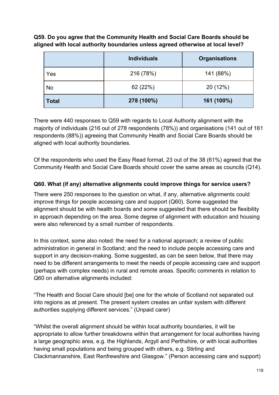**Q59. Do you agree that the Community Health and Social Care Boards should be aligned with local authority boundaries unless agreed otherwise at local level?**

|              | <b>Individuals</b> | <b>Organisations</b> |
|--------------|--------------------|----------------------|
| Yes          | 216 (78%)          | 141 (88%)            |
| <b>No</b>    | 62 (22%)           | 20 (12%)             |
| <b>Total</b> | 278 (100%)         | 161 (100%)           |

There were 440 responses to Q59 with regards to Local Authority alignment with the majority of individuals (216 out of 278 respondents (78%)) and organisations (141 out of 161 respondents (88%)) agreeing that Community Health and Social Care Boards should be aligned with local authority boundaries.

Of the respondents who used the Easy Read format, 23 out of the 38 (61%) agreed that the Community Health and Social Care Boards should cover the same areas as councils (Q14).

# **Q60. What (if any) alternative alignments could improve things for service users?**

There were 250 responses to the question on what, if any, alternative alignments could improve things for people accessing care and support (Q60). Some suggested the alignment should be with health boards and some suggested that there should be flexibility in approach depending on the area. Some degree of alignment with education and housing were also referenced by a small number of respondents.

In this context, some also noted: the need for a national approach; a review of public administration in general in Scotland; and the need to include people accessing care and support in any decision-making. Some suggested, as can be seen below, that there may need to be different arrangements to meet the needs of people accessing care and support (perhaps with complex needs) in rural and remote areas. Specific comments in relation to Q60 on alternative alignments included:

"The Health and Social Care should [be] one for the whole of Scotland not separated out into regions as at present. The present system creates an unfair system with different authorities supplying different services." (Unpaid carer)

"Whilst the overall alignment should be within local authority boundaries, it will be appropriate to allow further breakdowns within that arrangement for local authorities having a large geographic area, e.g. the Highlands, Argyll and Perthshire, or with local authorities having small populations and being grouped with others, e.g. Stirling and Clackmannanshire, East Renfrewshire and Glasgow." (Person accessing care and support)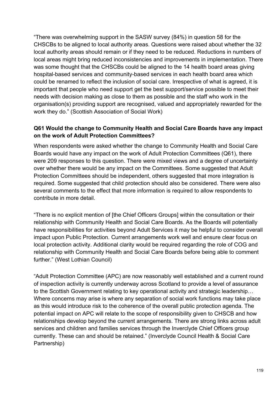"There was overwhelming support in the SASW survey (84%) in question 58 for the CHSCBs to be aligned to local authority areas. Questions were raised about whether the 32 local authority areas should remain or if they need to be reduced. Reductions in numbers of local areas might bring reduced inconsistencies and improvements in implementation. There was some thought that the CHSCBs could be aligned to the 14 health board areas giving hospital-based services and community-based services in each health board area which could be renamed to reflect the inclusion of social care. Irrespective of what is agreed, it is important that people who need support get the best support/service possible to meet their needs with decision making as close to them as possible and the staff who work in the organisation(s) providing support are recognised, valued and appropriately rewarded for the work they do." (Scottish Association of Social Work)

# **Q61 Would the change to Community Health and Social Care Boards have any impact on the work of Adult Protection Committees?**

When respondents were asked whether the change to Community Health and Social Care Boards would have any impact on the work of Adult Protection Committees (Q61), there were 209 responses to this question. There were mixed views and a degree of uncertainty over whether there would be any impact on the Committees. Some suggested that Adult Protection Committees should be independent, others suggested that more integration is required. Some suggested that child protection should also be considered. There were also several comments to the effect that more information is required to allow respondents to contribute in more detail.

"There is no explicit mention of [the Chief Officers Groups] within the consultation or their relationship with Community Health and Social Care Boards. As the Boards will potentially have responsibilities for activities beyond Adult Services it may be helpful to consider overall impact upon Public Protection. Current arrangements work well and ensure clear focus on local protection activity. Additional clarity would be required regarding the role of COG and relationship with Community Health and Social Care Boards before being able to comment further." (West Lothian Council)

"Adult Protection Committee (APC) are now reasonably well established and a current round of inspection activity is currently underway across Scotland to provide a level of assurance to the Scottish Government relating to key operational activity and strategic leadership… Where concerns may arise is where any separation of social work functions may take place as this would introduce risk to the coherence of the overall public protection agenda. The potential impact on APC will relate to the scope of responsibility given to CHSCB and how relationships develop beyond the current arrangements. There are strong links across adult services and children and families services through the Inverclyde Chief Officers group currently. These can and should be retained." (Inverclyde Council Health & Social Care Partnership)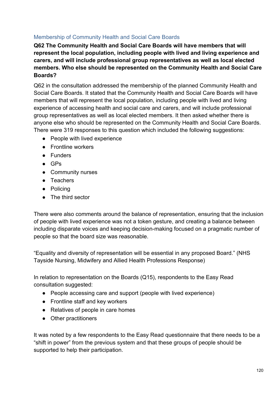### Membership of Community Health and Social Care Boards

**Q62 The Community Health and Social Care Boards will have members that will represent the local population, including people with lived and living experience and carers, and will include professional group representatives as well as local elected members. Who else should be represented on the Community Health and Social Care Boards?** 

Q62 in the consultation addressed the membership of the planned Community Health and Social Care Boards. It stated that the Community Health and Social Care Boards will have members that will represent the local population, including people with lived and living experience of accessing health and social care and carers, and will include professional group representatives as well as local elected members. It then asked whether there is anyone else who should be represented on the Community Health and Social Care Boards. There were 319 responses to this question which included the following suggestions:

- People with lived experience
- Frontline workers
- Funders
- $\bullet$  GPs
- Community nurses
- Teachers
- Policing
- The third sector

There were also comments around the balance of representation, ensuring that the inclusion of people with lived experience was not a token gesture, and creating a balance between including disparate voices and keeping decision-making focused on a pragmatic number of people so that the board size was reasonable.

"Equality and diversity of representation will be essential in any proposed Board." (NHS Tayside Nursing, Midwifery and Allied Health Professions Response)

In relation to representation on the Boards (Q15), respondents to the Easy Read consultation suggested:

- People accessing care and support (people with lived experience)
- Frontline staff and key workers
- Relatives of people in care homes
- Other practitioners

It was noted by a few respondents to the Easy Read questionnaire that there needs to be a "shift in power" from the previous system and that these groups of people should be supported to help their participation.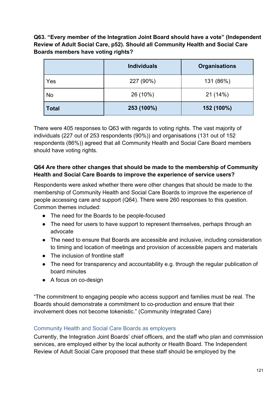**Q63. "Every member of the Integration Joint Board should have a vote" (Independent Review of Adult Social Care, p52). Should all Community Health and Social Care Boards members have voting rights?**

|              | <b>Individuals</b> | <b>Organisations</b> |
|--------------|--------------------|----------------------|
| Yes          | 227 (90%)          | 131 (86%)            |
| No           | 26 (10%)           | 21(14%)              |
| <b>Total</b> | 253 (100%)         | 152 (100%)           |

There were 405 responses to Q63 with regards to voting rights. The vast majority of individuals (227 out of 253 respondents (90%)) and organisations (131 out of 152 respondents (86%)) agreed that all Community Health and Social Care Board members should have voting rights.

# **Q64 Are there other changes that should be made to the membership of Community Health and Social Care Boards to improve the experience of service users?**

Respondents were asked whether there were other changes that should be made to the membership of Community Health and Social Care Boards to improve the experience of people accessing care and support (Q64). There were 260 responses to this question. Common themes included:

- The need for the Boards to be people-focused
- The need for users to have support to represent themselves, perhaps through an advocate
- The need to ensure that Boards are accessible and inclusive, including consideration to timing and location of meetings and provision of accessible papers and materials
- The inclusion of frontline staff
- The need for transparency and accountability e.g. through the regular publication of board minutes
- A focus on co-design

"The commitment to engaging people who access support and families must be real. The Boards should demonstrate a commitment to co-production and ensure that their involvement does not become tokenistic." (Community Integrated Care)

#### Community Health and Social Care Boards as employers

Currently, the Integration Joint Boards' chief officers, and the staff who plan and commission services, are employed either by the local authority or Health Board. The Independent Review of Adult Social Care proposed that these staff should be employed by the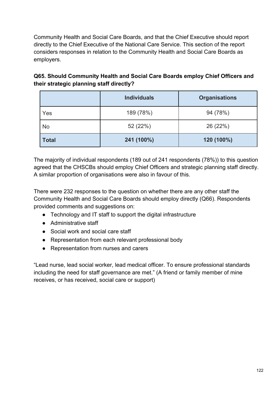Community Health and Social Care Boards, and that the Chief Executive should report directly to the Chief Executive of the National Care Service. This section of the report considers responses in relation to the Community Health and Social Care Boards as employers.

| Q65. Should Community Health and Social Care Boards employ Chief Officers and |  |
|-------------------------------------------------------------------------------|--|
| their strategic planning staff directly?                                      |  |

|              | <b>Individuals</b> | <b>Organisations</b> |
|--------------|--------------------|----------------------|
| Yes          | 189 (78%)          | 94 (78%)             |
| <b>No</b>    | 52 (22%)           | 26 (22%)             |
| <b>Total</b> | 241 (100%)         | 120 (100%)           |

The majority of individual respondents (189 out of 241 respondents (78%)) to this question agreed that the CHSCBs should employ Chief Officers and strategic planning staff directly. A similar proportion of organisations were also in favour of this.

There were 232 responses to the question on whether there are any other staff the Community Health and Social Care Boards should employ directly (Q66). Respondents provided comments and suggestions on:

- Technology and IT staff to support the digital infrastructure
- Administrative staff
- Social work and social care staff
- Representation from each relevant professional body
- Representation from nurses and carers

"Lead nurse, lead social worker, lead medical officer. To ensure professional standards including the need for staff governance are met." (A friend or family member of mine receives, or has received, social care or support)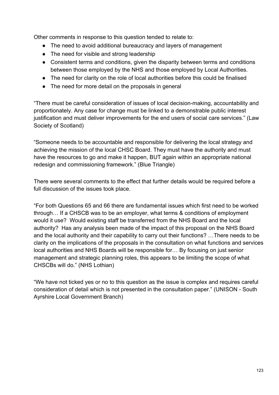Other comments in response to this question tended to relate to:

- The need to avoid additional bureaucracy and layers of management
- The need for visible and strong leadership
- Consistent terms and conditions, given the disparity between terms and conditions between those employed by the NHS and those employed by Local Authorities.
- The need for clarity on the role of local authorities before this could be finalised
- The need for more detail on the proposals in general

"There must be careful consideration of issues of local decision-making, accountability and proportionately. Any case for change must be linked to a demonstrable public interest justification and must deliver improvements for the end users of social care services." (Law Society of Scotland)

"Someone needs to be accountable and responsible for delivering the local strategy and achieving the mission of the local CHSC Board. They must have the authority and must have the resources to go and make it happen, BUT again within an appropriate national redesign and commissioning framework." (Blue Triangle)

There were several comments to the effect that further details would be required before a full discussion of the issues took place.

"For both Questions 65 and 66 there are fundamental issues which first need to be worked through… If a CHSCB was to be an employer, what terms & conditions of employment would it use? Would existing staff be transferred from the NHS Board and the local authority? Has any analysis been made of the impact of this proposal on the NHS Board and the local authority and their capability to carry out their functions? …There needs to be clarity on the implications of the proposals in the consultation on what functions and services local authorities and NHS Boards will be responsible for… By focusing on just senior management and strategic planning roles, this appears to be limiting the scope of what CHSCBs will do." (NHS Lothian)

"We have not ticked yes or no to this question as the issue is complex and requires careful consideration of detail which is not presented in the consultation paper." (UNISON - South Ayrshire Local Government Branch)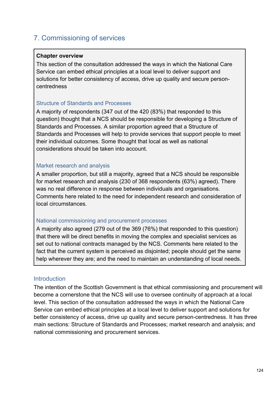# 7. Commissioning of services

#### **Chapter overview**

This section of the consultation addressed the ways in which the National Care Service can embed ethical principles at a local level to deliver support and solutions for better consistency of access, drive up quality and secure personcentredness

#### Structure of Standards and Processes

A majority of respondents (347 out of the 420 (83%) that responded to this question) thought that a NCS should be responsible for developing a Structure of Standards and Processes. A similar proportion agreed that a Structure of Standards and Processes will help to provide services that support people to meet their individual outcomes. Some thought that local as well as national considerations should be taken into account.

#### Market research and analysis

A smaller proportion, but still a majority, agreed that a NCS should be responsible for market research and analysis (230 of 368 respondents (63%) agreed). There was no real difference in response between individuals and organisations. Comments here related to the need for independent research and consideration of local circumstances.

#### National commissioning and procurement processes

A majority also agreed (279 out of the 369 (76%) that responded to this question) that there will be direct benefits in moving the complex and specialist services as set out to national contracts managed by the NCS. Comments here related to the fact that the current system is perceived as disjointed; people should get the same help wherever they are; and the need to maintain an understanding of local needs.

#### **Introduction**

The intention of the Scottish Government is that ethical commissioning and procurement will become a cornerstone that the NCS will use to oversee continuity of approach at a local level. This section of the consultation addressed the ways in which the National Care Service can embed ethical principles at a local level to deliver support and solutions for better consistency of access, drive up quality and secure person-centredness. It has three main sections: Structure of Standards and Processes; market research and analysis; and national commissioning and procurement services.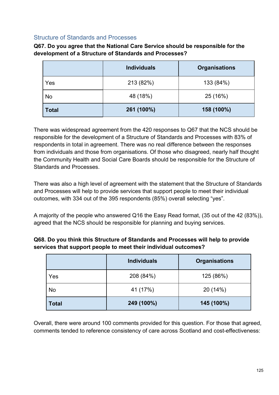#### Structure of Standards and Processes

**Q67. Do you agree that the National Care Service should be responsible for the development of a Structure of Standards and Processes?**

|              | <b>Individuals</b> | <b>Organisations</b> |
|--------------|--------------------|----------------------|
| Yes          | 213 (82%)          | 133 (84%)            |
| No           | 48 (18%)           | 25 (16%)             |
| <b>Total</b> | 261 (100%)         | 158 (100%)           |

There was widespread agreement from the 420 responses to Q67 that the NCS should be responsible for the development of a Structure of Standards and Processes with 83% of respondents in total in agreement. There was no real difference between the responses from individuals and those from organisations. Of those who disagreed, nearly half thought the Community Health and Social Care Boards should be responsible for the Structure of Standards and Processes.

There was also a high level of agreement with the statement that the Structure of Standards and Processes will help to provide services that support people to meet their individual outcomes, with 334 out of the 395 respondents (85%) overall selecting "yes".

A majority of the people who answered Q16 the Easy Read format, (35 out of the 42 (83%)), agreed that the NCS should be responsible for planning and buying services.

| Q68. Do you think this Structure of Standards and Processes will help to provide |
|----------------------------------------------------------------------------------|
| services that support people to meet their individual outcomes?                  |

|              | <b>Individuals</b> | <b>Organisations</b> |
|--------------|--------------------|----------------------|
| Yes          | 208 (84%)          | 125 (86%)            |
| <b>No</b>    | 41 (17%)           | 20 (14%)             |
| <b>Total</b> | 249 (100%)         | 145 (100%)           |

Overall, there were around 100 comments provided for this question. For those that agreed, comments tended to reference consistency of care across Scotland and cost-effectiveness: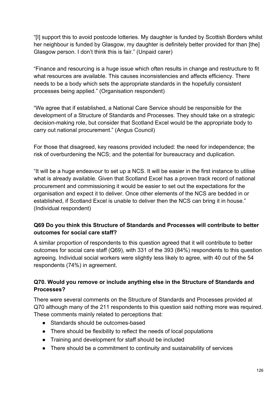"[I] support this to avoid postcode lotteries. My daughter is funded by Scottish Borders whilst her neighbour is funded by Glasgow, my daughter is definitely better provided for than [the] Glasgow person. I don't think this is fair." (Unpaid carer)

"Finance and resourcing is a huge issue which often results in change and restructure to fit what resources are available. This causes inconsistencies and affects efficiency. There needs to be a body which sets the appropriate standards in the hopefully consistent processes being applied." (Organisation respondent)

"We agree that if established, a National Care Service should be responsible for the development of a Structure of Standards and Processes. They should take on a strategic decision-making role, but consider that Scotland Excel would be the appropriate body to carry out national procurement." (Angus Council)

For those that disagreed, key reasons provided included: the need for independence; the risk of overburdening the NCS; and the potential for bureaucracy and duplication.

"It will be a huge endeavour to set up a NCS. It will be easier in the first instance to utilise what is already available. Given that Scotland Excel has a proven track record of national procurement and commissioning it would be easier to set out the expectations for the organisation and expect it to deliver. Once other elements of the NCS are bedded in or established, if Scotland Excel is unable to deliver then the NCS can bring it in house." (Individual respondent)

# **Q69 Do you think this Structure of Standards and Processes will contribute to better outcomes for social care staff?**

A similar proportion of respondents to this question agreed that it will contribute to better outcomes for social care staff (Q69), with 331 of the 393 (84%) respondents to this question agreeing. Individual social workers were slightly less likely to agree, with 40 out of the 54 respondents (74%) in agreement.

# **Q70. Would you remove or include anything else in the Structure of Standards and Processes?**

There were several comments on the Structure of Standards and Processes provided at Q70 although many of the 211 respondents to this question said nothing more was required. These comments mainly related to perceptions that:

- Standards should be outcomes-based
- There should be flexibility to reflect the needs of local populations
- Training and development for staff should be included
- There should be a commitment to continuity and sustainability of services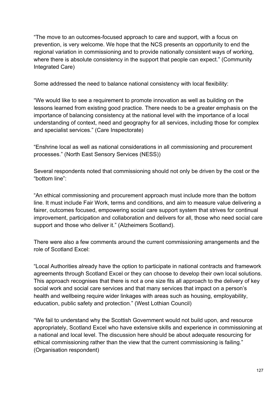"The move to an outcomes-focused approach to care and support, with a focus on prevention, is very welcome. We hope that the NCS presents an opportunity to end the regional variation in commissioning and to provide nationally consistent ways of working, where there is absolute consistency in the support that people can expect." (Community Integrated Care)

Some addressed the need to balance national consistency with local flexibility:

"We would like to see a requirement to promote innovation as well as building on the lessons learned from existing good practice. There needs to be a greater emphasis on the importance of balancing consistency at the national level with the importance of a local understanding of context, need and geography for all services, including those for complex and specialist services." (Care Inspectorate)

"Enshrine local as well as national considerations in all commissioning and procurement processes." (North East Sensory Services (NESS))

Several respondents noted that commissioning should not only be driven by the cost or the "bottom line":

"An ethical commissioning and procurement approach must include more than the bottom line. It must include Fair Work, terms and conditions, and aim to measure value delivering a fairer, outcomes focused, empowering social care support system that strives for continual improvement, participation and collaboration and delivers for all, those who need social care support and those who deliver it." (Alzheimers Scotland).

There were also a few comments around the current commissioning arrangements and the role of Scotland Excel:

"Local Authorities already have the option to participate in national contracts and framework agreements through Scotland Excel or they can choose to develop their own local solutions. This approach recognises that there is not a one size fits all approach to the delivery of key social work and social care services and that many services that impact on a person's health and wellbeing require wider linkages with areas such as housing, employability, education, public safety and protection." (West Lothian Council)

"We fail to understand why the Scottish Government would not build upon, and resource appropriately, Scotland Excel who have extensive skills and experience in commissioning at a national and local level. The discussion here should be about adequate resourcing for ethical commissioning rather than the view that the current commissioning is failing." (Organisation respondent)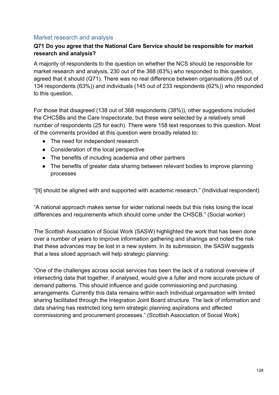# Market research and analysis

#### **Q71 Do you agree that the National Care Service should be responsible for market research and analysis?**

A majority of respondents to the question on whether the NCS should be responsible for market research and analysis, 230 out of the 368 (63%) who responded to this question, agreed that it should (Q71). There was no real difference between organisations (85 out of 134 respondents (63%)) and individuals (145 out of 233 respondents (62%)) who responded to this question.

For those that disagreed (138 out of 368 respondents (38%)), other suggestions included the CHCSBs and the Care Inspectorate, but these were selected by a relatively small number of respondents (25 for each). There were 158 text responses to this question. Most of the comments provided at this question were broadly related to:

- The need for independent research
- Consideration of the local perspective
- The benefits of including academia and other partners
- The benefits of greater data sharing between relevant bodies to improve planning processes

"[It] should be aligned with and supported with academic research." (Individual respondent)

"A national approach makes sense for wider national needs but this risks losing the local differences and requirements which should come under the CHSCB." (Social worker)

The Scottish Association of Social Work (SASW) highlighted the work that has been done over a number of years to improve information gathering and sharings and noted the risk that these advances may be lost in a new system. In its submission, the SASW suggests that a less siloed approach will help strategic planning:

"One of the challenges across social services has been the lack of a national overview of intersecting data that together, if analysed, would give a fuller and more accurate picture of demand patterns. This should influence and guide commissioning and purchasing arrangements. Currently this data remains within each individual organisation with limited sharing facilitated through the Integration Joint Board structure. The lack of information and data sharing has restricted long term strategic planning aspirations and affected commissioning and procurement processes." (Scottish Association of Social Work)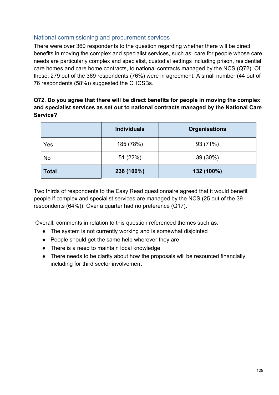# National commissioning and procurement services

There were over 360 respondents to the question regarding whether there will be direct benefits in moving the complex and specialist services, such as; care for people whose care needs are particularly complex and specialist, custodial settings including prison, residential care homes and care home contracts, to national contracts managed by the NCS (Q72). Of these, 279 out of the 369 respondents (76%) were in agreement. A small number (44 out of 76 respondents (58%)) suggested the CHCSBs.

### **Q72. Do you agree that there will be direct benefits for people in moving the complex and specialist services as set out to national contracts managed by the National Care Service?**

|              | <b>Individuals</b> | <b>Organisations</b> |
|--------------|--------------------|----------------------|
| Yes          | 185 (78%)          | 93 (71%)             |
| <b>No</b>    | 51 (22%)           | 39 (30%)             |
| <b>Total</b> | 236 (100%)         | 132 (100%)           |

Two thirds of respondents to the Easy Read questionnaire agreed that it would benefit people if complex and specialist services are managed by the NCS (25 out of the 39 respondents (64%)). Over a quarter had no preference (Q17).

Overall, comments in relation to this question referenced themes such as:

- The system is not currently working and is somewhat disjointed
- People should get the same help wherever they are
- There is a need to maintain local knowledge
- There needs to be clarity about how the proposals will be resourced financially, including for third sector involvement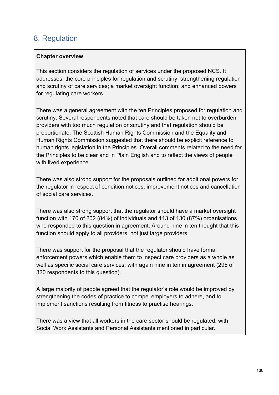# 8. Regulation

#### **Chapter overview**

This section considers the regulation of services under the proposed NCS. It addresses: the core principles for regulation and scrutiny; strengthening regulation and scrutiny of care services; a market oversight function; and enhanced powers for regulating care workers.

There was a general agreement with the ten Principles proposed for regulation and scrutiny. Several respondents noted that care should be taken not to overburden providers with too much regulation or scrutiny and that regulation should be proportionate. The Scottish Human Rights Commission and the Equality and Human Rights Commission suggested that there should be explicit reference to human rights legislation in the Principles. Overall comments related to the need for the Principles to be clear and in Plain English and to reflect the views of people with lived experience.

There was also strong support for the proposals outlined for additional powers for the regulator in respect of condition notices, improvement notices and cancellation of social care services.

There was also strong support that the regulator should have a market oversight function with 170 of 202 (84%) of individuals and 113 of 130 (87%) organisations who responded to this question in agreement. Around nine in ten thought that this function should apply to all providers, not just large providers.

There was support for the proposal that the regulator should have formal enforcement powers which enable them to inspect care providers as a whole as well as specific social care services, with again nine in ten in agreement (295 of 320 respondents to this question).

A large majority of people agreed that the regulator's role would be improved by strengthening the codes of practice to compel employers to adhere, and to implement sanctions resulting from fitness to practise hearings.

There was a view that all workers in the care sector should be regulated, with Social Work Assistants and Personal Assistants mentioned in particular.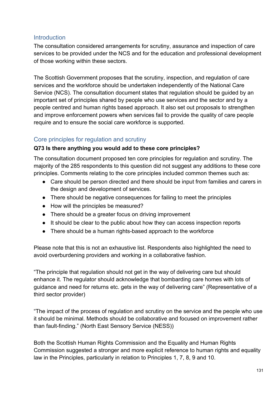### **Introduction**

The consultation considered arrangements for scrutiny, assurance and inspection of care services to be provided under the NCS and for the education and professional development of those working within these sectors.

The Scottish Government proposes that the scrutiny, inspection, and regulation of care services and the workforce should be undertaken independently of the National Care Service (NCS). The consultation document states that regulation should be guided by an important set of principles shared by people who use services and the sector and by a people centred and human rights based approach. It also set out proposals to strengthen and improve enforcement powers when services fail to provide the quality of care people require and to ensure the social care workforce is supported.

# Core principles for regulation and scrutiny

#### **Q73 Is there anything you would add to these core principles?**

The consultation document proposed ten core principles for regulation and scrutiny. The majority of the 285 respondents to this question did not suggest any additions to these core principles. Comments relating to the core principles included common themes such as:

- Care should be person directed and there should be input from families and carers in the design and development of services.
- There should be negative consequences for failing to meet the principles
- How will the principles be measured?
- There should be a greater focus on driving improvement
- It should be clear to the public about how they can access inspection reports
- There should be a human rights-based approach to the workforce

Please note that this is not an exhaustive list. Respondents also highlighted the need to avoid overburdening providers and working in a collaborative fashion.

"The principle that regulation should not get in the way of delivering care but should enhance it. The regulator should acknowledge that bombarding care homes with lots of guidance and need for returns etc. gets in the way of delivering care" (Representative of a third sector provider)

"The impact of the process of regulation and scrutiny on the service and the people who use it should be minimal. Methods should be collaborative and focused on improvement rather than fault-finding." (North East Sensory Service (NESS))

Both the Scottish Human Rights Commission and the Equality and Human Rights Commission suggested a stronger and more explicit reference to human rights and equality law in the Principles, particularly in relation to Principles 1, 7, 8, 9 and 10.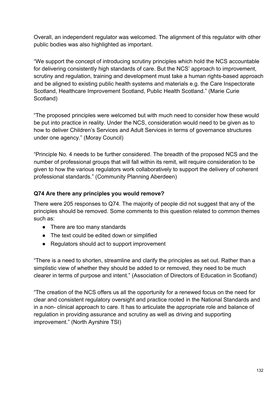Overall, an independent regulator was welcomed. The alignment of this regulator with other public bodies was also highlighted as important.

"We support the concept of introducing scrutiny principles which hold the NCS accountable for delivering consistently high standards of care. But the NCS' approach to improvement, scrutiny and regulation, training and development must take a human rights-based approach and be aligned to existing public health systems and materials e.g. the Care Inspectorate Scotland, Healthcare Improvement Scotland, Public Health Scotland." (Marie Curie Scotland)

"The proposed principles were welcomed but with much need to consider how these would be put into practice in reality. Under the NCS, consideration would need to be given as to how to deliver Children's Services and Adult Services in terms of governance structures under one agency." (Moray Council)

"Principle No. 4 needs to be further considered. The breadth of the proposed NCS and the number of professional groups that will fall within its remit, will require consideration to be given to how the various regulators work collaboratively to support the delivery of coherent professional standards." (Community Planning Aberdeen)

#### **Q74 Are there any principles you would remove?**

There were 205 responses to Q74. The majority of people did not suggest that any of the principles should be removed. Some comments to this question related to common themes such as:

- There are too many standards
- The text could be edited down or simplified
- Regulators should act to support improvement

"There is a need to shorten, streamline and clarify the principles as set out. Rather than a simplistic view of whether they should be added to or removed, they need to be much clearer in terms of purpose and intent." (Association of Directors of Education in Scotland)

"The creation of the NCS offers us all the opportunity for a renewed focus on the need for clear and consistent regulatory oversight and practice rooted in the National Standards and in a non- clinical approach to care. It has to articulate the appropriate role and balance of regulation in providing assurance and scrutiny as well as driving and supporting improvement." (North Ayrshire TSI)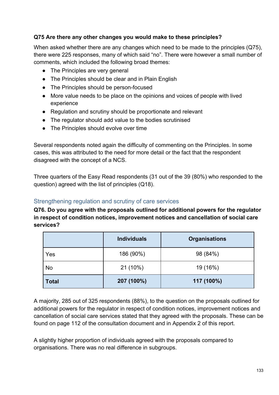### **Q75 Are there any other changes you would make to these principles?**

When asked whether there are any changes which need to be made to the principles (Q75), there were 225 responses, many of which said "no". There were however a small number of comments, which included the following broad themes:

- The Principles are very general
- The Principles should be clear and in Plain English
- The Principles should be person-focused
- More value needs to be place on the opinions and voices of people with lived experience
- Regulation and scrutiny should be proportionate and relevant
- The regulator should add value to the bodies scrutinised
- The Principles should evolve over time

Several respondents noted again the difficulty of commenting on the Principles. In some cases, this was attributed to the need for more detail or the fact that the respondent disagreed with the concept of a NCS.

Three quarters of the Easy Read respondents (31 out of the 39 (80%) who responded to the question) agreed with the list of principles (Q18).

# Strengthening regulation and scrutiny of care services

**Q76. Do you agree with the proposals outlined for additional powers for the regulator in respect of condition notices, improvement notices and cancellation of social care services?** 

|              | <b>Individuals</b> | <b>Organisations</b> |
|--------------|--------------------|----------------------|
| Yes          | 186 (90%)          | 98 (84%)             |
| <b>No</b>    | 21 (10%)           | 19 (16%)             |
| <b>Total</b> | 207 (100%)         | 117 (100%)           |

A majority, 285 out of 325 respondents (88%), to the question on the proposals outlined for additional powers for the regulator in respect of condition notices, improvement notices and cancellation of social care services stated that they agreed with the proposals. These can be found on page 112 of the consultation document and in Appendix 2 of this report.

A slightly higher proportion of individuals agreed with the proposals compared to organisations. There was no real difference in subgroups.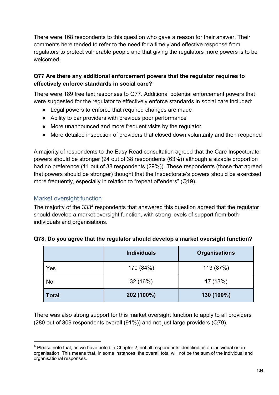There were 168 respondents to this question who gave a reason for their answer. Their comments here tended to refer to the need for a timely and effective response from regulators to protect vulnerable people and that giving the regulators more powers is to be welcomed.

# **Q77 Are there any additional enforcement powers that the regulator requires to effectively enforce standards in social care?**

There were 189 free text responses to Q77. Additional potential enforcement powers that were suggested for the regulator to effectively enforce standards in social care included:

- Legal powers to enforce that required changes are made
- Ability to bar providers with previous poor performance
- More unannounced and more frequent visits by the regulator
- More detailed inspection of providers that closed down voluntarily and then reopened

A majority of respondents to the Easy Read consultation agreed that the Care Inspectorate powers should be stronger (24 out of 38 respondents (63%)) although a sizable proportion had no preference (11 out of 38 respondents (29%)). These respondents (those that agreed that powers should be stronger) thought that the Inspectorate's powers should be exercised more frequently, especially in relation to "repeat offenders" (Q19).

# Market oversight function

The majority of the 333<sup>4</sup> respondents that answered this question agreed that the regulator should develop a market oversight function, with strong levels of support from both individuals and organisations.

|              | <b>Individuals</b> | <b>Organisations</b> |
|--------------|--------------------|----------------------|
| Yes          | 170 (84%)          | 113 (87%)            |
| <b>No</b>    | 32(16%)            | 17 (13%)             |
| <b>Total</b> | 202 (100%)         | 130 (100%)           |

#### **Q78. Do you agree that the regulator should develop a market oversight function?**

There was also strong support for this market oversight function to apply to all providers (280 out of 309 respondents overall (91%)) and not just large providers (Q79).

<sup>&</sup>lt;sup>4</sup> Please note that, as we have noted in Chapter 2, not all respondents identified as an individual or an organisation. This means that, in some instances, the overall total will not be the sum of the individual and organisational responses.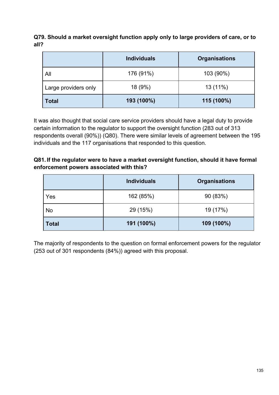**Q79. Should a market oversight function apply only to large providers of care, or to all?**

|                      | <b>Individuals</b> | <b>Organisations</b> |
|----------------------|--------------------|----------------------|
| All                  | 176 (91%)          | 103 (90%)            |
| Large providers only | 18 (9%)            | 13 (11%)             |
| <b>Total</b>         | 193 (100%)         | 115 (100%)           |

It was also thought that social care service providers should have a legal duty to provide certain information to the regulator to support the oversight function (283 out of 313 respondents overall (90%)) (Q80). There were similar levels of agreement between the 195 individuals and the 117 organisations that responded to this question.

#### **Q81. If the regulator were to have a market oversight function, should it have formal enforcement powers associated with this?**

|              | <b>Individuals</b> | <b>Organisations</b> |  |  |
|--------------|--------------------|----------------------|--|--|
| Yes          | 162 (85%)          | 90 (83%)             |  |  |
| No           | 29 (15%)           | 19 (17%)             |  |  |
| <b>Total</b> | 191 (100%)         | 109 (100%)           |  |  |

The majority of respondents to the question on formal enforcement powers for the regulator (253 out of 301 respondents (84%)) agreed with this proposal.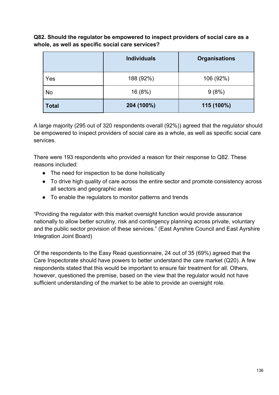**Q82. Should the regulator be empowered to inspect providers of social care as a whole, as well as specific social care services?**

|              | <b>Individuals</b><br><b>Organisations</b> |            |
|--------------|--------------------------------------------|------------|
| Yes          | 188 (92%)                                  | 106 (92%)  |
| <b>No</b>    | 16 (8%)                                    | 9(8%)      |
| <b>Total</b> | 204 (100%)                                 | 115 (100%) |

A large majority (295 out of 320 respondents overall (92%)) agreed that the regulator should be empowered to inspect providers of social care as a whole, as well as specific social care services.

There were 193 respondents who provided a reason for their response to Q82. These reasons included:

- The need for inspection to be done holistically
- To drive high quality of care across the entire sector and promote consistency across all sectors and geographic areas
- To enable the regulators to monitor patterns and trends

"Providing the regulator with this market oversight function would provide assurance nationally to allow better scrutiny, risk and contingency planning across private, voluntary and the public sector provision of these services." (East Ayrshire Council and East Ayrshire Integration Joint Board)

Of the respondents to the Easy Read questionnaire, 24 out of 35 (69%) agreed that the Care Inspectorate should have powers to better understand the care market (Q20). A few respondents stated that this would be important to ensure fair treatment for all. Others, however, questioned the premise, based on the view that the regulator would not have sufficient understanding of the market to be able to provide an oversight role.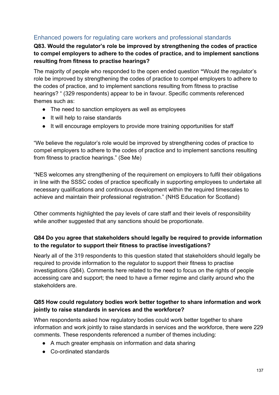# Enhanced powers for regulating care workers and professional standards

# **Q83. Would the regulator's role be improved by strengthening the codes of practice to compel employers to adhere to the codes of practice, and to implement sanctions resulting from fitness to practise hearings?**

The majority of people who responded to the open ended question **"**Would the regulator's role be improved by strengthening the codes of practice to compel employers to adhere to the codes of practice, and to implement sanctions resulting from fitness to practise hearings? " (329 respondents) appear to be in favour. Specific comments referenced themes such as:

- The need to sanction employers as well as employees
- It will help to raise standards
- It will encourage employers to provide more training opportunities for staff

"We believe the regulator's role would be improved by strengthening codes of practice to compel employers to adhere to the codes of practice and to implement sanctions resulting from fitness to practice hearings." (See Me)

"NES welcomes any strengthening of the requirement on employers to fulfil their obligations in line with the SSSC codes of practice specifically in supporting employees to undertake all necessary qualifications and continuous development within the required timescales to achieve and maintain their professional registration." (NHS Education for Scotland)

Other comments highlighted the pay levels of care staff and their levels of responsibility while another suggested that any sanctions should be proportionate.

# **Q84 Do you agree that stakeholders should legally be required to provide information to the regulator to support their fitness to practise investigations?**

Nearly all of the 319 respondents to this question stated that stakeholders should legally be required to provide information to the regulator to support their fitness to practise investigations (Q84). Comments here related to the need to focus on the rights of people accessing care and support; the need to have a firmer regime and clarity around who the stakeholders are.

#### **Q85 How could regulatory bodies work better together to share information and work jointly to raise standards in services and the workforce?**

When respondents asked how regulatory bodies could work better together to share information and work jointly to raise standards in services and the workforce, there were 229 comments. These respondents referenced a number of themes including:

- A much greater emphasis on information and data sharing
- Co-ordinated standards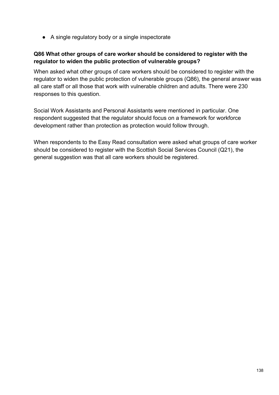● A single regulatory body or a single inspectorate

### **Q86 What other groups of care worker should be considered to register with the regulator to widen the public protection of vulnerable groups?**

When asked what other groups of care workers should be considered to register with the regulator to widen the public protection of vulnerable groups (Q86), the general answer was all care staff or all those that work with vulnerable children and adults. There were 230 responses to this question.

Social Work Assistants and Personal Assistants were mentioned in particular. One respondent suggested that the regulator should focus on a framework for workforce development rather than protection as protection would follow through.

When respondents to the Easy Read consultation were asked what groups of care worker should be considered to register with the Scottish Social Services Council (Q21), the general suggestion was that all care workers should be registered.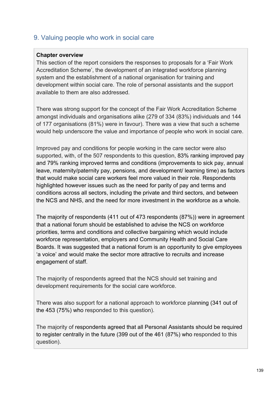# 9. Valuing people who work in social care

#### **Chapter overview**

This section of the report considers the responses to proposals for a 'Fair Work Accreditation Scheme', the development of an integrated workforce planning system and the establishment of a national organisation for training and development within social care. The role of personal assistants and the support available to them are also addressed.

There was strong support for the concept of the Fair Work Accreditation Scheme amongst individuals and organisations alike (279 of 334 (83%) individuals and 144 of 177 organisations (81%) were in favour). There was a view that such a scheme would help underscore the value and importance of people who work in social care.

Improved pay and conditions for people working in the care sector were also supported, with, of the 507 respondents to this question, 83% ranking improved pay and 79% ranking improved terms and conditions (improvements to sick pay, annual leave, maternity/paternity pay, pensions, and development/ learning time) as factors that would make social care workers feel more valued in their role. Respondents highlighted however issues such as the need for parity of pay and terms and conditions across all sectors, including the private and third sectors, and between the NCS and NHS, and the need for more investment in the workforce as a whole.

The majority of respondents (411 out of 473 respondents (87%)) were in agreement that a national forum should be established to advise the NCS on workforce priorities, terms and conditions and collective bargaining which would include workforce representation, employers and Community Health and Social Care Boards. It was suggested that a national forum is an opportunity to give employees 'a voice' and would make the sector more attractive to recruits and increase engagement of staff.

The majority of respondents agreed that the NCS should set training and development requirements for the social care workforce.

There was also support for a national approach to workforce planning (341 out of the 453 (75%) who responded to this question).

The majority of respondents agreed that all Personal Assistants should be required to register centrally in the future (399 out of the 461 (87%) who responded to this question).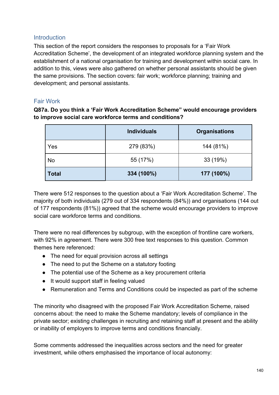#### **Introduction**

This section of the report considers the responses to proposals for a 'Fair Work Accreditation Scheme', the development of an integrated workforce planning system and the establishment of a national organisation for training and development within social care. In addition to this, views were also gathered on whether personal assistants should be given the same provisions. The section covers: fair work; workforce planning; training and development; and personal assistants.

#### Fair Work

**Q87a. Do you think a 'Fair Work Accreditation Scheme" would encourage providers to improve social care workforce terms and conditions?**

|              | <b>Individuals</b> | <b>Organisations</b> |
|--------------|--------------------|----------------------|
| Yes          | 279 (83%)          | 144 (81%)            |
| No           | 55 (17%)           | 33 (19%)             |
| <b>Total</b> | 334 (100%)         | 177 (100%)           |

There were 512 responses to the question about a 'Fair Work Accreditation Scheme'. The majority of both individuals (279 out of 334 respondents (84%)) and organisations (144 out of 177 respondents (81%)) agreed that the scheme would encourage providers to improve social care workforce terms and conditions.

There were no real differences by subgroup, with the exception of frontline care workers, with 92% in agreement. There were 300 free text responses to this question. Common themes here referenced:

- The need for equal provision across all settings
- The need to put the Scheme on a statutory footing
- The potential use of the Scheme as a key procurement criteria
- It would support staff in feeling valued
- Remuneration and Terms and Conditions could be inspected as part of the scheme

The minority who disagreed with the proposed Fair Work Accreditation Scheme, raised concerns about: the need to make the Scheme mandatory; levels of compliance in the private sector; existing challenges in recruiting and retaining staff at present and the ability or inability of employers to improve terms and conditions financially.

Some comments addressed the inequalities across sectors and the need for greater investment, while others emphasised the importance of local autonomy: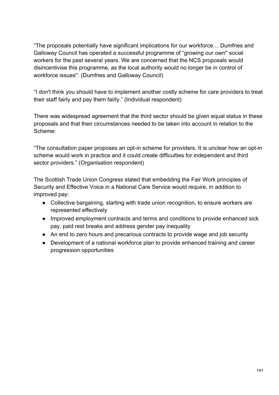"The proposals potentially have significant implications for our workforce… Dumfries and Galloway Council has operated a successful programme of "growing our own'' social workers for the past several years. We are concerned that the NCS proposals would disincentivise this programme, as the local authority would no longer be in control of workforce issues''. (Dumfries and Galloway Council)

"I don't think you should have to implement another costly scheme for care providers to treat their staff fairly and pay them fairly." (Individual respondent)

There was widespread agreement that the third sector should be given equal status in these proposals and that their circumstances needed to be taken into account in relation to the Scheme:

"The consultation paper proposes an opt-in scheme for providers. It is unclear how an opt-in scheme would work in practice and it could create difficulties for independent and third sector providers." (Organisation respondent)

The Scottish Trade Union Congress stated that embedding the Fair Work principles of Security and Effective Voice in a National Care Service would require, in addition to improved pay:

- Collective bargaining, starting with trade union recognition, to ensure workers are represented effectively
- Improved employment contracts and terms and conditions to provide enhanced sick pay, paid rest breaks and address gender pay inequality
- An end to zero hours and precarious contracts to provide wage and job security
- Development of a national workforce plan to provide enhanced training and career progression opportunities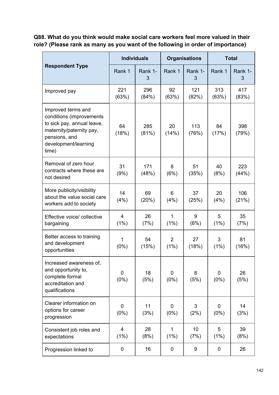**Q88. What do you think would make social care workers feel more valued in their role? (Please rank as many as you want of the following in order of importance)**

| <b>Respondent Type</b>                                                                                                                                     | <b>Individuals</b> |              | <b>Organisations</b>   |              | <b>Total</b> |              |
|------------------------------------------------------------------------------------------------------------------------------------------------------------|--------------------|--------------|------------------------|--------------|--------------|--------------|
|                                                                                                                                                            | Rank 1             | Rank 1-<br>3 | Rank 1                 | Rank 1-<br>3 | Rank 1       | Rank 1-<br>3 |
| Improved pay                                                                                                                                               | 221<br>(63%)       | 296<br>(84%) | 92<br>(63%)            | 121<br>(82%) | 313<br>(63%) | 417<br>(83%) |
| Improved terms and<br>conditions (improvements<br>to sick pay, annual leave,<br>maternity/paternity pay,<br>pensions, and<br>development/learning<br>time) | 64<br>(18%)        | 285<br>(81%) | 20<br>(14%)            | 113<br>(76%) | 84<br>(17%)  | 398<br>(79%) |
| Removal of zero hour<br>contracts where these are<br>not desired                                                                                           | 31<br>(9%)         | 171<br>(48%) | 8<br>(6%)              | 51<br>(35%)  | 40<br>(8%)   | 223<br>(44%) |
| More publicity/visibility<br>about the value social care<br>workers add to society                                                                         | 14<br>(4%)         | 69<br>(20%)  | 6<br>(4%)              | 37<br>(25%)  | 20<br>(4%)   | 106<br>(21%) |
| Effective voice/ collective<br>bargaining                                                                                                                  | 4<br>(1%)          | 26<br>(7%)   | 1<br>(1%)              | 9<br>(6%)    | 5<br>(1%)    | 35<br>(7%)   |
| Better access to training<br>and development<br>opportunities                                                                                              | 1<br>(0%)          | 54<br>(15%)  | $\overline{2}$<br>(1%) | 27<br>(18%)  | 3<br>(1%)    | 81<br>(16%)  |
| Increased awareness of,<br>and opportunity to,<br>complete formal<br>accreditation and<br>qualifications                                                   | 0<br>$(0\%)$       | 18<br>(5%)   | 0<br>$(0\%)$           | 8<br>(5%)    | 0<br>$(0\%)$ | 26<br>(5%)   |
| Clearer information on<br>options for career<br>progression                                                                                                | 0<br>$(0\%)$       | 11<br>(3%)   | 0<br>$(0\%)$           | 3<br>(2%)    | 0<br>(0%)    | 14<br>(3%)   |
| Consistent job roles and<br>expectations                                                                                                                   | 4<br>(1%)          | 28<br>(8%)   | 1<br>(1%)              | 10<br>(7%)   | 5<br>(1%)    | 39<br>(8%)   |
| Progression linked to                                                                                                                                      | 0                  | 16           | 0                      | 9            | 0            | 26           |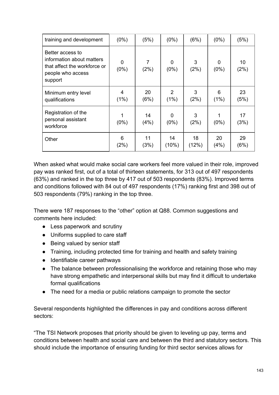| training and development                                                                                      | $(0\%)$          | (5%)       | $(0\%)$                | (6%)        | $(0\%)$      | (5%)       |
|---------------------------------------------------------------------------------------------------------------|------------------|------------|------------------------|-------------|--------------|------------|
| Better access to<br>information about matters<br>that affect the workforce or<br>people who access<br>support | $\Omega$<br>(0%) | 7<br>(2%)  | 0<br>$(0\%)$           | 3<br>(2%)   | 0<br>$(0\%)$ | 10<br>(2%) |
| Minimum entry level<br>qualifications                                                                         | 4<br>(1%)        | 20<br>(6%) | $\overline{2}$<br>(1%) | 3<br>(2%)   | 6<br>(1%)    | 23<br>(5%) |
| Registration of the<br>personal assistant<br>workforce                                                        | $(0\%)$          | 14<br>(4%) | 0<br>$(0\%)$           | 3<br>(2%)   | $(0\%)$      | 17<br>(3%) |
| Other                                                                                                         | 6<br>(2%)        | 11<br>(3%) | 14<br>(10%)            | 18<br>(12%) | 20<br>(4%)   | 29<br>(6%) |

When asked what would make social care workers feel more valued in their role, improved pay was ranked first, out of a total of thirteen statements, for 313 out of 497 respondents (63%) and ranked in the top three by 417 out of 503 respondents (83%). Improved terms and conditions followed with 84 out of 497 respondents (17%) ranking first and 398 out of 503 respondents (79%) ranking in the top three.

There were 187 responses to the "other" option at Q88. Common suggestions and comments here included:

- Less paperwork and scrutiny
- Uniforms supplied to care staff
- Being valued by senior staff
- Training, including protected time for training and health and safety training
- Identifiable career pathways
- The balance between professionalising the workforce and retaining those who may have strong empathetic and interpersonal skills but may find it difficult to undertake formal qualifications
- The need for a media or public relations campaign to promote the sector

Several respondents highlighted the differences in pay and conditions across different sectors:

"The TSI Network proposes that priority should be given to leveling up pay, terms and conditions between health and social care and between the third and statutory sectors. This should include the importance of ensuring funding for third sector services allows for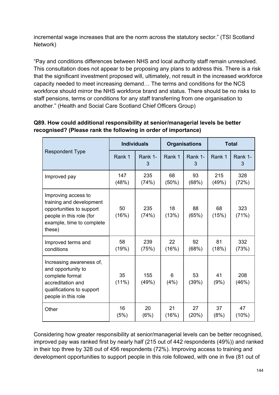incremental wage increases that are the norm across the statutory sector." (TSI Scotland Network)

"Pay and conditions differences between NHS and local authority staff remain unresolved. This consultation does not appear to be proposing any plans to address this. There is a risk that the significant investment proposed will, ultimately, not result in the increased workforce capacity needed to meet increasing demand… The terms and conditions for the NCS workforce should mirror the NHS workforce brand and status. There should be no risks to staff pensions, terms or conditions for any staff transferring from one organisation to another." (Health and Social Care Scotland Chief Officers Group)

| <b>Respondent Type</b>                                                                                                                         | <b>Individuals</b> |              | <b>Organisations</b> |              | <b>Total</b> |              |
|------------------------------------------------------------------------------------------------------------------------------------------------|--------------------|--------------|----------------------|--------------|--------------|--------------|
|                                                                                                                                                | Rank 1             | Rank 1-<br>3 | Rank 1               | Rank 1-<br>3 | Rank 1       | Rank 1-<br>3 |
| Improved pay                                                                                                                                   | 147<br>(48%)       | 235<br>(74%) | 68<br>(50%)          | 93<br>(68%)  | 215<br>(49%) | 328<br>(72%) |
| Improving access to<br>training and development<br>opportunities to support<br>people in this role (for<br>example, time to complete<br>these) | 50<br>(16%)        | 235<br>(74%) | 18<br>(13%)          | 88<br>(65%)  | 68<br>(15%)  | 323<br>(71%) |
| Improved terms and<br>conditions                                                                                                               | 58<br>(19%)        | 239<br>(75%) | 22<br>(16%)          | 92<br>(68%)  | 81<br>(18%)  | 332<br>(73%) |
| Increasing awareness of,<br>and opportunity to<br>complete formal<br>accreditation and<br>qualifications to support<br>people in this role     | 35<br>$(11\%)$     | 155<br>(49%) | 6<br>(4%)            | 53<br>(39%)  | 41<br>(9%)   | 208<br>(46%) |
| Other                                                                                                                                          | 16<br>(5%)         | 20<br>(6%)   | 21<br>(16%)          | 27<br>(20%)  | 37<br>(8%)   | 47<br>(10%)  |

# **Q89. How could additional responsibility at senior/managerial levels be better recognised? (Please rank the following in order of importance)**

Considering how greater responsibility at senior/managerial levels can be better recognised, improved pay was ranked first by nearly half (215 out of 442 respondents (49%)) and ranked in their top three by 328 out of 456 respondents (72%). Improving access to training and development opportunities to support people in this role followed, with one in five (81 out of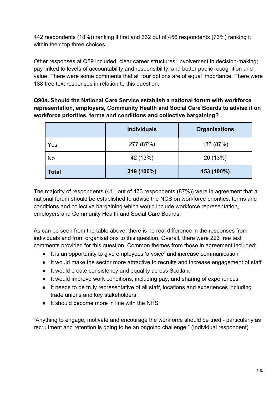442 respondents (18%)) ranking it first and 332 out of 456 respondents (73%) ranking it within their top three choices.

Other responses at Q89 included: clear career structures; involvement in decision-making; pay linked to levels of accountability and responsibility; and better public recognition and value. There were some comments that all four options are of equal importance. There were 138 free text responses in relation to this question.

**Q90a. Should the National Care Service establish a national forum with workforce representation, employers, Community Health and Social Care Boards to advise it on workforce priorities, terms and conditions and collective bargaining?**

|              | <b>Individuals</b> | <b>Organisations</b> |
|--------------|--------------------|----------------------|
| Yes          | 277 (87%)          | 133 (87%)            |
| No           | 42 (13%)           | 20 (13%)             |
| <b>Total</b> | 319 (100%)         | 153 (100%)           |

The majority of respondents (411 out of 473 respondents (87%)) were in agreement that a national forum should be established to advise the NCS on workforce priorities, terms and conditions and collective bargaining which would include workforce representation, employers and Community Health and Social Care Boards.

As can be seen from the table above, there is no real difference in the responses from individuals and from organisations to this question. Overall, there were 223 free text comments provided for this question. Common themes from those in agreement included:

- It is an opportunity to give employees 'a voice' and increase communication
- It would make the sector more attractive to recruits and increase engagement of staff
- It would create consistency and equality across Scotland
- It would improve work conditions, including pay, and sharing of experiences
- It needs to be truly representative of all staff, locations and experiences including trade unions and key stakeholders
- It should become more in line with the NHS

"Anything to engage, motivate and encourage the workforce should be tried - particularly as recruitment and retention is going to be an ongoing challenge." (Individual respondent)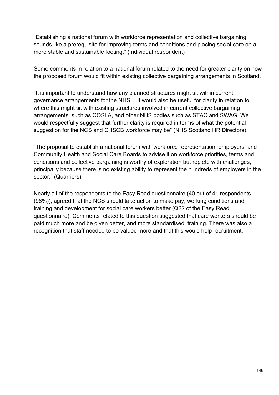"Establishing a national forum with workforce representation and collective bargaining sounds like a prerequisite for improving terms and conditions and placing social care on a more stable and sustainable footing." (Individual respondent)

Some comments in relation to a national forum related to the need for greater clarity on how the proposed forum would fit within existing collective bargaining arrangements in Scotland.

"It is important to understand how any planned structures might sit within current governance arrangements for the NHS… it would also be useful for clarity in relation to where this might sit with existing structures involved in current collective bargaining arrangements, such as COSLA, and other NHS bodies such as STAC and SWAG. We would respectfully suggest that further clarity is required in terms of what the potential suggestion for the NCS and CHSCB workforce may be" (NHS Scotland HR Directors)

"The proposal to establish a national forum with workforce representation, employers, and Community Health and Social Care Boards to advise it on workforce priorities, terms and conditions and collective bargaining is worthy of exploration but replete with challenges, principally because there is no existing ability to represent the hundreds of employers in the sector." (Quarriers)

Nearly all of the respondents to the Easy Read questionnaire (40 out of 41 respondents (98%)), agreed that the NCS should take action to make pay, working conditions and training and development for social care workers better (Q22 of the Easy Read questionnaire). Comments related to this question suggested that care workers should be paid much more and be given better, and more standardised, training. There was also a recognition that staff needed to be valued more and that this would help recruitment.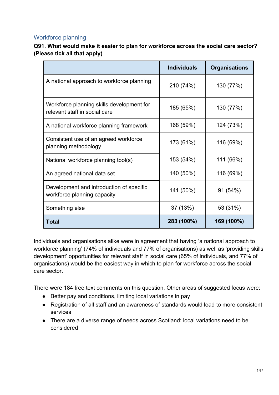# Workforce planning

**Q91. What would make it easier to plan for workforce across the social care sector? (Please tick all that apply)**

|                                                                            | <b>Individuals</b> | <b>Organisations</b> |
|----------------------------------------------------------------------------|--------------------|----------------------|
| A national approach to workforce planning                                  | 210 (74%)          | 130 (77%)            |
| Workforce planning skills development for<br>relevant staff in social care | 185 (65%)          | 130 (77%)            |
| A national workforce planning framework                                    | 168 (59%)          | 124 (73%)            |
| Consistent use of an agreed workforce<br>planning methodology              | 173 (61%)          | 116 (69%)            |
| National workforce planning tool(s)                                        | 153 (54%)          | 111 (66%)            |
| An agreed national data set                                                | 140 (50%)          | 116 (69%)            |
| Development and introduction of specific<br>workforce planning capacity    | 141 (50%)          | 91 (54%)             |
| Something else                                                             | 37 (13%)           | 53 (31%)             |
| Total                                                                      | 283 (100%)         | 169 (100%)           |

Individuals and organisations alike were in agreement that having 'a national approach to workforce planning' (74% of individuals and 77% of organisations) as well as 'providing skills development' opportunities for relevant staff in social care (65% of individuals, and 77% of organisations) would be the easiest way in which to plan for workforce across the social care sector.

There were 184 free text comments on this question. Other areas of suggested focus were:

- Better pay and conditions, limiting local variations in pay
- Registration of all staff and an awareness of standards would lead to more consistent services
- There are a diverse range of needs across Scotland: local variations need to be considered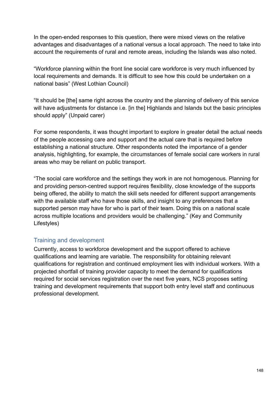In the open-ended responses to this question, there were mixed views on the relative advantages and disadvantages of a national versus a local approach. The need to take into account the requirements of rural and remote areas, including the Islands was also noted.

"Workforce planning within the front line social care workforce is very much influenced by local requirements and demands. It is difficult to see how this could be undertaken on a national basis" (West Lothian Council)

"It should be [the] same right across the country and the planning of delivery of this service will have adjustments for distance i.e. [in the] Highlands and Islands but the basic principles should apply" (Unpaid carer)

For some respondents, it was thought important to explore in greater detail the actual needs of the people accessing care and support and the actual care that is required before establishing a national structure. Other respondents noted the importance of a gender analysis, highlighting, for example, the circumstances of female social care workers in rural areas who may be reliant on public transport.

"The social care workforce and the settings they work in are not homogenous. Planning for and providing person-centred support requires flexibility, close knowledge of the supports being offered, the ability to match the skill sets needed for different support arrangements with the available staff who have those skills, and insight to any preferences that a supported person may have for who is part of their team. Doing this on a national scale across multiple locations and providers would be challenging." (Key and Community Lifestyles)

# Training and development

Currently, access to workforce development and the support offered to achieve qualifications and learning are variable. The responsibility for obtaining relevant qualifications for registration and continued employment lies with individual workers. With a projected shortfall of training provider capacity to meet the demand for qualifications required for social services registration over the next five years, NCS proposes setting training and development requirements that support both entry level staff and continuous professional development.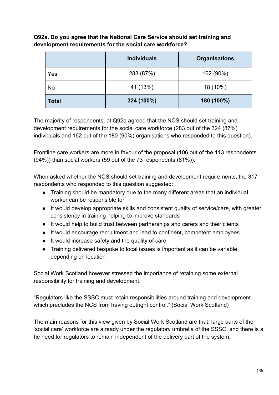**Q92a. Do you agree that the National Care Service should set training and development requirements for the social care workforce?**

|              | <b>Individuals</b> | <b>Organisations</b> |
|--------------|--------------------|----------------------|
| Yes          | 283 (87%)          | 162 (90%)            |
| <b>No</b>    | 41 (13%)           | 18 (10%)             |
| <b>Total</b> | 324 (100%)         | 180 (100%)           |

The majority of respondents, at Q92a agreed that the NCS should set training and development requirements for the social care workforce (283 out of the 324 (87%) individuals and 162 out of the 180 (90%) organisations who responded to this question).

Frontline care workers are more in favour of the proposal (106 out of the 113 respondents (94%)) than social workers (59 out of the 73 respondents (81%)).

When asked whether the NCS should set training and development requirements, the 317 respondents who responded to this question suggested:

- Training should be mandatory due to the many different areas that an individual worker can be responsible for
- It would develop appropriate skills and consistent quality of service/care, with greater consistency in training helping to improve standards
- It would help to build trust between partnerships and carers and their clients
- It would encourage recruitment and lead to confident, competent employees
- It would increase safety and the quality of care
- Training delivered bespoke to local issues is important as it can be variable depending on location

Social Work Scotland however stressed the importance of retaining some external responsibility for training and development:

"Regulators like the SSSC must retain responsibilities around training and development which precludes the NCS from having outright control." (Social Work Scotland)

The main reasons for this view given by Social Work Scotland are that: large parts of the 'social care' workforce are already under the regulatory umbrella of the SSSC; and there is a he need for regulators to remain independent of the delivery part of the system,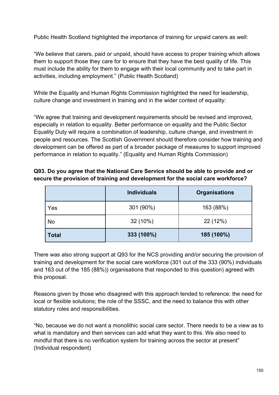Public Health Scotland highlighted the importance of training for unpaid carers as well:

"We believe that carers, paid or unpaid, should have access to proper training which allows them to support those they care for to ensure that they have the best quality of life. This must include the ability for them to engage with their local community and to take part in activities, including employment." (Public Health Scotland)

While the Equality and Human Rights Commission highlighted the need for leadership, culture change and investment in training and in the wider context of equality:

"We agree that training and development requirements should be revised and improved, especially in relation to equality. Better performance on equality and the Public Sector Equality Duty will require a combination of leadership, culture change, and investment in people and resources. The Scottish Government should therefore consider how training and development can be offered as part of a broader package of measures to support improved performance in relation to equality." (Equality and Human Rights Commission)

#### **Q93. Do you agree that the National Care Service should be able to provide and or secure the provision of training and development for the social care workforce?**

|              | <b>Individuals</b> | <b>Organisations</b> |
|--------------|--------------------|----------------------|
| Yes          | 301 (90%)          | 163 (88%)            |
| No           | 32 (10%)           | 22 (12%)             |
| <b>Total</b> | 333 (100%)         | 185 (100%)           |

There was also strong support at Q93 for the NCS providing and/or securing the provision of training and development for the social care workforce (301 out of the 333 (90%) individuals and 163 out of the 185 (88%)) organisations that responded to this question) agreed with this proposal.

Reasons given by those who disagreed with this approach tended to reference: the need for local or flexible solutions; the role of the SSSC, and the need to balance this with other statutory roles and responsibilities.

"No, because we do not want a monolithic social care sector. There needs to be a view as to what is mandatory and then services can add what they want to this. We also need to mindful that there is no verification system for training across the sector at present" (Individual respondent)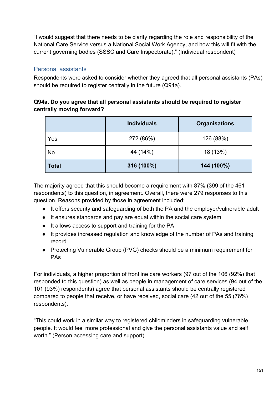"I would suggest that there needs to be clarity regarding the role and responsibility of the National Care Service versus a National Social Work Agency, and how this will fit with the current governing bodies (SSSC and Care Inspectorate)." (Individual respondent)

# Personal assistants

Respondents were asked to consider whether they agreed that all personal assistants (PAs) should be required to register centrally in the future (Q94a).

# **Q94a. Do you agree that all personal assistants should be required to register centrally moving forward?**

|              | <b>Individuals</b> | <b>Organisations</b> |
|--------------|--------------------|----------------------|
| Yes          | 272 (86%)          | 126 (88%)            |
| No           | 44 (14%)           | 18 (13%)             |
| <b>Total</b> | 316 (100%)         | 144 (100%)           |

The majority agreed that this should become a requirement with 87% (399 of the 461 respondents) to this question, in agreement. Overall, there were 279 responses to this question. Reasons provided by those in agreement included:

- It offers security and safeguarding of both the PA and the employer/vulnerable adult
- It ensures standards and pay are equal within the social care system
- It allows access to support and training for the PA
- It provides increased regulation and knowledge of the number of PAs and training record
- Protecting Vulnerable Group (PVG) checks should be a minimum requirement for PAs

For individuals, a higher proportion of frontline care workers (97 out of the 106 (92%) that responded to this question) as well as people in management of care services (94 out of the 101 (93%) respondents) agree that personal assistants should be centrally registered compared to people that receive, or have received, social care (42 out of the 55 (76%) respondents).

"This could work in a similar way to registered childminders in safeguarding vulnerable people. It would feel more professional and give the personal assistants value and self worth." (Person accessing care and support)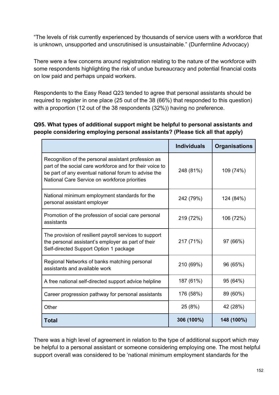"The levels of risk currently experienced by thousands of service users with a workforce that is unknown, unsupported and unscrutinised is unsustainable." (Dunfermline Advocacy)

There were a few concerns around registration relating to the nature of the workforce with some respondents highlighting the risk of undue bureaucracy and potential financial costs on low paid and perhaps unpaid workers.

Respondents to the Easy Read Q23 tended to agree that personal assistants should be required to register in one place (25 out of the 38 (66%) that responded to this question) with a proportion (12 out of the 38 respondents (32%)) having no preference.

#### **Q95. What types of additional support might be helpful to personal assistants and people considering employing personal assistants? (Please tick all that apply)**

|                                                                                                                                                                                                                          | <b>Individuals</b> | <b>Organisations</b> |
|--------------------------------------------------------------------------------------------------------------------------------------------------------------------------------------------------------------------------|--------------------|----------------------|
| Recognition of the personal assistant profession as<br>part of the social care workforce and for their voice to<br>be part of any eventual national forum to advise the<br>National Care Service on workforce priorities | 248 (81%)          | 109 (74%)            |
| National minimum employment standards for the<br>personal assistant employer                                                                                                                                             | 242 (79%)          | 124 (84%)            |
| Promotion of the profession of social care personal<br>assistants                                                                                                                                                        | 219 (72%)          | 106 (72%)            |
| The provision of resilient payroll services to support<br>the personal assistant's employer as part of their<br>Self-directed Support Option 1 package                                                                   | 217 (71%)          | 97 (66%)             |
| Regional Networks of banks matching personal<br>assistants and available work                                                                                                                                            | 210 (69%)          | 96 (65%)             |
| A free national self-directed support advice helpline                                                                                                                                                                    | 187 (61%)          | 95 (64%)             |
| Career progression pathway for personal assistants                                                                                                                                                                       | 176 (58%)          | 89 (60%)             |
| Other                                                                                                                                                                                                                    | 25 (8%)            | 42 (28%)             |
| <b>Total</b>                                                                                                                                                                                                             | 306 (100%)         | 148 (100%)           |

There was a high level of agreement in relation to the type of additional support which may be helpful to a personal assistant or someone considering employing one. The most helpful support overall was considered to be 'national minimum employment standards for the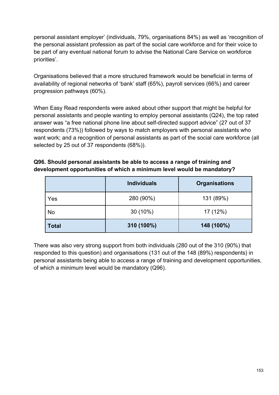personal assistant employer' (individuals, 79%, organisations 84%) as well as 'recognition of the personal assistant profession as part of the social care workforce and for their voice to be part of any eventual national forum to advise the National Care Service on workforce priorities'.

Organisations believed that a more structured framework would be beneficial in terms of availability of regional networks of 'bank' staff (65%), payroll services (66%) and career progression pathways (60%).

When Easy Read respondents were asked about other support that might be helpful for personal assistants and people wanting to employ personal assistants (Q24), the top rated answer was "a free national phone line about self-directed support advice" (27 out of 37 respondents (73%)) followed by ways to match employers with personal assistants who want work; and a recognition of personal assistants as part of the social care workforce (all selected by 25 out of 37 respondents (68%)).

## **Q96. Should personal assistants be able to access a range of training and development opportunities of which a minimum level would be mandatory?**

|              | <b>Individuals</b> | <b>Organisations</b> |
|--------------|--------------------|----------------------|
| Yes          | 280 (90%)          | 131 (89%)            |
| <b>No</b>    | $30(10\%)$         | 17 (12%)             |
| <b>Total</b> | 310 (100%)         | 148 (100%)           |

There was also very strong support from both individuals (280 out of the 310 (90%) that responded to this question) and organisations (131 out of the 148 (89%) respondents) in personal assistants being able to access a range of training and development opportunities, of which a minimum level would be mandatory (Q96).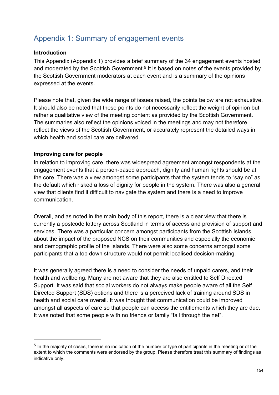# Appendix 1: Summary of engagement events

#### **Introduction**

This Appendix (Appendix 1) provides a brief summary of the 34 engagement events hosted and moderated by the Scottish Government.<sup>5</sup> It is based on notes of the events provided by the Scottish Government moderators at each event and is a summary of the opinions expressed at the events.

Please note that, given the wide range of issues raised, the points below are not exhaustive. It should also be noted that these points do not necessarily reflect the weight of opinion but rather a qualitative view of the meeting content as provided by the Scottish Government. The summaries also reflect the opinions voiced in the meetings and may not therefore reflect the views of the Scottish Government, or accurately represent the detailed ways in which health and social care are delivered.

#### **Improving care for people**

In relation to improving care, there was widespread agreement amongst respondents at the engagement events that a person-based approach, dignity and human rights should be at the core. There was a view amongst some participants that the system tends to "say no" as the default which risked a loss of dignity for people in the system. There was also a general view that clients find it difficult to navigate the system and there is a need to improve communication.

Overall, and as noted in the main body of this report, there is a clear view that there is currently a postcode lottery across Scotland in terms of access and provision of support and services. There was a particular concern amongst participants from the Scottish Islands about the impact of the proposed NCS on their communities and especially the economic and demographic profile of the Islands. There were also some concerns amongst some participants that a top down structure would not permit localised decision-making.

It was generally agreed there is a need to consider the needs of unpaid carers, and their health and wellbeing. Many are not aware that they are also entitled to Self Directed Support. It was said that social workers do not always make people aware of all the Self Directed Support (SDS) options and there is a perceived lack of training around SDS in health and social care overall. It was thought that communication could be improved amongst all aspects of care so that people can access the entitlements which they are due. It was noted that some people with no friends or family "fall through the net".

<sup>&</sup>lt;sup>5</sup> In the majority of cases, there is no indication of the number or type of participants in the meeting or of the extent to which the comments were endorsed by the group. Please therefore treat this summary of findings as indicative only.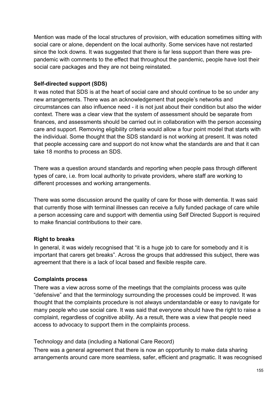Mention was made of the local structures of provision, with education sometimes sitting with social care or alone, dependent on the local authority. Some services have not restarted since the lock downs. It was suggested that there is far less support than there was prepandemic with comments to the effect that throughout the pandemic, people have lost their social care packages and they are not being reinstated.

#### **Self-directed support (SDS)**

It was noted that SDS is at the heart of social care and should continue to be so under any new arrangements. There was an acknowledgement that people's networks and circumstances can also influence need - it is not just about their condition but also the wider context. There was a clear view that the system of assessment should be separate from finances, and assessments should be carried out in collaboration with the person accessing care and support. Removing eligibility criteria would allow a four point model that starts with the individual. Some thought that the SDS standard is not working at present. It was noted that people accessing care and support do not know what the standards are and that it can take 18 months to process an SDS.

There was a question around standards and reporting when people pass through different types of care, i.e. from local authority to private providers, where staff are working to different processes and working arrangements.

There was some discussion around the quality of care for those with dementia. It was said that currently those with terminal illnesses can receive a fully funded package of care while a person accessing care and support with dementia using Self Directed Support is required to make financial contributions to their care.

#### **Right to breaks**

In general, it was widely recognised that "it is a huge job to care for somebody and it is important that carers get breaks". Across the groups that addressed this subject, there was agreement that there is a lack of local based and flexible respite care.

#### **Complaints process**

There was a view across some of the meetings that the complaints process was quite "defensive" and that the terminology surrounding the processes could be improved. It was thought that the complaints procedure is not always understandable or easy to navigate for many people who use social care. It was said that everyone should have the right to raise a complaint, regardless of cognitive ability. As a result, there was a view that people need access to advocacy to support them in the complaints process.

Technology and data (including a National Care Record)

There was a general agreement that there is now an opportunity to make data sharing arrangements around care more seamless, safer, efficient and pragmatic. It was recognised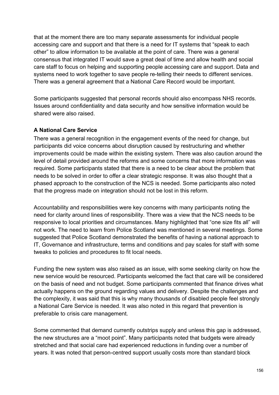that at the moment there are too many separate assessments for individual people accessing care and support and that there is a need for IT systems that "speak to each other" to allow information to be available at the point of care. There was a general consensus that integrated IT would save a great deal of time and allow health and social care staff to focus on helping and supporting people accessing care and support. Data and systems need to work together to save people re-telling their needs to different services. There was a general agreement that a National Care Record would be important.

Some participants suggested that personal records should also encompass NHS records. Issues around confidentiality and data security and how sensitive information would be shared were also raised.

#### **A National Care Service**

There was a general recognition in the engagement events of the need for change, but participants did voice concerns about disruption caused by restructuring and whether improvements could be made within the existing system. There was also caution around the level of detail provided around the reforms and some concerns that more information was required. Some participants stated that there is a need to be clear about the problem that needs to be solved in order to offer a clear strategic response. It was also thought that a phased approach to the construction of the NCS is needed. Some participants also noted that the progress made on integration should not be lost in this reform.

Accountability and responsibilities were key concerns with many participants noting the need for clarity around lines of responsibility. There was a view that the NCS needs to be responsive to local priorities and circumstances. Many highlighted that "one size fits all" will not work. The need to learn from Police Scotland was mentioned in several meetings. Some suggested that Police Scotland demonstrated the benefits of having a national approach to IT, Governance and infrastructure, terms and conditions and pay scales for staff with some tweaks to policies and procedures to fit local needs.

Funding the new system was also raised as an issue, with some seeking clarity on how the new service would be resourced. Participants welcomed the fact that care will be considered on the basis of need and not budget. Some participants commented that finance drives what actually happens on the ground regarding values and delivery. Despite the challenges and the complexity, it was said that this is why many thousands of disabled people feel strongly a National Care Service is needed. It was also noted in this regard that prevention is preferable to crisis care management.

Some commented that demand currently outstrips supply and unless this gap is addressed, the new structures are a "moot point". Many participants noted that budgets were already stretched and that social care had experienced reductions in funding over a number of years. It was noted that person-centred support usually costs more than standard block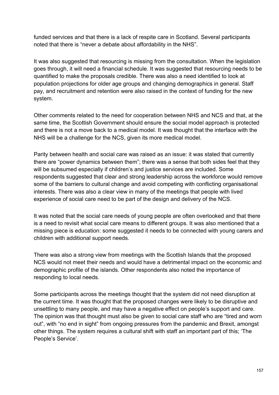funded services and that there is a lack of respite care in Scotland. Several participants noted that there is "never a debate about affordability in the NHS".

It was also suggested that resourcing is missing from the consultation. When the legislation goes through, it will need a financial schedule. It was suggested that resourcing needs to be quantified to make the proposals credible. There was also a need identified to look at population projections for older age groups and changing demographics in general. Staff pay, and recruitment and retention were also raised in the context of funding for the new system.

Other comments related to the need for cooperation between NHS and NCS and that, at the same time, the Scottish Government should ensure the social model approach is protected and there is not a move back to a medical model. It was thought that the interface with the NHS will be a challenge for the NCS, given its more medical model.

Parity between health and social care was raised as an issue: it was stated that currently there are "power dynamics between them"; there was a sense that both sides feel that they will be subsumed especially if children's and justice services are included. Some respondents suggested that clear and strong leadership across the workforce would remove some of the barriers to cultural change and avoid competing with conflicting organisational interests. There was also a clear view in many of the meetings that people with lived experience of social care need to be part of the design and delivery of the NCS.

It was noted that the social care needs of young people are often overlooked and that there is a need to revisit what social care means to different groups. It was also mentioned that a missing piece is education: some suggested it needs to be connected with young carers and children with additional support needs.

There was also a strong view from meetings with the Scottish Islands that the proposed NCS would not meet their needs and would have a detrimental impact on the economic and demographic profile of the islands. Other respondents also noted the importance of responding to local needs.

Some participants across the meetings thought that the system did not need disruption at the current time. It was thought that the proposed changes were likely to be disruptive and unsettling to many people, and may have a negative effect on people's support and care. The opinion was that thought must also be given to social care staff who are "tired and worn out", with "no end in sight" from ongoing pressures from the pandemic and Brexit, amongst other things. The system requires a cultural shift with staff an important part of this; 'The People's Service'.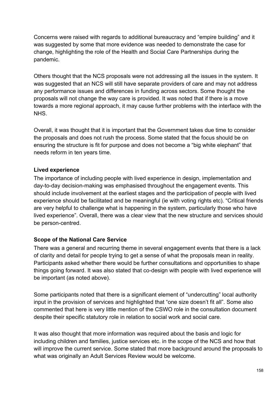Concerns were raised with regards to additional bureaucracy and "empire building" and it was suggested by some that more evidence was needed to demonstrate the case for change, highlighting the role of the Health and Social Care Partnerships during the pandemic.

Others thought that the NCS proposals were not addressing all the issues in the system. It was suggested that an NCS will still have separate providers of care and may not address any performance issues and differences in funding across sectors. Some thought the proposals will not change the way care is provided. It was noted that if there is a move towards a more regional approach, it may cause further problems with the interface with the NHS.

Overall, it was thought that it is important that the Government takes due time to consider the proposals and does not rush the process. Some stated that the focus should be on ensuring the structure is fit for purpose and does not become a "big white elephant" that needs reform in ten years time.

#### **Lived experience**

The importance of including people with lived experience in design, implementation and day-to-day decision-making was emphasised throughout the engagement events. This should include involvement at the earliest stages and the participation of people with lived experience should be facilitated and be meaningful (ie with voting rights etc). "Critical friends are very helpful to challenge what is happening in the system, particularly those who have lived experience". Overall, there was a clear view that the new structure and services should be person-centred.

#### **Scope of the National Care Service**

There was a general and recurring theme in several engagement events that there is a lack of clarity and detail for people trying to get a sense of what the proposals mean in reality. Participants asked whether there would be further consultations and opportunities to shape things going forward. It was also stated that co-design with people with lived experience will be important (as noted above).

Some participants noted that there is a significant element of "undercutting" local authority input in the provision of services and highlighted that "one size doesn't fit all". Some also commented that here is very little mention of the CSWO role in the consultation document despite their specific statutory role in relation to social work and social care.

It was also thought that more information was required about the basis and logic for including children and families, justice services etc. in the scope of the NCS and how that will improve the current service. Some stated that more background around the proposals to what was originally an Adult Services Review would be welcome.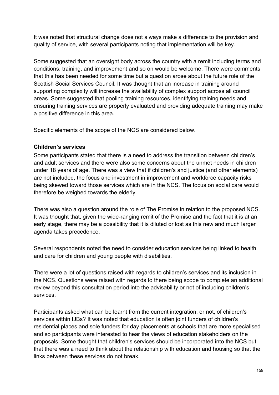It was noted that structural change does not always make a difference to the provision and quality of service, with several participants noting that implementation will be key.

Some suggested that an oversight body across the country with a remit including terms and conditions, training, and improvement and so on would be welcome. There were comments that this has been needed for some time but a question arose about the future role of the Scottish Social Services Council. It was thought that an increase in training around supporting complexity will increase the availability of complex support across all council areas. Some suggested that pooling training resources, identifying training needs and ensuring training services are properly evaluated and providing adequate training may make a positive difference in this area.

Specific elements of the scope of the NCS are considered below.

#### **Children's services**

Some participants stated that there is a need to address the transition between children's and adult services and there were also some concerns about the unmet needs in children under 18 years of age. There was a view that if children's and justice (and other elements) are not included, the focus and investment in improvement and workforce capacity risks being skewed toward those services which are in the NCS. The focus on social care would therefore be weighed towards the elderly.

There was also a question around the role of The Promise in relation to the proposed NCS. It was thought that, given the wide-ranging remit of the Promise and the fact that it is at an early stage, there may be a possibility that it is diluted or lost as this new and much larger agenda takes precedence.

Several respondents noted the need to consider education services being linked to health and care for children and young people with disabilities.

There were a lot of questions raised with regards to children's services and its inclusion in the NCS. Questions were raised with regards to there being scope to complete an additional review beyond this consultation period into the advisability or not of including children's services.

Participants asked what can be learnt from the current integration, or not, of children's services within IJBs? It was noted that education is often joint funders of children's residential places and sole funders for day placements at schools that are more specialised and so participants were interested to hear the views of education stakeholders on the proposals. Some thought that children's services should be incorporated into the NCS but that there was a need to think about the relationship with education and housing so that the links between these services do not break.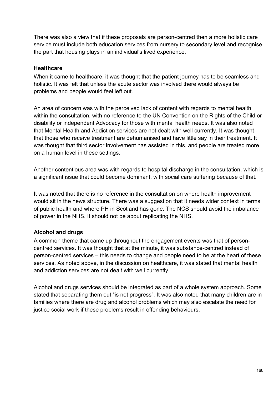There was also a view that if these proposals are person-centred then a more holistic care service must include both education services from nursery to secondary level and recognise the part that housing plays in an individual's lived experience.

#### **Healthcare**

When it came to healthcare, it was thought that the patient journey has to be seamless and holistic. It was felt that unless the acute sector was involved there would always be problems and people would feel left out.

An area of concern was with the perceived lack of content with regards to mental health within the consultation, with no reference to the UN Convention on the Rights of the Child or disability or independent Advocacy for those with mental health needs. It was also noted that Mental Health and Addiction services are not dealt with well currently. It was thought that those who receive treatment are dehumanised and have little say in their treatment. It was thought that third sector involvement has assisted in this, and people are treated more on a human level in these settings.

Another contentious area was with regards to hospital discharge in the consultation, which is a significant issue that could become dominant, with social care suffering because of that.

It was noted that there is no reference in the consultation on where health improvement would sit in the news structure. There was a suggestion that it needs wider context in terms of public health and where PH in Scotland has gone. The NCS should avoid the imbalance of power in the NHS. It should not be about replicating the NHS.

# **Alcohol and drugs**

A common theme that came up throughout the engagement events was that of personcentred services. It was thought that at the minute, it was substance-centred instead of person-centred services – this needs to change and people need to be at the heart of these services. As noted above, in the discussion on healthcare, it was stated that mental health and addiction services are not dealt with well currently.

Alcohol and drugs services should be integrated as part of a whole system approach. Some stated that separating them out "is not progress". It was also noted that many children are in families where there are drug and alcohol problems which may also escalate the need for justice social work if these problems result in offending behaviours.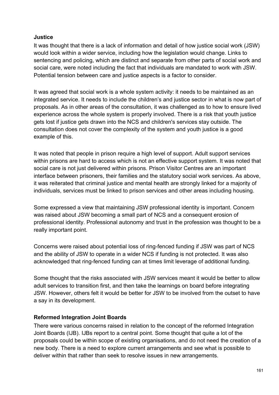#### **Justice**

It was thought that there is a lack of information and detail of how justice social work (JSW) would look within a wider service, including how the legislation would change. Links to sentencing and policing, which are distinct and separate from other parts of social work and social care, were noted including the fact that individuals are mandated to work with JSW. Potential tension between care and justice aspects is a factor to consider.

It was agreed that social work is a whole system activity: it needs to be maintained as an integrated service. It needs to include the children's and justice sector in what is now part of proposals. As in other areas of the consultation, it was challenged as to how to ensure lived experience across the whole system is properly involved. There is a risk that youth justice gets lost if justice gets drawn into the NCS and children's services stay outside. The consultation does not cover the complexity of the system and youth justice is a good example of this.

It was noted that people in prison require a high level of support. Adult support services within prisons are hard to access which is not an effective support system. It was noted that social care is not just delivered within prisons. Prison Visitor Centres are an important interface between prisoners, their families and the statutory social work services. As above, it was reiterated that criminal justice and mental health are strongly linked for a majority of individuals, services must be linked to prison services and other areas including housing.

Some expressed a view that maintaining JSW professional identity is important. Concern was raised about JSW becoming a small part of NCS and a consequent erosion of professional identity. Professional autonomy and trust in the profession was thought to be a really important point.

Concerns were raised about potential loss of ring-fenced funding if JSW was part of NCS and the ability of JSW to operate in a wider NCS if funding is not protected. It was also acknowledged that ring-fenced funding can at times limit leverage of additional funding.

Some thought that the risks associated with JSW services meant it would be better to allow adult services to transition first, and then take the learnings on board before integrating JSW. However, others felt it would be better for JSW to be involved from the outset to have a say in its development.

#### **Reformed Integration Joint Boards**

There were various concerns raised in relation to the concept of the reformed Integration Joint Boards (IJB). IJBs report to a central point. Some thought that quite a lot of the proposals could be within scope of existing organisations, and do not need the creation of a new body. There is a need to explore current arrangements and see what is possible to deliver within that rather than seek to resolve issues in new arrangements.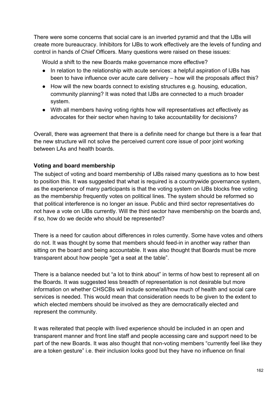There were some concerns that social care is an inverted pyramid and that the IJBs will create more bureaucracy. Inhibitors for IJBs to work effectively are the levels of funding and control in hands of Chief Officers. Many questions were raised on these issues:

Would a shift to the new Boards make governance more effective?

- In relation to the relationship with acute services: a helpful aspiration of IJBs has been to have influence over acute care delivery – how will the proposals affect this?
- How will the new boards connect to existing structures e.g. housing, education, community planning? It was noted that IJBs are connected to a much broader system.
- With all members having voting rights how will representatives act effectively as advocates for their sector when having to take accountability for decisions?

Overall, there was agreement that there is a definite need for change but there is a fear that the new structure will not solve the perceived current core issue of poor joint working between LAs and health boards.

# **Voting and board membership**

The subject of voting and board membership of IJBs raised many questions as to how best to position this. It was suggested that what is required is a countrywide governance system, as the experience of many participants is that the voting system on IJBs blocks free voting as the membership frequently votes on political lines. The system should be reformed so that political interference is no longer an issue. Public and third sector representatives do not have a vote on IJBs currently. Will the third sector have membership on the boards and, if so, how do we decide who should be represented?

There is a need for caution about differences in roles currently. Some have votes and others do not. It was thought by some that members should feed-in in another way rather than sitting on the board and being accountable. It was also thought that Boards must be more transparent about how people "get a seat at the table".

There is a balance needed but "a lot to think about" in terms of how best to represent all on the Boards. It was suggested less breadth of representation is not desirable but more information on whether CHSCBs will include some/all/how much of health and social care services is needed. This would mean that consideration needs to be given to the extent to which elected members should be involved as they are democratically elected and represent the community.

It was reiterated that people with lived experience should be included in an open and transparent manner and front line staff and people accessing care and support need to be part of the new Boards. It was also thought that non-voting members "currently feel like they are a token gesture" i.e. their inclusion looks good but they have no influence on final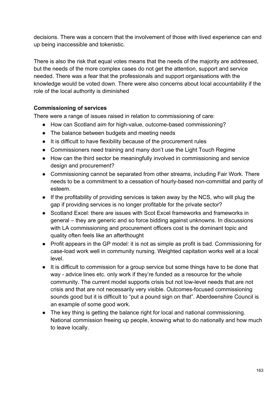decisions. There was a concern that the involvement of those with lived experience can end up being inaccessible and tokenistic.

There is also the risk that equal votes means that the needs of the majority are addressed, but the needs of the more complex cases do not get the attention, support and service needed. There was a fear that the professionals and support organisations with the knowledge would be voted down. There were also concerns about local accountability if the role of the local authority is diminished

#### **Commissioning of services**

There were a range of issues raised in relation to commissioning of care:

- How can Scotland aim for high-value, outcome-based commissioning?
- The balance between budgets and meeting needs
- It is difficult to have flexibility because of the procurement rules
- Commissioners need training and many don't use the Light Touch Regime
- How can the third sector be meaningfully involved in commissioning and service design and procurement?
- Commissioning cannot be separated from other streams, including Fair Work. There needs to be a commitment to a cessation of hourly-based non-committal and parity of esteem.
- If the profitability of providing services is taken away by the NCS, who will plug the gap if providing services is no longer profitable for the private sector?
- Scotland Excel: there are issues with Scot Excel frameworks and frameworks in general – they are generic and so force bidding against unknowns. In discussions with LA commissioning and procurement officers cost is the dominant topic and quality often feels like an afterthought
- Profit appears in the GP model: it is not as simple as profit is bad. Commissioning for case-load work well in community nursing. Weighted capitation works well at a local level.
- It is difficult to commission for a group service but some things have to be done that way - advice lines etc. only work if they're funded as a resource for the whole community. The current model supports crisis but not low-level needs that are not crisis and that are not necessarily very visible. Outcomes-focused commissioning sounds good but it is difficult to "put a pound sign on that". Aberdeenshire Council is an example of some good work.
- The key thing is getting the balance right for local and national commissioning. National commission freeing up people, knowing what to do nationally and how much to leave locally.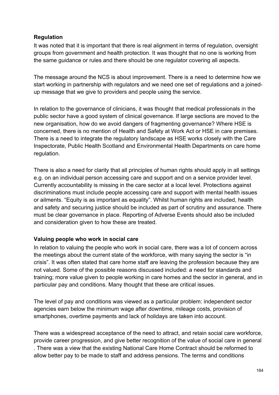## **Regulation**

It was noted that it is important that there is real alignment in terms of regulation, oversight groups from government and health protection. It was thought that no one is working from the same guidance or rules and there should be one regulator covering all aspects.

The message around the NCS is about improvement. There is a need to determine how we start working in partnership with regulators and we need one set of regulations and a joinedup message that we give to providers and people using the service.

In relation to the governance of clinicians, it was thought that medical professionals in the public sector have a good system of clinical governance. If large sections are moved to the new organisation, how do we avoid dangers of fragmenting governance? Where HSE is concerned, there is no mention of Health and Safety at Work Act or HSE in care premises. There is a need to integrate the regulatory landscape as HSE works closely with the Care Inspectorate, Public Health Scotland and Environmental Health Departments on care home regulation.

There is also a need for clarity that all principles of human rights should apply in all settings e.g. on an individual person accessing care and support and on a service provider level. Currently accountability is missing in the care sector at a local level. Protections against discriminations must include people accessing care and support with mental health issues or ailments. "Equity is as important as equality". Whilst human rights are included, health and safety and securing justice should be included as part of scrutiny and assurance. There must be clear governance in place. Reporting of Adverse Events should also be included and consideration given to how these are treated.

#### **Valuing people who work in social care**

In relation to valuing the people who work in social care, there was a lot of concern across the meetings about the current state of the workforce, with many saying the sector is "in crisis". It was often stated that care home staff are leaving the profession because they are not valued. Some of the possible reasons discussed included: a need for standards and training; more value given to people working in care homes and the sector in general, and in particular pay and conditions. Many thought that these are critical issues.

The level of pay and conditions was viewed as a particular problem: independent sector agencies earn below the minimum wage after downtime, mileage costs, provision of smartphones, overtime payments and lack of holidays are taken into account.

There was a widespread acceptance of the need to attract, and retain social care workforce, provide career progression, and give better recognition of the value of social care in general . There was a view that the existing National Care Home Contract should be reformed to allow better pay to be made to staff and address pensions. The terms and conditions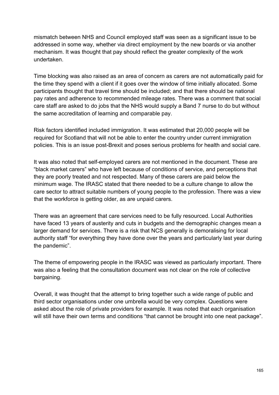mismatch between NHS and Council employed staff was seen as a significant issue to be addressed in some way, whether via direct employment by the new boards or via another mechanism. It was thought that pay should reflect the greater complexity of the work undertaken.

Time blocking was also raised as an area of concern as carers are not automatically paid for the time they spend with a client if it goes over the window of time initially allocated. Some participants thought that travel time should be included; and that there should be national pay rates and adherence to recommended mileage rates. There was a comment that social care staff are asked to do jobs that the NHS would supply a Band 7 nurse to do but without the same accreditation of learning and comparable pay.

Risk factors identified included immigration. It was estimated that 20,000 people will be required for Scotland that will not be able to enter the country under current immigration policies. This is an issue post-Brexit and poses serious problems for health and social care.

It was also noted that self-employed carers are not mentioned in the document. These are "black market carers" who have left because of conditions of service, and perceptions that they are poorly treated and not respected. Many of these carers are paid below the minimum wage. The IRASC stated that there needed to be a culture change to allow the care sector to attract suitable numbers of young people to the profession. There was a view that the workforce is getting older, as are unpaid carers.

There was an agreement that care services need to be fully resourced. Local Authorities have faced 13 years of austerity and cuts in budgets and the demographic changes mean a larger demand for services. There is a risk that NCS generally is demoralising for local authority staff "for everything they have done over the years and particularly last year during the pandemic".

The theme of empowering people in the IRASC was viewed as particularly important. There was also a feeling that the consultation document was not clear on the role of collective bargaining.

Overall, it was thought that the attempt to bring together such a wide range of public and third sector organisations under one umbrella would be very complex. Questions were asked about the role of private providers for example. It was noted that each organisation will still have their own terms and conditions "that cannot be brought into one neat package".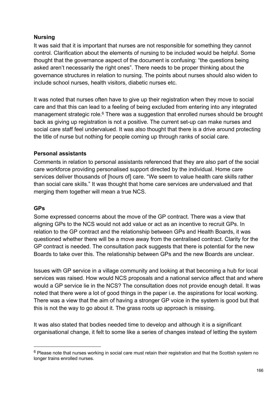## **Nursing**

It was said that it is important that nurses are not responsible for something they cannot control. Clarification about the elements of nursing to be included would be helpful. Some thought that the governance aspect of the document is confusing: "the questions being asked aren't necessarily the right ones". There needs to be proper thinking about the governance structures in relation to nursing. The points about nurses should also widen to include school nurses, health visitors, diabetic nurses etc.

It was noted that nurses often have to give up their registration when they move to social care and that this can lead to a feeling of being excluded from entering into any integrated management strategic role.<sup>6</sup> There was a suggestion that enrolled nurses should be brought back as giving up registration is not a positive. The current set-up can make nurses and social care staff feel undervalued. It was also thought that there is a drive around protecting the title of nurse but nothing for people coming up through ranks of social care.

#### **Personal assistants**

Comments in relation to personal assistants referenced that they are also part of the social care workforce providing personalised support directed by the individual. Home care services deliver thousands of [hours of] care. "We seem to value health care skills rather than social care skills." It was thought that home care services are undervalued and that merging them together will mean a true NCS.

#### **GPs**

Some expressed concerns about the move of the GP contract. There was a view that aligning GPs to the NCS would not add value or act as an incentive to recruit GPs. In relation to the GP contract and the relationship between GPs and Health Boards, it was questioned whether there will be a move away from the centralised contract. Clarity for the GP contract is needed. The consultation pack suggests that there is potential for the new Boards to take over this. The relationship between GPs and the new Boards are unclear.

Issues with GP service in a village community and looking at that becoming a hub for local services was raised. How would NCS proposals and a national service affect that and where would a GP service lie in the NCS? The consultation does not provide enough detail. It was noted that there were a lot of good things in the paper i.e. the aspirations for local working. There was a view that the aim of having a stronger GP voice in the system is good but that this is not the way to go about it. The grass roots up approach is missing.

It was also stated that bodies needed time to develop and although it is a significant organisational change, it felt to some like a series of changes instead of letting the system

<sup>&</sup>lt;sup>6</sup> Please note that nurses working in social care must retain their registration and that the Scottish system no longer trains enrolled nurses.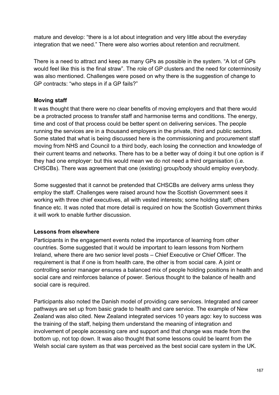mature and develop: "there is a lot about integration and very little about the everyday integration that we need." There were also worries about retention and recruitment.

There is a need to attract and keep as many GPs as possible in the system. "A lot of GPs would feel like this is the final straw". The role of GP clusters and the need for coterminosity was also mentioned. Challenges were posed on why there is the suggestion of change to GP contracts: "who steps in if a GP fails?"

#### **Moving staff**

It was thought that there were no clear benefits of moving employers and that there would be a protracted process to transfer staff and harmonise terms and conditions. The energy, time and cost of that process could be better spent on delivering services. The people running the services are in a thousand employers in the private, third and public sectors. Some stated that what is being discussed here is the commissioning and procurement staff moving from NHS and Council to a third body, each losing the connection and knowledge of their current teams and networks. There has to be a better way of doing it but one option is if they had one employer: but this would mean we do not need a third organisation (i.e. CHSCBs). There was agreement that one (existing) group/body should employ everybody.

Some suggested that it cannot be pretended that CHSCBs are delivery arms unless they employ the staff. Challenges were raised around how the Scottish Government sees it working with three chief executives, all with vested interests; some holding staff; others finance etc. It was noted that more detail is required on how the Scottish Government thinks it will work to enable further discussion.

#### **Lessons from elsewhere**

Participants in the engagement events noted the importance of learning from other countries. Some suggested that it would be important to learn lessons from Northern Ireland, where there are two senior level posts – Chief Executive or Chief Officer. The requirement is that if one is from health care, the other is from social care. A joint or controlling senior manager ensures a balanced mix of people holding positions in health and social care and reinforces balance of power. Serious thought to the balance of health and social care is required.

Participants also noted the Danish model of providing care services. Integrated and career pathways are set up from basic grade to health and care service. The example of New Zealand was also cited. New Zealand integrated services 10 years ago: key to success was the training of the staff, helping them understand the meaning of integration and involvement of people accessing care and support and that change was made from the bottom up, not top down. It was also thought that some lessons could be learnt from the Welsh social care system as that was perceived as the best social care system in the UK.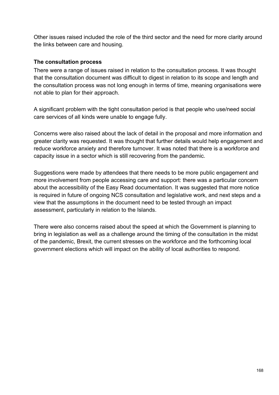Other issues raised included the role of the third sector and the need for more clarity around the links between care and housing.

#### **The consultation process**

There were a range of issues raised in relation to the consultation process. It was thought that the consultation document was difficult to digest in relation to its scope and length and the consultation process was not long enough in terms of time, meaning organisations were not able to plan for their approach.

A significant problem with the tight consultation period is that people who use/need social care services of all kinds were unable to engage fully.

Concerns were also raised about the lack of detail in the proposal and more information and greater clarity was requested. It was thought that further details would help engagement and reduce workforce anxiety and therefore turnover. It was noted that there is a workforce and capacity issue in a sector which is still recovering from the pandemic.

Suggestions were made by attendees that there needs to be more public engagement and more involvement from people accessing care and support: there was a particular concern about the accessibility of the Easy Read documentation. It was suggested that more notice is required in future of ongoing NCS consultation and legislative work, and next steps and a view that the assumptions in the document need to be tested through an impact assessment, particularly in relation to the Islands.

There were also concerns raised about the speed at which the Government is planning to bring in legislation as well as a challenge around the timing of the consultation in the midst of the pandemic, Brexit, the current stresses on the workforce and the forthcoming local government elections which will impact on the ability of local authorities to respond.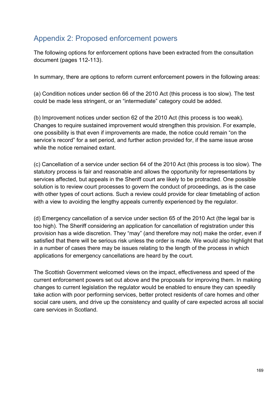# Appendix 2: Proposed enforcement powers

The following options for enforcement options have been extracted from the consultation document (pages 112-113).

In summary, there are options to reform current enforcement powers in the following areas:

(a) Condition notices under section 66 of the 2010 Act (this process is too slow). The test could be made less stringent, or an "intermediate" category could be added.

(b) Improvement notices under section 62 of the 2010 Act (this process is too weak). Changes to require sustained improvement would strengthen this provision. For example, one possibility is that even if improvements are made, the notice could remain "on the service's record" for a set period, and further action provided for, if the same issue arose while the notice remained extant.

(c) Cancellation of a service under section 64 of the 2010 Act (this process is too slow). The statutory process is fair and reasonable and allows the opportunity for representations by services affected, but appeals in the Sheriff court are likely to be protracted. One possible solution is to review court processes to govern the conduct of proceedings, as is the case with other types of court actions. Such a review could provide for clear timetabling of action with a view to avoiding the lengthy appeals currently experienced by the regulator.

(d) Emergency cancellation of a service under section 65 of the 2010 Act (the legal bar is too high). The Sheriff considering an application for cancellation of registration under this provision has a wide discretion. They "may" (and therefore may not) make the order, even if satisfied that there will be serious risk unless the order is made. We would also highlight that in a number of cases there may be issues relating to the length of the process in which applications for emergency cancellations are heard by the court.

The Scottish Government welcomed views on the impact, effectiveness and speed of the current enforcement powers set out above and the proposals for improving them. In making changes to current legislation the regulator would be enabled to ensure they can speedily take action with poor performing services, better protect residents of care homes and other social care users, and drive up the consistency and quality of care expected across all social care services in Scotland.